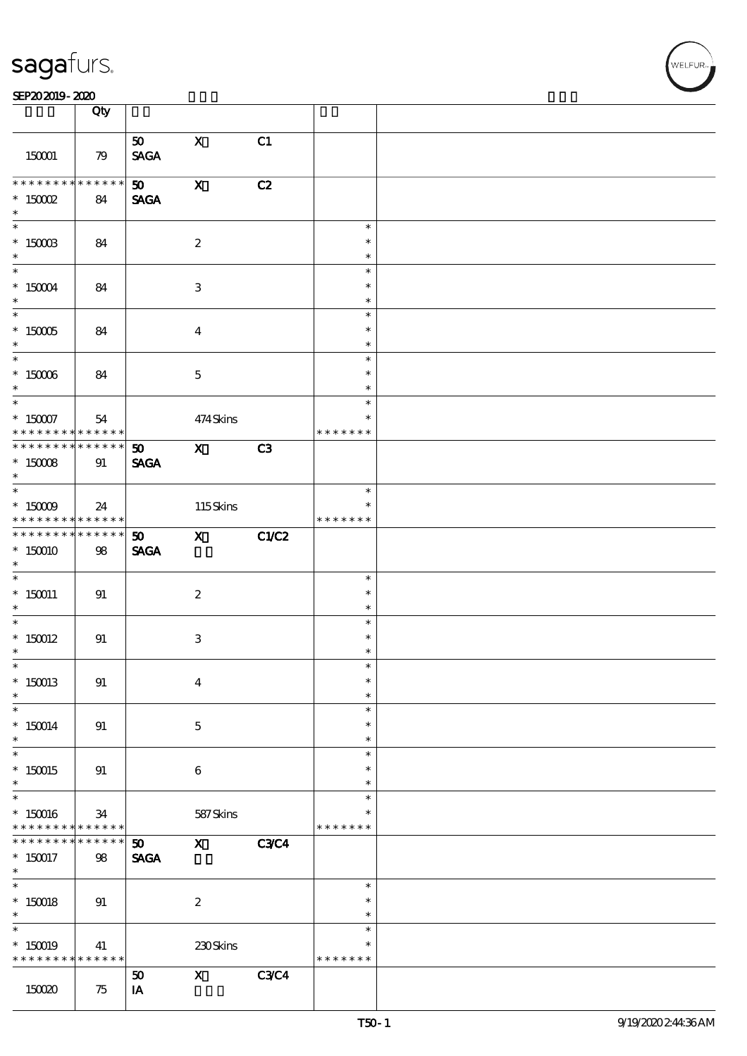| sagafurs. |
|-----------|
|           |

### $S$ EP20 2019 - 2020  $\frac{1}{1}$  Oby

|                               | Qty             |                                |                           |             |               |  |
|-------------------------------|-----------------|--------------------------------|---------------------------|-------------|---------------|--|
|                               |                 | 50                             | $\mathbf{X}$              | C1          |               |  |
| 150001                        | 79              | $\operatorname{\mathsf{SAGA}}$ |                           |             |               |  |
|                               |                 |                                |                           |             |               |  |
| * * * * * * * *               | * * * * * *     | 50                             | $\boldsymbol{\mathrm{X}}$ | C2          |               |  |
| $*$ 150002                    | 84              | <b>SAGA</b>                    |                           |             |               |  |
| $*$                           |                 |                                |                           |             |               |  |
|                               |                 |                                |                           |             | $\ast$        |  |
| $*$ 150003                    |                 |                                | $\boldsymbol{2}$          |             | $\ast$        |  |
| $*$                           | 84              |                                |                           |             | $\ast$        |  |
| $\ast$                        |                 |                                |                           |             | $\ast$        |  |
| $*$ 150004                    |                 |                                |                           |             | $\ast$        |  |
| $\ast$                        | 84              |                                | $\ensuremath{\mathbf{3}}$ |             | $\ast$        |  |
|                               |                 |                                |                           |             | $\ast$        |  |
| $*$ 150005                    |                 |                                |                           |             | $\ast$        |  |
| $\ast$                        | 84              |                                | $\overline{4}$            |             | $\ast$        |  |
|                               |                 |                                |                           |             | $\ast$        |  |
| $^*$ 150006 $\,$              | 84              |                                | $\mathbf{5}$              |             | $\ast$        |  |
| $\ast$                        |                 |                                |                           |             | $\ast$        |  |
| $\overline{\phantom{0}}$      |                 |                                |                           |             | $\ast$        |  |
|                               | 54              |                                | 474Skins                  |             | $\ast$        |  |
| * 15007                       | ******          |                                |                           |             | * * * * * * * |  |
| * * * * * * * * * * * * * * * |                 | 50                             | $\mathbf{X}$              | C3          |               |  |
| $*$ 150008                    | 91              | <b>SAGA</b>                    |                           |             |               |  |
| $\ast$                        |                 |                                |                           |             |               |  |
|                               |                 |                                |                           |             | $\ast$        |  |
| $*$ 150009                    | 24              |                                | 115Skins                  |             | $\ast$        |  |
| * * * * * * * *               | $* * * * * * *$ |                                |                           |             | * * * * * * * |  |
| * * * * * * * *               | $* * * * * * *$ | 50                             | $\mathbf{X}$              | C1/C2       |               |  |
| $*150010$                     | 98              | <b>SAGA</b>                    |                           |             |               |  |
| $\ast$                        |                 |                                |                           |             |               |  |
|                               |                 |                                |                           |             | $\ast$        |  |
| $*150011$                     | 91              |                                | $\boldsymbol{2}$          |             | $\ast$        |  |
| $\ast$                        |                 |                                |                           |             | $\ast$        |  |
| $*$                           |                 |                                |                           |             | $\ast$        |  |
| $*$ 150012                    | 91              |                                | 3                         |             | $\ast$        |  |
| $\ast$                        |                 |                                |                           |             | $\ast$        |  |
| $\ast$                        |                 |                                |                           |             | ж             |  |
| $*150013$                     | 91              |                                | $\boldsymbol{4}$          |             | $\ast$        |  |
| $\ast$                        |                 |                                |                           |             | $\ast$        |  |
| $\ast$                        |                 |                                |                           |             | $\ast$        |  |
| $*150014$                     | 91              |                                | $\mathbf 5$               |             | $\ast$        |  |
| $*$                           |                 |                                |                           |             | $\ast$        |  |
| $\ast$                        |                 |                                |                           |             | $\ast$        |  |
| $*150015$                     | 91              |                                | $\boldsymbol{6}$          |             | $\ast$        |  |
| $\ast$                        |                 |                                |                           |             | $\ast$        |  |
| $\ast$                        |                 |                                |                           |             | $\ast$        |  |
| $*150016$                     | 34              |                                | 587Skins                  |             | $\ast$        |  |
| * * * * * * * *               | $* * * * * * *$ |                                |                           |             | * * * * * * * |  |
| * * * * * * * *               | ******          | 50 <sub>o</sub>                | $\mathbf{x}$              | <b>C3C4</b> |               |  |
| $*150017$                     | 98              | <b>SAGA</b>                    |                           |             |               |  |
| $\ast$                        |                 |                                |                           |             |               |  |
| $\ast$                        |                 |                                |                           |             | $\ast$        |  |
| $*$ 150018                    | 91              |                                | $\boldsymbol{2}$          |             | $\ast$        |  |
| $\ast$                        |                 |                                |                           |             | $\ast$        |  |
| $\ast$                        |                 |                                |                           |             | $\ast$        |  |
| $*150019$                     | 41              |                                | 230Skins                  |             | *             |  |
| * * * * * * * *               | * * * * * *     |                                |                           |             | * * * * * * * |  |
|                               |                 | 50                             | $\mathbf{x}$              | <b>C3C4</b> |               |  |
| 150020                        | 75              | IA                             |                           |             |               |  |
|                               |                 |                                |                           |             |               |  |

**NELFUR**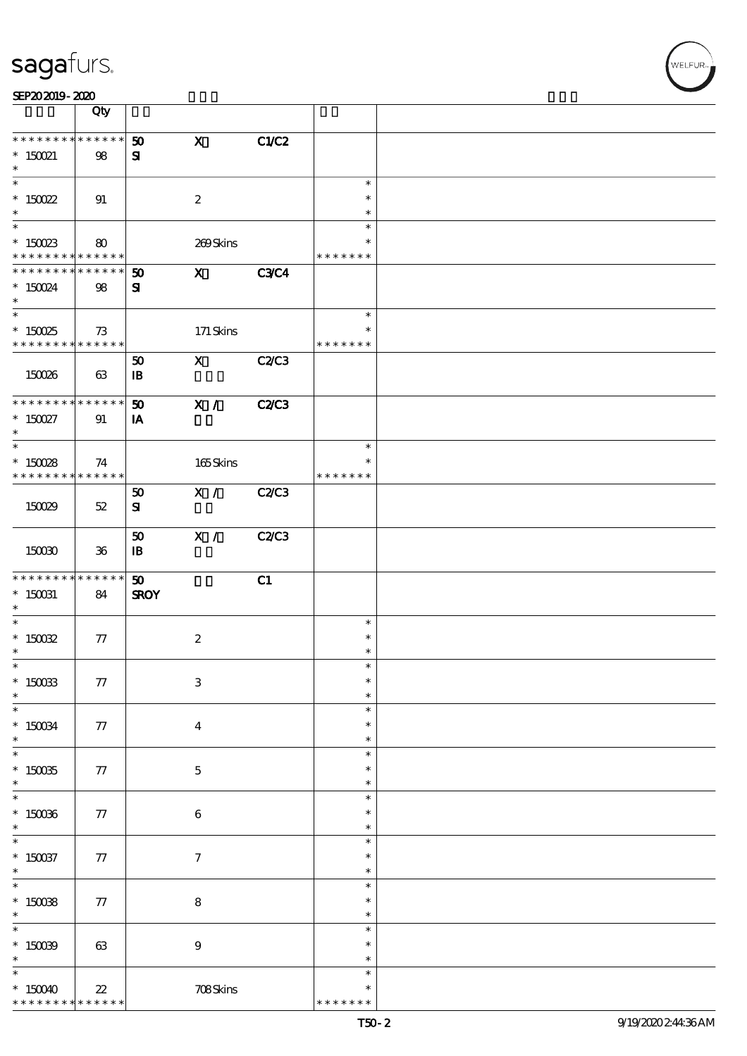| SEP202019-2020 |  |  |
|----------------|--|--|
|----------------|--|--|

|                                                                                     | Qty               |                                      |                             |                                   |  |
|-------------------------------------------------------------------------------------|-------------------|--------------------------------------|-----------------------------|-----------------------------------|--|
| * * * * * * * * * * * * * *<br>$^*$ 150021<br>$\ast$                                | 98                | $\mathbf x$<br>50<br>${\bf s}$       | C1/C2                       |                                   |  |
| $\ast$<br>$* 150022$<br>$\ast$                                                      | 91                | $\boldsymbol{2}$                     |                             | $\ast$<br>$\ast$<br>$\ast$        |  |
| $\overline{\ast}$<br>$^*$ 150023 $\,$<br>* * * * * * * * <mark>* * * * * * *</mark> | 80                |                                      | 269Skins                    | $\ast$<br>∗<br>* * * * * * *      |  |
| * * * * * * * *<br>$^*$ 150024 $\,$<br>$\ast$                                       | * * * * * *<br>98 | $\mathbf{x}$<br>50<br>${\bf z}$      | <b>C3C4</b>                 |                                   |  |
| $\overline{\ast}$<br>$^\ast$ 150025<br>* * * * * * * * * * * * * *                  | 73                |                                      | 171 Skins                   | $\ast$<br>$\ast$<br>* * * * * * * |  |
| 150026                                                                              | 63                | 50<br>$\mathbf{B}$                   | $\mathbf X$<br><b>C2/C3</b> |                                   |  |
| * * * * * * * * * * * * * *<br>$^*$ 150027 $\,$<br>$\ast$                           | 91                | 50<br>IA                             | X /<br><b>C2/C3</b>         |                                   |  |
| $\ast$<br>$*150028$<br>* * * * * * * * * * * * * * *                                | 74                |                                      | 165Skins                    | $\ast$<br>$\ast$<br>* * * * * * * |  |
| 150029                                                                              | $52\,$            | X /<br>50<br>${\bf s}$               | <b>C2/C3</b>                |                                   |  |
| 150030                                                                              | $36\,$            | X /<br>50<br>$\mathbf{B}$            | <b>C2/C3</b>                |                                   |  |
| * * * * * * * *<br>$^*$ 150031 $\,$<br>$\ast$                                       | ******<br>84      | $\boldsymbol{\omega}$<br><b>SROY</b> | C1                          |                                   |  |
| $\ast$<br>$^*$ 150032 $\,$<br>$\ast$                                                |                   |                                      |                             | $\ast$<br>$\ast$                  |  |
|                                                                                     | 77                | $\boldsymbol{2}$                     |                             | $\ast$                            |  |
| $*$<br>$^\ast$ 150033<br>$\ast$                                                     | ${\bf 77}$        | $\,3$                                |                             | $\ast$<br>$\ast$<br>$\ast$        |  |
| $\ast$<br>$^\ast$ 150034<br>$\ast$                                                  | 77                | $\boldsymbol{4}$                     |                             | $\ast$<br>$\ast$<br>$\ast$        |  |
| $\ast$<br>$^\ast$ 150035<br>$\ast$                                                  | 77                | $\mathbf 5$                          |                             | $\ast$<br>$\ast$<br>$\ast$        |  |
| $\ast$<br>$^\ast$ 150036<br>$\ast$                                                  | 77                | $\,6\,$                              |                             | $\ast$<br>$\ast$<br>$\ast$        |  |
| $\overline{\phantom{a}}$<br>$^*$ 150037<br>$\ast$                                   | 77                | $\boldsymbol{7}$                     |                             | $\ast$<br>$\ast$<br>$\ast$        |  |
| $\overline{\ast}$<br>$^\ast$ 150038<br>$\ast$                                       | 77                | $\bf 8$                              |                             | $\ast$<br>$\ast$<br>$\ast$        |  |
| $\ast$<br>$^*$ 150039 $\,$<br>$\ast$                                                | 63                | $\boldsymbol{9}$                     |                             | $\ast$<br>$\ast$<br>$\ast$        |  |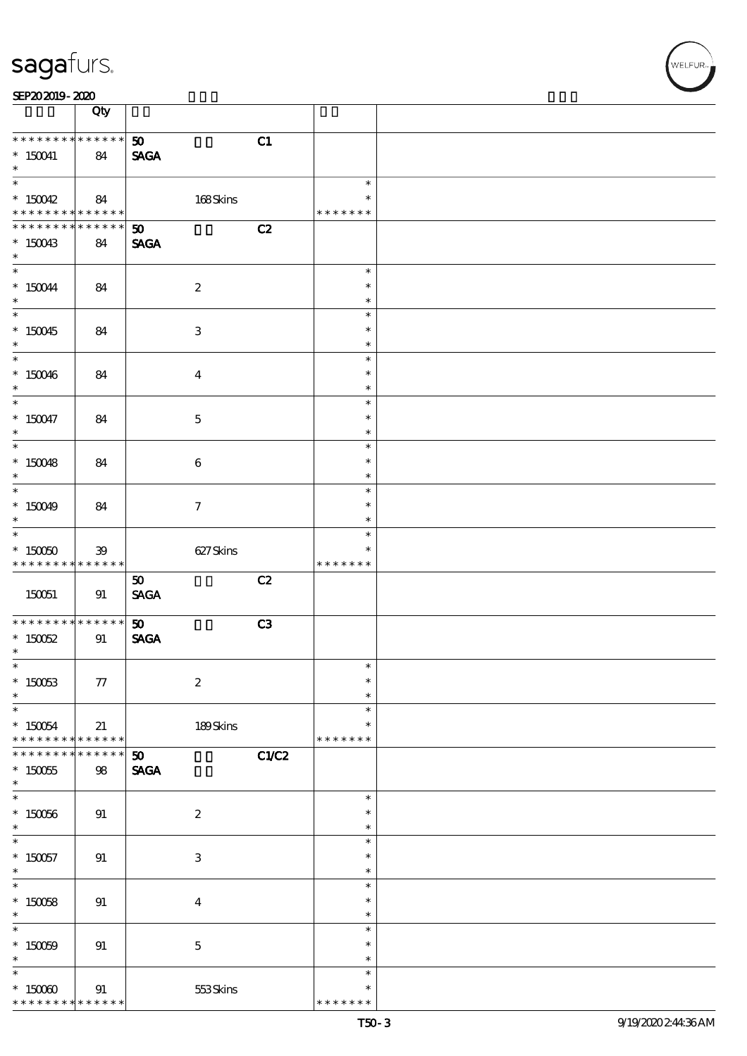|                                                          | Qty                     |                                            |       |                                        |  |
|----------------------------------------------------------|-------------------------|--------------------------------------------|-------|----------------------------------------|--|
| * * * * * * * * * * * * * *<br>$*$ 150041<br>$\ast$      | 84                      | 50 <sub>o</sub><br><b>SAGA</b>             | C1    |                                        |  |
| $\overline{\phantom{0}}$<br>$*150042$<br>* * * * * * * * | 84<br>******            | 168Skins                                   |       | $\ast$<br>$\ast$<br>* * * * * * *      |  |
| * * * * * * * *<br>$*150043$<br>$\ast$                   | * * * * * *  <br>84     | $\boldsymbol{\mathfrak{D}}$<br><b>SAGA</b> | C2    |                                        |  |
| $\overline{\phantom{0}}$<br>$* 150044$<br>$\ast$         | 84                      | $\boldsymbol{2}$                           |       | $\ast$<br>$\ast$<br>$\ast$             |  |
| $*150045$<br>$*$                                         | 84                      | $\ensuremath{\mathbf{3}}$                  |       | $\ast$<br>$\ast$<br>$\ast$             |  |
| $*150046$<br>$\ast$                                      | 84                      | $\bf{4}$                                   |       | $\ast$<br>$\ast$<br>$\ast$             |  |
| $* 150047$<br>$\ast$                                     | 84                      | $\mathbf 5$                                |       | $\ast$<br>$\ast$<br>$\ast$             |  |
| $*150048$<br>$\ast$<br>$\overline{\phantom{0}}$          | 84                      | $\boldsymbol{6}$                           |       | $\ast$<br>$\ast$<br>$\ast$             |  |
| $*150049$<br>$\ast$                                      | 84                      | $\tau$                                     |       | $\ast$<br>$\ast$<br>$\ast$             |  |
| $*$ 150050<br>* * * * * * * *                            | 39<br>******            | 627Skins                                   |       | $\ast$<br>$\ast$<br>* * * * *<br>$* *$ |  |
| 150051                                                   | 91                      | 50<br>$\operatorname{\mathsf{SAGA}}$       | C2    |                                        |  |
| * * * * * * * *<br>$* 150052$<br>$\ast$                  | $* * * * * * *$<br>91   | 50<br><b>SAGA</b>                          | C3    |                                        |  |
| $\overline{\phantom{0}}$<br>$* 150053$<br>$\ast$         | ${\bf 77}$              | $\boldsymbol{2}$                           |       | $\ast$<br>$\ast$                       |  |
| $\ast$                                                   |                         |                                            |       | $\ast$                                 |  |
| $* 150054$<br>* * * * * * * *                            | 21<br>$***$ * * * * *   | 189Skins                                   |       | $\ast$<br>$\ast$<br>* * * * * * *      |  |
| * * * * * * *<br>$*150055$<br>$\ast$                     | $* * * * * *$<br>$98\,$ | $\boldsymbol{\mathfrak{D}}$<br><b>SAGA</b> | C1/C2 |                                        |  |
| $* 150066$<br>$\ast$                                     | 91                      | $\boldsymbol{2}$                           |       | $\ast$<br>$\ast$<br>$\ast$             |  |
| $*$<br>$* 150057$<br>$\ast$                              | 91                      | $\ensuremath{\mathbf{3}}$                  |       | $\ast$<br>$\ast$<br>$\ast$             |  |
| $\ast$<br>$*150058$<br>$\ast$                            | 91                      | $\boldsymbol{4}$                           |       | $\ast$<br>$\ast$<br>$\ast$             |  |
| $* 150009$<br>$\ast$                                     | 91                      | $\mathbf 5$                                |       | $\ast$<br>$\ast$<br>$\ast$<br>$\ast$   |  |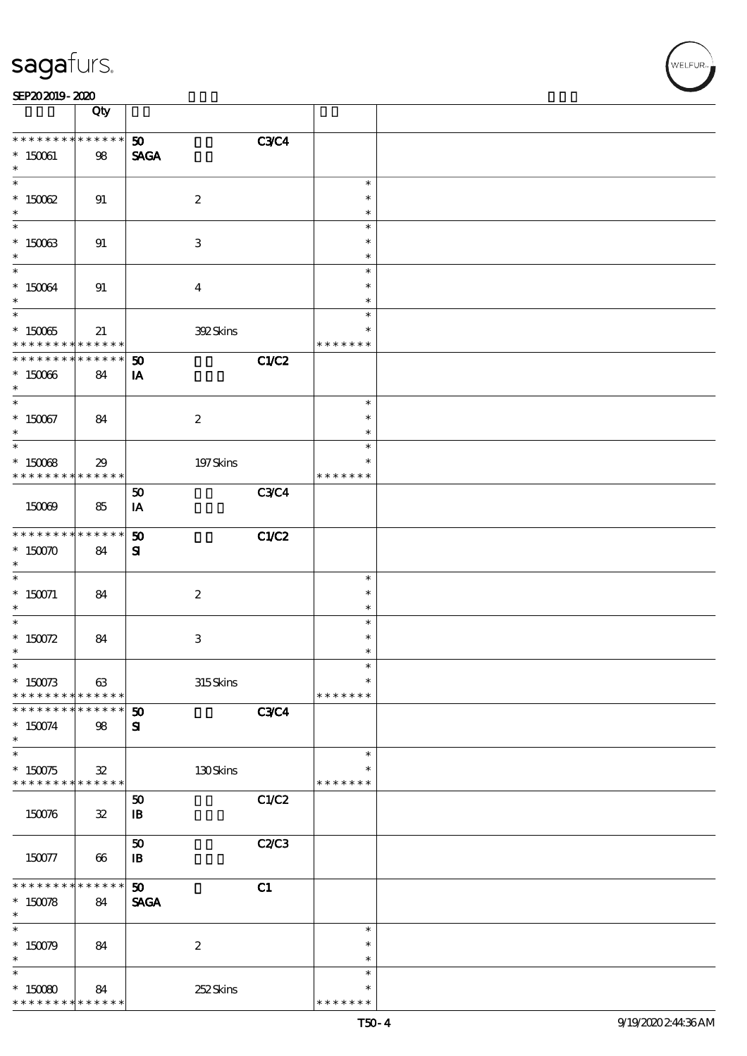|                                | Qty                     |                                  |             |                         |  |
|--------------------------------|-------------------------|----------------------------------|-------------|-------------------------|--|
| * * * * * * * *                | $******$                | 50                               | <b>C3C4</b> |                         |  |
| $*$ 150061<br>$\ast$           | 98                      | <b>SAGA</b>                      |             |                         |  |
|                                |                         |                                  |             | $\ast$                  |  |
| $*$ 150062<br>$\ast$           | 91                      | $\boldsymbol{z}$                 |             | $\ast$<br>$\ast$        |  |
| $\ast$                         |                         |                                  |             | $\ast$                  |  |
| $*$ 150063<br>$\ast$           | 91                      | $\ensuremath{\mathbf{3}}$        |             | $\ast$<br>$\ast$        |  |
| $\ast$                         |                         |                                  |             | $\ast$                  |  |
| $* 150064$<br>$\ast$           | 91                      | $\boldsymbol{4}$                 |             | $\ast$<br>$\ast$        |  |
|                                |                         |                                  |             | $\ast$                  |  |
| $* 150065$<br>* * * * * * * *  | 21<br>* * * * * *       | 392Skins                         |             | *<br>* * * * * * *      |  |
| * * * * * * *                  | * * * * * *             | 50                               | C1/C2       |                         |  |
| $*15006$<br>$\ast$             | 84                      | IA                               |             |                         |  |
| $\overline{\phantom{0}}$       |                         |                                  |             | $\ast$                  |  |
| $*150067$<br>$\ast$            | 84                      | $\boldsymbol{2}$                 |             | $\ast$<br>$\ast$        |  |
|                                |                         |                                  |             | $\ast$                  |  |
| $*$ 150068<br>* * * * * * * *  | 29<br>* * * * * *       | $197$ Skins                      |             | $\ast$<br>* * * * * * * |  |
|                                |                         | ${\bf 50}$                       | <b>C3C4</b> |                         |  |
| 150069                         | 85                      | IA                               |             |                         |  |
| * * * * * * * * <mark>*</mark> | $* * * * * * *$         | 50                               | C1/C2       |                         |  |
| $*$ 150070<br>$\ast$           | 84                      | ${\bf s}$                        |             |                         |  |
| $\overline{\ast}$              |                         |                                  |             | $\ast$                  |  |
| $* 150071$                     | 84                      | $\boldsymbol{2}$                 |             | $\ast$                  |  |
| $\ast$                         |                         |                                  |             | $\ast$                  |  |
| $\ast$                         |                         |                                  |             | $\ast$                  |  |
| * $150072$                     | 84                      | $\ensuremath{\mathbf{3}}$        |             | $\ast$                  |  |
| $\ast$                         |                         |                                  |             | $\ast$                  |  |
| $\ast$                         |                         |                                  |             |                         |  |
| $*150073$<br>* * * * * * * *   | 63<br>* * * * * *       | 315Skins                         |             | $\ast$<br>* * * * * * * |  |
| * * * * * * * *                | $* * * * * * *$         | $\boldsymbol{\mathfrak{D}}$      | <b>C3C4</b> |                         |  |
| $*150074$<br>$\ast$            | 98                      | ${\bf s}$                        |             |                         |  |
| $\ast$                         |                         |                                  |             | $\ast$                  |  |
| $*150075$<br>* * * * * * * *   | $\mathbf{32}$<br>****** | $130$ Skins                      |             | $\ast$<br>* * * * * * * |  |
| 150076                         | ${\bf 32}$              | 50<br>$\, {\bf I} \! {\bf B} \,$ | C1/C2       |                         |  |
| 150077                         | 66                      | 50<br>$\mathbf{B}$               | C2C3        |                         |  |
| * * * * * * * *                | * * * * * *             | 50                               | C1          |                         |  |
| $*150078$<br>$\ast$            | 84                      | <b>SAGA</b>                      |             |                         |  |
| $\ast$                         |                         |                                  |             | $\ast$                  |  |
| $*150079$                      | 84                      | $\boldsymbol{z}$                 |             | $\ast$                  |  |
| $\ast$                         |                         |                                  |             | $\ast$                  |  |
| $\ast$                         |                         |                                  |             | $\ast$                  |  |
| $*15000$                       | 84                      | 252Skins                         |             | $\ast$                  |  |
| * * * * * * * *                | * * * * * *             |                                  |             | * * * * * * *           |  |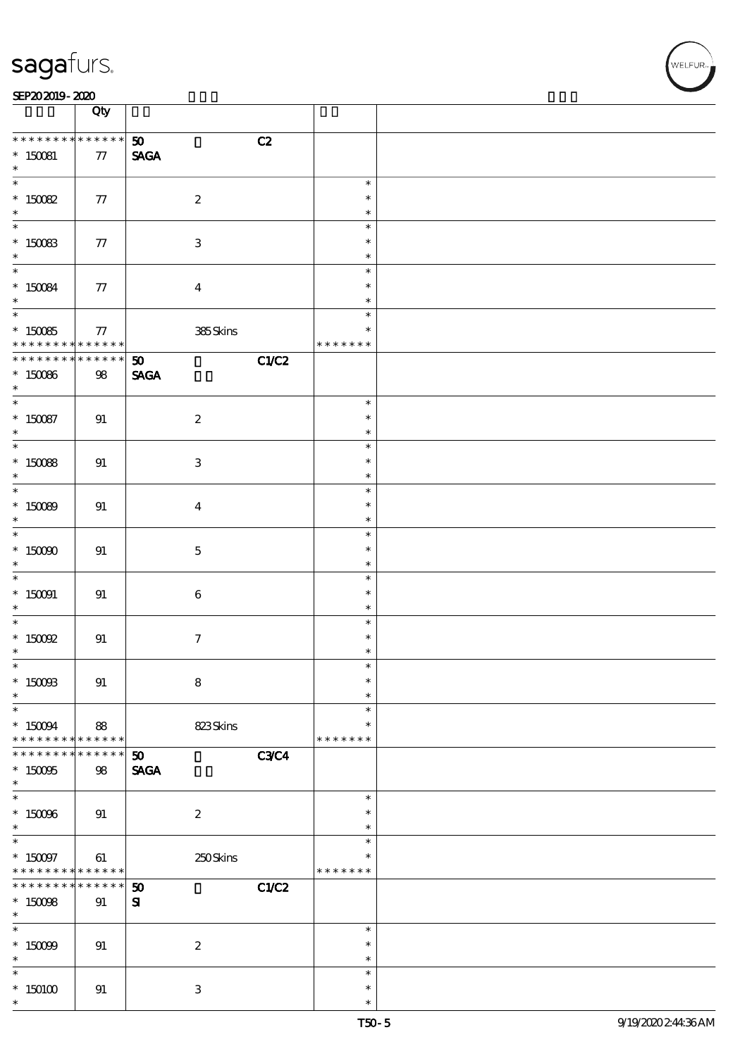|                          | Qty             |                                      |               |  |
|--------------------------|-----------------|--------------------------------------|---------------|--|
| * * * * * * * *          | $******$        |                                      |               |  |
|                          |                 | C2<br>50 <sub>o</sub>                |               |  |
| $* 150081$               | $77\,$          | <b>SAGA</b>                          |               |  |
| $\ast$                   |                 |                                      |               |  |
| $\overline{\ast}$        |                 |                                      | $\ast$        |  |
| $*$ 150082               | $77\,$          | $\boldsymbol{2}$                     | $\ast$        |  |
|                          |                 |                                      |               |  |
| $\ast$                   |                 |                                      | $\ast$        |  |
| $\ast$                   |                 |                                      | $\ast$        |  |
| $* 150083$               | 77              | $\ensuremath{\mathbf{3}}$            | $\ast$        |  |
|                          |                 |                                      | $\ast$        |  |
| $\ast$                   |                 |                                      |               |  |
| $\ddot{x}$               |                 |                                      | $\ast$        |  |
|                          | $77\,$          | $\boldsymbol{4}$                     | $\ast$        |  |
| * 150084                 |                 |                                      | $\ast$        |  |
| $\overline{\ast}$        |                 |                                      | $\ast$        |  |
|                          |                 |                                      |               |  |
| $* 15005$                | 77              | 385Skins                             | $\ast$        |  |
| * * * * * * * *          | * * * * * *     |                                      | * * * * * * * |  |
| * * * * * * *            | * * * * * *     | C1/C2<br>$\boldsymbol{\mathfrak{D}}$ |               |  |
|                          |                 |                                      |               |  |
| $*150066$                | $98\,$          | <b>SAGA</b>                          |               |  |
| $\ast$                   |                 |                                      |               |  |
| $\ast$                   |                 |                                      | $\ast$        |  |
| $* 150087$               | 91              | $\boldsymbol{2}$                     | $\ast$        |  |
| $\ast$                   |                 |                                      |               |  |
|                          |                 |                                      | $\ast$        |  |
| $\overline{\ast}$        |                 |                                      | $\ast$        |  |
| $* 15008$                | 91              | $\ensuremath{\mathbf{3}}$            | $\ast$        |  |
| $\ast$                   |                 |                                      | $\ast$        |  |
|                          |                 |                                      |               |  |
| $*$                      |                 |                                      | $\ast$        |  |
| $* 15000$                | 91              | $\boldsymbol{4}$                     | $\ast$        |  |
| $\ast$                   |                 |                                      | $\ast$        |  |
| $\overline{\phantom{0}}$ |                 |                                      | $\ast$        |  |
|                          |                 |                                      |               |  |
| $*$ 150000               | 91              | $\mathbf 5$                          | $\ast$        |  |
| $\ast$                   |                 |                                      | $\ast$        |  |
|                          |                 |                                      | $\ast$        |  |
|                          |                 |                                      |               |  |
| $* 150091$               | 91              | $\bf 6$                              | $\ast$        |  |
| $\ast$                   |                 |                                      | $\ast$        |  |
| $*$                      |                 |                                      | $\ast$        |  |
| $*$ 150092               | 91              | $\tau$                               | $\ast$        |  |
|                          |                 |                                      |               |  |
| $\ast$                   |                 |                                      | $\ast$        |  |
| $\ast$                   |                 |                                      | ж             |  |
| $*$ 150088               | 91              | $\bf 8$                              | $\ast$        |  |
| $\ast$                   |                 |                                      | $\ast$        |  |
|                          |                 |                                      |               |  |
| $\ast$                   |                 |                                      | $\ast$        |  |
| $*$ 150094               | 88              | 823Skins                             | $\ast$        |  |
| * * * * * * * *          | ******          |                                      | * * * * * * * |  |
| * * * * * * * *          | $* * * * * * *$ |                                      |               |  |
|                          |                 | <b>C3C4</b><br>50 <sub>2</sub>       |               |  |
| $* 150005$               | 98              | <b>SAGA</b>                          |               |  |
| $\ast$                   |                 |                                      |               |  |
| $\overline{\ast}$        |                 |                                      | $\ast$        |  |
|                          |                 |                                      |               |  |
| $* 15006$                | 91              | $\boldsymbol{2}$                     | $\ast$        |  |
| $\ast$                   |                 |                                      | $\ast$        |  |
|                          |                 |                                      | $\ast$        |  |
|                          |                 |                                      | $\ast$        |  |
| $*$ 150097               | 61              | 250Skins                             |               |  |
| * * * * * * * *          | * * * * * *     |                                      | * * * * * * * |  |
| * * * * * * *            | $* * * * * *$   | 50<br>C1/C2                          |               |  |
| $*$ 150088               | 91              | ${\bf s}$                            |               |  |
| $\ast$                   |                 |                                      |               |  |
|                          |                 |                                      |               |  |
| $\overline{\ast}$        |                 |                                      | $\ast$        |  |
| $* 15009$                | 91              | $\boldsymbol{z}$                     | $\ast$        |  |
| $\ast$                   |                 |                                      | $\ast$        |  |
| $\ast$                   |                 |                                      | $\ast$        |  |
|                          |                 |                                      |               |  |
| $*150100$                | 91              | $\ensuremath{\mathbf{3}}$            | $\ast$        |  |
| $\ast$                   |                 |                                      | $\ast$        |  |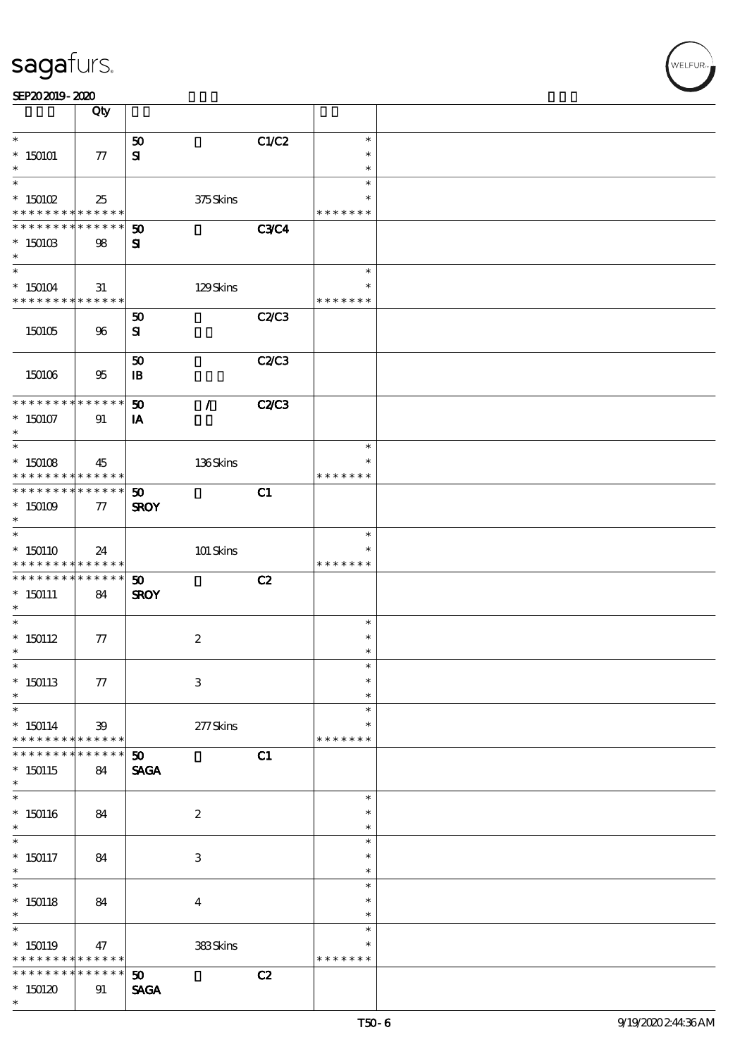|                                                                                        | Qty                   |                                |                         |              |                         |  |
|----------------------------------------------------------------------------------------|-----------------------|--------------------------------|-------------------------|--------------|-------------------------|--|
| $\ast$                                                                                 |                       | 50                             |                         | C1/C2        | $\ast$                  |  |
| $*150101$                                                                              | 77                    | ${\bf s}$                      |                         |              | $\ast$                  |  |
|                                                                                        |                       |                                |                         |              | $\ast$                  |  |
| $\ast$                                                                                 |                       |                                |                         |              | $\ast$                  |  |
| $*$ 150102                                                                             | 25                    |                                | 375Skins                |              | $\ast$                  |  |
| * * * * * * * * <mark>* * * * * * *</mark><br>* * * * * * * *                          | * * * * * *           | $\boldsymbol{\mathfrak{D}}$    |                         | <b>C3C4</b>  | * * * * * * *           |  |
| $*$ 150103                                                                             | 98                    | ${\bf s}$                      |                         |              |                         |  |
| $\ast$                                                                                 |                       |                                |                         |              |                         |  |
| $\ast$                                                                                 |                       |                                |                         |              | $\ast$                  |  |
| $*150104$                                                                              | 31                    |                                | 129Skins                |              | $\ast$                  |  |
| * * * * * * * * <mark>* * * * * * *</mark>                                             |                       |                                |                         |              | * * * * * * *           |  |
|                                                                                        |                       | 50                             |                         | <b>C2/C3</b> |                         |  |
| 150105                                                                                 | 96                    | ${\bf s}$                      |                         |              |                         |  |
|                                                                                        |                       |                                |                         | C2C3         |                         |  |
| 150106                                                                                 | 95                    | 50<br>$\mathbf{B}$             |                         |              |                         |  |
|                                                                                        |                       |                                |                         |              |                         |  |
| * * * * * * * * * * * * * * *                                                          |                       | 50                             | $\mathcal{F}$           | <b>C2/C3</b> |                         |  |
| $*150107$                                                                              | 91                    | IA                             |                         |              |                         |  |
| $\ast$                                                                                 |                       |                                |                         |              |                         |  |
| $\overline{\ast}$                                                                      |                       |                                |                         |              | $\ast$                  |  |
| $*150108$                                                                              | 45                    |                                | 136Skins                |              | $\ast$                  |  |
| * * * * * * * * <mark>* * * * * *</mark><br>* * * * * * * * <mark>* * * * * * *</mark> |                       |                                |                         |              | * * * * * * *           |  |
| $*$ 150109                                                                             | 77                    | 50<br><b>SROY</b>              |                         | C1           |                         |  |
| $\ast$                                                                                 |                       |                                |                         |              |                         |  |
| $\overline{\ast}$                                                                      |                       |                                |                         |              | $\ast$                  |  |
| $*150110$                                                                              | 24                    |                                | 101 Skins               |              | $\ast$                  |  |
| * * * * * * * * <mark>* * * * * *</mark>                                               |                       |                                |                         |              | * * * * * * *           |  |
| * * * * * * * * <mark>* * * * * * *</mark>                                             |                       | $\boldsymbol{\mathfrak{D}}$    |                         | C2           |                         |  |
| $*150111$                                                                              | 84                    | <b>SROY</b>                    |                         |              |                         |  |
| $\ast$<br>$\ast$                                                                       |                       |                                |                         |              | $\ast$                  |  |
| $*$ 150112                                                                             | 77                    |                                | $\boldsymbol{2}$        |              | $\ast$                  |  |
| $^{\ast}$                                                                              |                       |                                |                         |              | $\ast$                  |  |
| $\ast$                                                                                 |                       |                                |                         |              | $\ast$                  |  |
| $*150113$                                                                              | 77                    |                                | $\,3$                   |              | $\ast$                  |  |
| $\ast$                                                                                 |                       |                                |                         |              | $\ast$                  |  |
| $\ast$                                                                                 |                       |                                |                         |              | $\ast$                  |  |
| $* 150114$<br>* * * * * * * *                                                          | 39<br>$* * * * * * *$ |                                | $277$ Skins             |              | $\ast$<br>* * * * * * * |  |
| * * * * * * *                                                                          | * * * * * *           | 50 <sub>o</sub>                |                         | C1           |                         |  |
| $*150115$                                                                              | 84                    | <b>SAGA</b>                    |                         |              |                         |  |
| $\ast$                                                                                 |                       |                                |                         |              |                         |  |
|                                                                                        |                       |                                |                         |              | $\ast$                  |  |
| $*150116$                                                                              | 84                    |                                | $\boldsymbol{2}$        |              | $\ast$                  |  |
| $\ast$                                                                                 |                       |                                |                         |              | $\ast$                  |  |
| $\ast$                                                                                 |                       |                                |                         |              | $\ast$<br>$\ast$        |  |
| $*150117$<br>$*$                                                                       | 84                    |                                | 3                       |              | $\ast$                  |  |
| $\overline{\phantom{0}}$                                                               |                       |                                |                         |              | $\ast$                  |  |
| $*150118$                                                                              | 84                    |                                | $\overline{\mathbf{4}}$ |              | $\ast$                  |  |
| $\ast$                                                                                 |                       |                                |                         |              | $\ast$                  |  |
| $\ast$                                                                                 |                       |                                |                         |              | $\ast$                  |  |
| $*150119$                                                                              | 47                    |                                | $383$ Skins $\,$        |              | $\ast$                  |  |
| * * * * * * * * <mark>* * * * * *</mark><br>* * * * * * * *                            | * * * * * *           |                                |                         |              | * * * * * * *           |  |
| $*150120$                                                                              |                       | 50 <sub>o</sub><br><b>SAGA</b> |                         | C2           |                         |  |
| $\ast$                                                                                 | 91                    |                                |                         |              |                         |  |
|                                                                                        |                       |                                |                         |              |                         |  |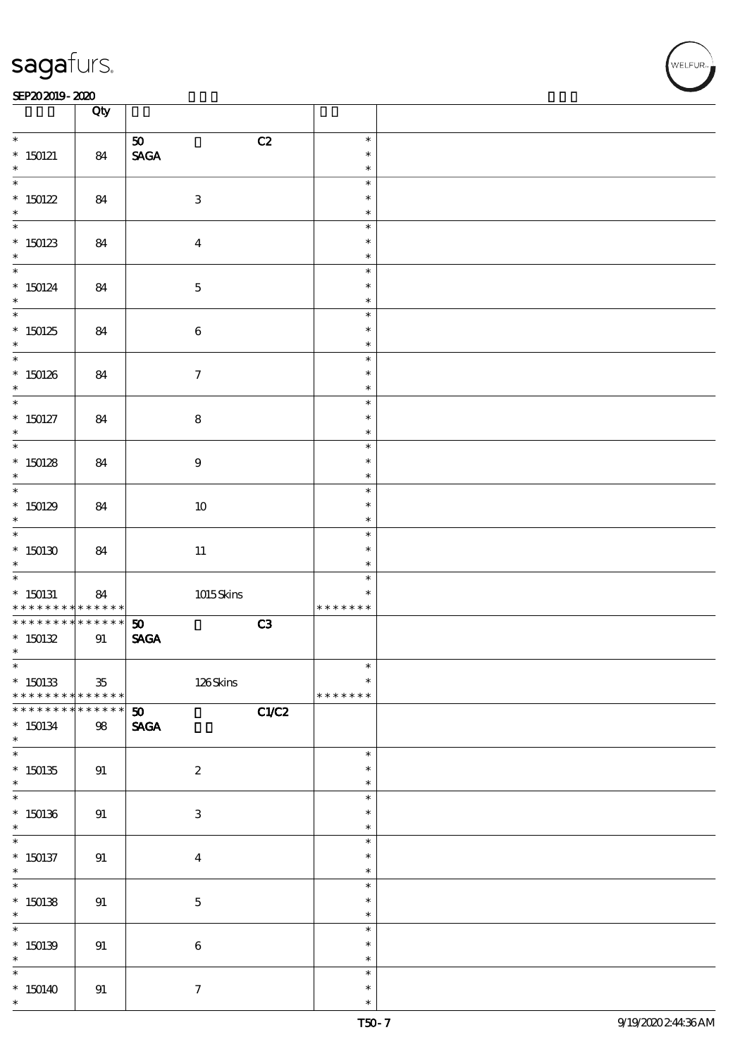#### SEP202019-2020 EXP = 2020 EXP = 2020 EXP = 2020 EXP = 2020 EXP = 2020 EXP = 2020 EXP = 2020 EXP = 2020 EXP = 2

|                                                  | Qty                   |                                                                     |                                   |  |
|--------------------------------------------------|-----------------------|---------------------------------------------------------------------|-----------------------------------|--|
| $*$<br>$*$ 150121                                | 84                    | C2<br>$\boldsymbol{\mathfrak{D}}$<br>$\operatorname{\mathsf{SAGA}}$ | $\ast$<br>$\ast$                  |  |
| $\ast$                                           |                       |                                                                     | $\ast$<br>$\ast$                  |  |
| $*150122$<br>$\ast$                              | 84                    | $\ensuremath{\mathbf{3}}$                                           | $\ast$<br>$\ast$                  |  |
| $*150123$<br>$\ast$                              | 84                    | $\boldsymbol{4}$                                                    | $\ast$<br>$\ast$<br>$\ast$        |  |
| $\overline{\phantom{0}}$<br>$*$ 150124<br>$\ast$ | 84                    | $\mathbf 5$                                                         | $\ast$<br>$\ast$<br>$\ast$        |  |
| $\overline{\phantom{0}}$<br>$*150125$<br>$\ast$  | 84                    | $\bf 6$                                                             | $\ast$<br>$\ast$<br>$\ast$        |  |
| $*150126$<br>$\ast$                              | 84                    | $\boldsymbol{\tau}$                                                 | $\ast$<br>$\ast$<br>$\ast$        |  |
| $*$<br>$*$ 150127<br>$\ast$                      | 84                    | ${\bf 8}$                                                           | $\ast$<br>$\ast$<br>$\ast$        |  |
| $*150128$<br>$\ast$                              | 84                    | $9\,$                                                               | $\ast$<br>$\ast$<br>$\ast$        |  |
| $*150129$<br>$\ast$                              | 84                    | $10\,$                                                              | $\ast$<br>$\ast$<br>$\ast$        |  |
| $*150130$<br>$\ast$                              | 84                    | $11\,$                                                              | $\ast$<br>$\ast$<br>$\ast$        |  |
| $*$ 150131<br>* * * * * * * *                    | 84<br>* * * * * *     | $1015$ Skins                                                        | $\ast$<br>$\ast$<br>* * * * * * * |  |
| * * * * * * * *<br>$*150132$<br>$\ast$           | $******$<br>91        | C3<br>50<br>$\ensuremath{\mathsf{SAGA}}$                            |                                   |  |
| $*150133$<br>* * * * * * * *                     | $35\,$<br>* * * * * * | 126Skins                                                            | $\ast$<br>$\ast$<br>* * * * * * * |  |
| * * * * * * * *<br>$*150134$<br>$\ast$           | $* * * * * * *$<br>98 | C1/C2<br>50<br><b>SAGA</b>                                          |                                   |  |
| $\overline{\ast}$<br>$*150135$<br>$\ast$         | 91                    | $\boldsymbol{2}$                                                    | $\ast$<br>$\ast$<br>$\ast$        |  |
| $*150136$<br>$\ast$                              | 91                    | 3                                                                   | $\ast$<br>$\ast$<br>$\ast$        |  |
| $*$ 150137<br>$\ast$                             | 91                    | $\boldsymbol{4}$                                                    | $\ast$<br>$\ast$<br>$\ast$        |  |
| $\ddot{x}$<br>$*150138$<br>$\ast$                | 91                    | $\mathbf 5$                                                         | $\ast$<br>$\ast$<br>$\ast$        |  |
| $*150139$<br>$\ast$                              | 91                    | $\bf 6$                                                             | $\ast$<br>$\ast$<br>$\ast$        |  |
| * 150140 *                                       | 91                    | $\tau$                                                              | $\ast$<br>$\ast$<br>$\ast$        |  |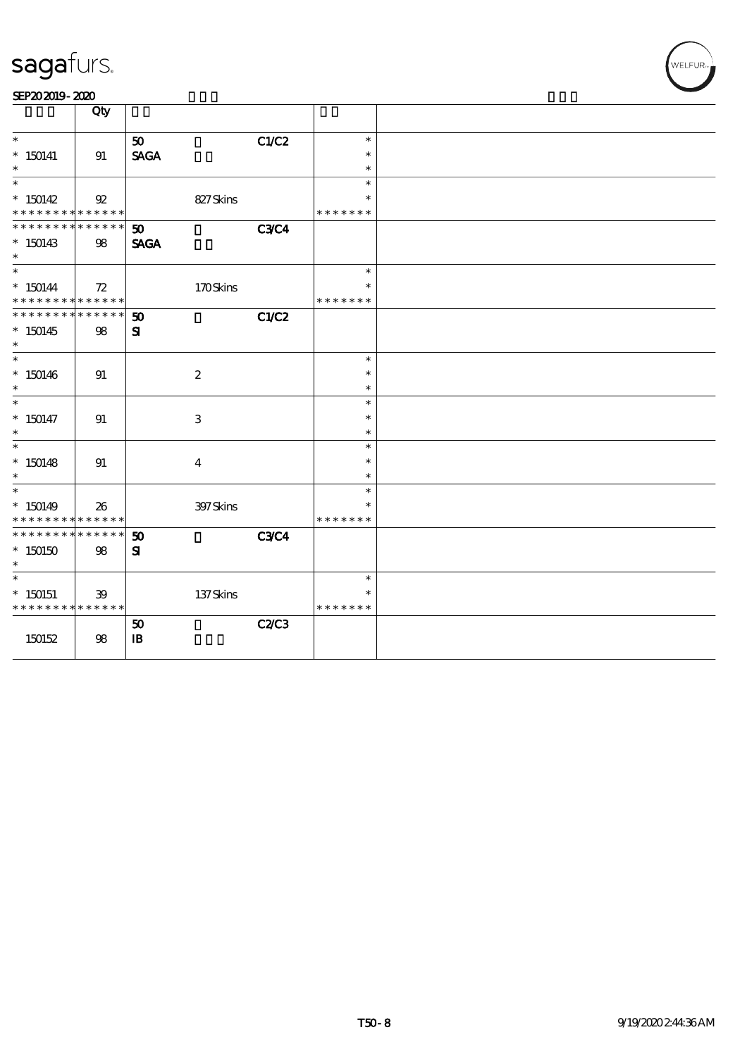| SEP202019-2020 |  |  |
|----------------|--|--|
|----------------|--|--|

|                                                       | Qty            |                         |              |                         |  |
|-------------------------------------------------------|----------------|-------------------------|--------------|-------------------------|--|
| $\ast$                                                |                | 50                      | C1/C2        | $\ast$                  |  |
| $* 150141$                                            | 91             | <b>SAGA</b>             |              | $\ast$                  |  |
| $\ast$                                                |                |                         |              | $\ast$                  |  |
| $\ast$                                                |                |                         |              | $\ast$                  |  |
| $*150142$<br>* * * * * * * * <mark>* * * * * *</mark> | $\mathfrak{B}$ | 827Skins                |              | $\ast$<br>* * * * * * * |  |
| * * * * * * * *                                       | * * * * * *    | 50                      | <b>C3C4</b>  |                         |  |
| $*150143$                                             | $98\,$         | <b>SAGA</b>             |              |                         |  |
| $\ast$                                                |                |                         |              |                         |  |
| $\ast$                                                |                |                         |              | $\ast$                  |  |
| $* 150144$                                            | 72             | 170Skins                |              | $\ast$                  |  |
| * * * * * * * * <mark>* * * * * *</mark>              |                |                         |              | * * * * * * *           |  |
| * * * * * * * *                                       | * * * * * *    | 50                      | C1/C2        |                         |  |
| $*150145$<br>$\ast$                                   | 98             | ${\bf s}$               |              |                         |  |
| $\ast$                                                |                |                         |              | $\ast$                  |  |
| $*150146$                                             | 91             | $\boldsymbol{2}$        |              | $\ast$                  |  |
| $\ast$                                                |                |                         |              | $\ast$                  |  |
| $\ast$                                                |                |                         |              | $\ast$                  |  |
| $* 150147$                                            | 91             | $\,3$                   |              | $\ast$                  |  |
| $\ast$                                                |                |                         |              | $\ast$                  |  |
| $\ast$                                                |                |                         |              | $\ast$                  |  |
| $*150148$                                             | 91             | $\overline{\mathbf{4}}$ |              | $\ast$                  |  |
| $\ast$<br>$\ast$                                      |                |                         |              | $\ast$<br>$\ast$        |  |
| $*150149$                                             | 26             | 397Skins                |              | $\ast$                  |  |
| * * * * * * * *                                       | * * * * * *    |                         |              | * * * * * * *           |  |
| * * * * * * * *                                       | * * * * * *    | 50                      | <b>C3C4</b>  |                         |  |
| $^*$ 150150 $\,$                                      | 98             | $\mathbf{S}$            |              |                         |  |
| $\ast$                                                |                |                         |              |                         |  |
| $\overline{\ast}$                                     |                |                         |              | $\ast$                  |  |
| $*$ 150151                                            | 39             | 137Skins                |              | $\ast$                  |  |
| * * * * * * * *                                       | * * * * * *    |                         |              | * * * * * * *           |  |
|                                                       |                | 50                      | <b>C2/C3</b> |                         |  |
| 150152                                                | 98             | ${\bf I\!B}$            |              |                         |  |
|                                                       |                |                         |              |                         |  |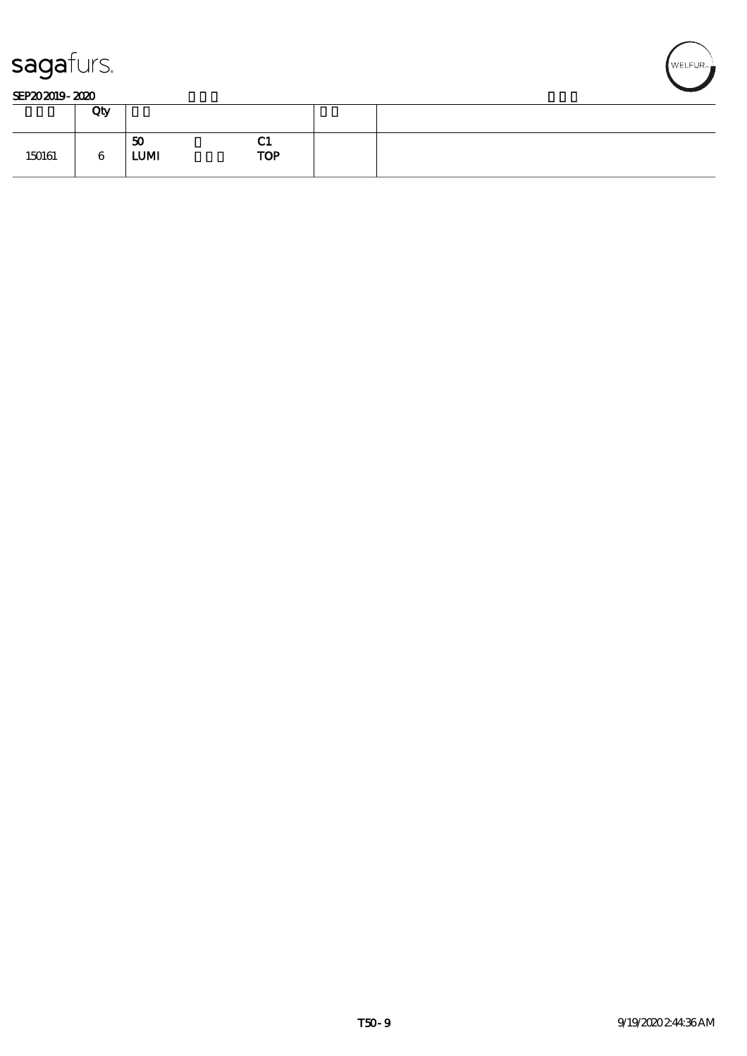

#### SEP202019-2020

|        | Qty |                   |                              |  |
|--------|-----|-------------------|------------------------------|--|
| 150161 | 6   | 50<br><b>LUMI</b> | $\sim$ 1<br>ЧŢ<br><b>TOP</b> |  |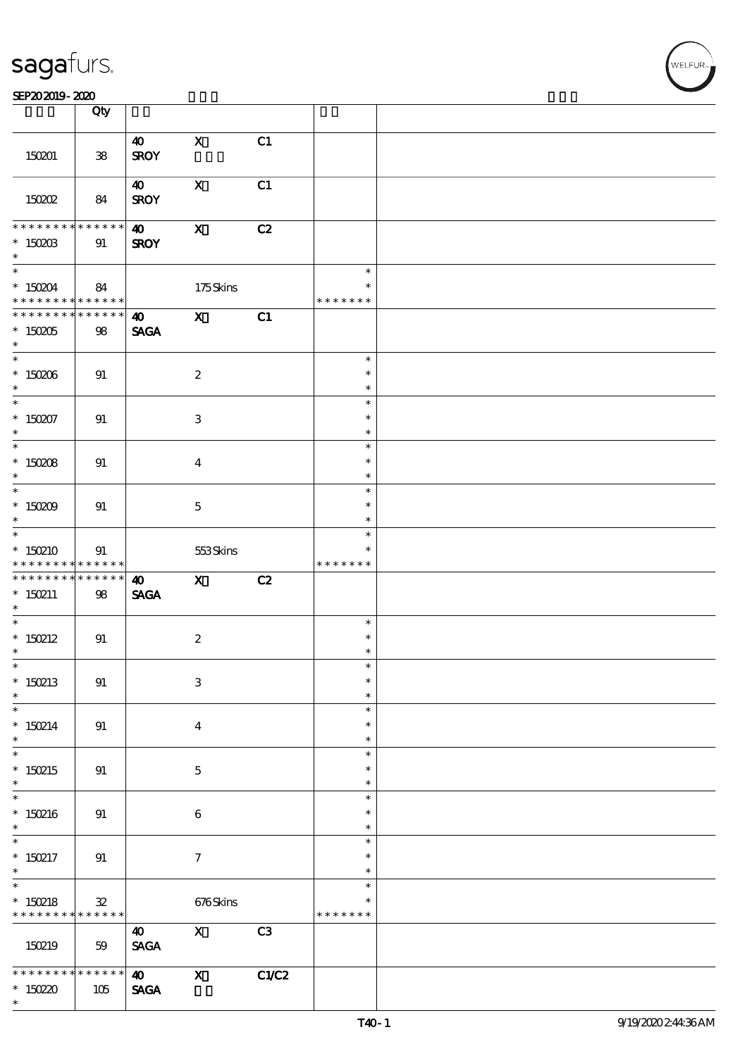#### SEP202019-2020 EXP = 2020 EXP = 2020 EXP = 2020 EXP = 2020 EXP = 2020 EXP = 2020 EXP = 2020 EXP = 2020 EXP = 2

|                                                                                    | Qty                           |                                                           |                                          |             |                                   |  |
|------------------------------------------------------------------------------------|-------------------------------|-----------------------------------------------------------|------------------------------------------|-------------|-----------------------------------|--|
| 150201                                                                             | ${\bf 38}$                    | $\boldsymbol{\omega}$<br><b>SROY</b>                      | $\mathbf{x}$                             | C1          |                                   |  |
| 150202                                                                             | 84                            | $\boldsymbol{\omega}$<br><b>SROY</b>                      | $\mathbf X$                              | C1          |                                   |  |
| * * * * * * * *<br>$*$ 150203<br>$\ast$                                            | ******<br>91                  | $\boldsymbol{\omega}$<br><b>SROY</b>                      | $\mathbf{X}$                             | C2          |                                   |  |
| $\overline{\phantom{0}}$<br>* 150204 84<br>* * * * * * * * * * * * * * *           |                               |                                                           | 175Skins                                 |             | $\ast$<br>$\ast$<br>* * * * * * * |  |
| * * * * * * * * * * * * * * *<br>$*$ 150205<br>$\ast$                              | 98                            | $\boldsymbol{40}$<br><b>SAGA</b>                          | $\mathbf{X}$                             | C1          |                                   |  |
| $* 150006$<br>$\ast$                                                               | 91                            |                                                           | $\boldsymbol{2}$                         |             | $\ast$<br>$\ast$<br>$\ast$        |  |
| $\ast$<br>$*150207$<br>$\ast$                                                      | 91                            |                                                           | $\,3$                                    |             | $\ast$<br>$\ast$<br>$\ast$        |  |
| $* 15008$<br>$\ast$                                                                | 91                            |                                                           | $\overline{\mathbf{4}}$                  |             | $\ast$<br>$\ast$<br>$\ast$        |  |
| $\overline{\phantom{0}}$<br>* $15009$<br>$\ast$                                    | 91                            |                                                           | $\mathbf{5}$                             |             | $\ast$<br>$\ast$<br>$\ast$        |  |
| $*$<br>$*150210$<br>* * * * * * * * <mark>* * * * * *</mark>                       | 91                            |                                                           | 553Skins                                 |             | $\ast$<br>* * * * * * *           |  |
| * * * * * * * * * * * * * * *                                                      |                               | $\boldsymbol{\omega}$                                     | $\mathbf{X}$                             | C2          |                                   |  |
| $* 150211$<br>$*$                                                                  | 98                            | <b>SAGA</b>                                               |                                          |             |                                   |  |
|                                                                                    | 91                            |                                                           | $\boldsymbol{2}$                         |             | $\ast$<br>$\ast$<br>$\ast$        |  |
| $\overline{\phantom{0}}$<br>* $150212$<br>$\ast$<br>$\ast$<br>* $150213$<br>$\ast$ | 91                            |                                                           | $\ensuremath{\mathbf{3}}$                |             | $\ast$<br>$\ast$<br>$\ast$        |  |
| $\overline{\phantom{0}}$<br>$* 150214$<br>$\ast$                                   | 91                            |                                                           | $\overline{\mathbf{4}}$                  |             | $\ast$<br>$\ast$<br>$\ast$        |  |
| $\overline{\phantom{0}}$<br>$*150215$<br>$\ast$                                    | 91                            |                                                           | $\mathbf 5$                              |             | $\ast$<br>$\ast$<br>$\ast$        |  |
| $*150216$<br>$\ast$                                                                | 91                            |                                                           | $\bf 6$                                  |             | $\ast$<br>$\ast$<br>$\ast$        |  |
| $\ast$<br>$* 150217$<br>$\ast$                                                     | 91                            |                                                           | $\tau$                                   |             | $\ast$<br>$\ast$<br>$\ast$        |  |
| $\ast$<br>$* 150218$<br>* * * * * * * *                                            | ${\bf 32}$<br>$* * * * * * *$ |                                                           | 676Skins                                 |             | $\ast$<br>$\ast$<br>* * * * * * * |  |
| 150219<br>* * * * * * *                                                            | 59<br>$* * * * * * *$         | $\boldsymbol{\omega}$<br><b>SAGA</b><br>$\boldsymbol{40}$ | $\boldsymbol{\mathsf{X}}$<br>$\mathbf x$ | C3<br>C1/C2 |                                   |  |

 $\overline{\mathbf{r}}$ 

.<br>WELFUR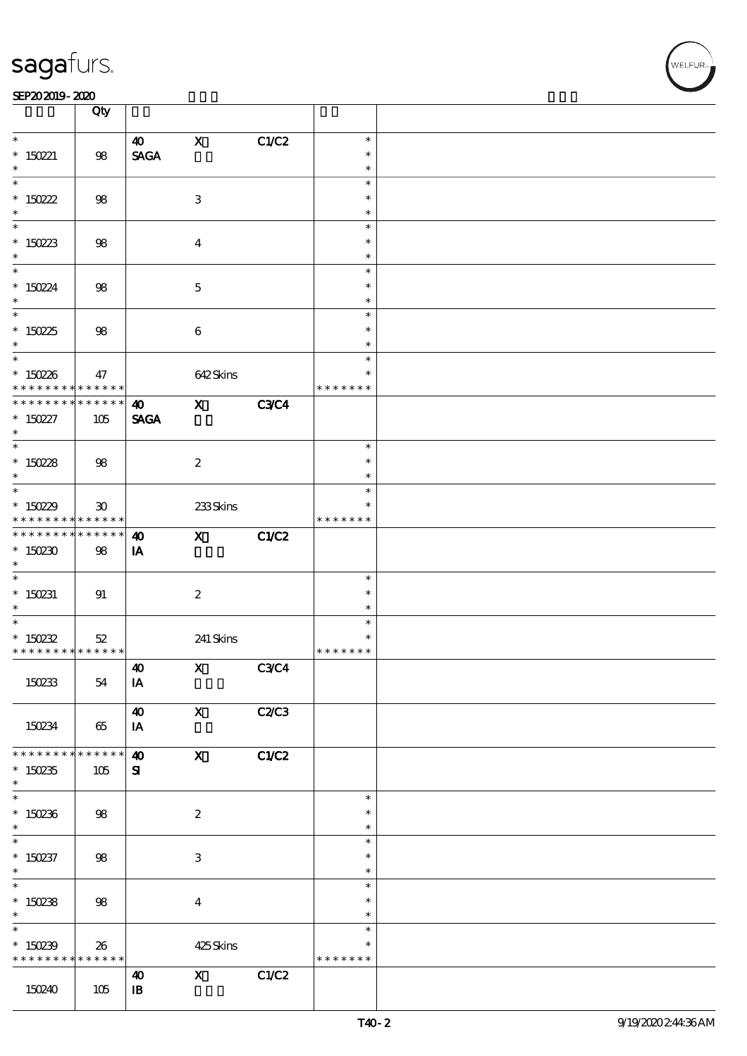#### SEP202019-2020 EXP = 2020 EXP = 2020 EXP = 2020 EXP = 2020 EXP = 2020 EXP = 2020 EXP = 2020 EXP = 2020 EXP = 2

|                                                         | Qty                                                       |                                    |                                                                                                                                                                                                                                                                                                                                                                                                                                                               |             |                  |  |
|---------------------------------------------------------|-----------------------------------------------------------|------------------------------------|---------------------------------------------------------------------------------------------------------------------------------------------------------------------------------------------------------------------------------------------------------------------------------------------------------------------------------------------------------------------------------------------------------------------------------------------------------------|-------------|------------------|--|
| $\ast$                                                  |                                                           | 40                                 | $\mathbf X$                                                                                                                                                                                                                                                                                                                                                                                                                                                   | C1/C2       | $\ast$           |  |
| * $150221$                                              | $98\,$                                                    | <b>SAGA</b>                        |                                                                                                                                                                                                                                                                                                                                                                                                                                                               |             | $\ast$           |  |
| $\ast$                                                  |                                                           |                                    |                                                                                                                                                                                                                                                                                                                                                                                                                                                               |             | $\ast$           |  |
|                                                         |                                                           |                                    |                                                                                                                                                                                                                                                                                                                                                                                                                                                               |             | $\ast$           |  |
| * $150222$                                              | 98                                                        |                                    | 3                                                                                                                                                                                                                                                                                                                                                                                                                                                             |             | $\ast$           |  |
| $\ast$                                                  |                                                           |                                    |                                                                                                                                                                                                                                                                                                                                                                                                                                                               |             | $\ast$           |  |
|                                                         |                                                           |                                    |                                                                                                                                                                                                                                                                                                                                                                                                                                                               |             | $\ast$           |  |
| $*150223$<br>$\ast$                                     | 98                                                        |                                    | $\boldsymbol{4}$                                                                                                                                                                                                                                                                                                                                                                                                                                              |             | $\ast$<br>$\ast$ |  |
|                                                         |                                                           |                                    |                                                                                                                                                                                                                                                                                                                                                                                                                                                               |             | $\ast$           |  |
| * $15024$                                               | $98\,$                                                    |                                    | $\overline{5}$                                                                                                                                                                                                                                                                                                                                                                                                                                                |             | $\ast$           |  |
| $\ast$                                                  |                                                           |                                    |                                                                                                                                                                                                                                                                                                                                                                                                                                                               |             | $\ast$           |  |
|                                                         |                                                           |                                    |                                                                                                                                                                                                                                                                                                                                                                                                                                                               |             | $\ast$           |  |
| * $15025$                                               | 98                                                        |                                    | $\boldsymbol{6}$                                                                                                                                                                                                                                                                                                                                                                                                                                              |             | $\ast$           |  |
| $\ast$                                                  |                                                           |                                    |                                                                                                                                                                                                                                                                                                                                                                                                                                                               |             | $\ast$           |  |
|                                                         |                                                           |                                    |                                                                                                                                                                                                                                                                                                                                                                                                                                                               |             | $\ast$<br>$\ast$ |  |
| $*150236$<br>* * * * * * * *                            | 47<br>$* * * * * * *$                                     |                                    | 642Skins                                                                                                                                                                                                                                                                                                                                                                                                                                                      |             | * * * * * * *    |  |
| * * * * * * * *                                         | $* * * * * * *$                                           | $\boldsymbol{\omega}$              | $\mathbf{x}$                                                                                                                                                                                                                                                                                                                                                                                                                                                  | <b>C3C4</b> |                  |  |
| $* 150227$                                              | 105                                                       | <b>SAGA</b>                        |                                                                                                                                                                                                                                                                                                                                                                                                                                                               |             |                  |  |
| $\ast$                                                  |                                                           |                                    |                                                                                                                                                                                                                                                                                                                                                                                                                                                               |             |                  |  |
|                                                         |                                                           |                                    |                                                                                                                                                                                                                                                                                                                                                                                                                                                               |             | $\ast$           |  |
| * $15028$                                               | 98                                                        |                                    | $\boldsymbol{z}$                                                                                                                                                                                                                                                                                                                                                                                                                                              |             | $\ast$           |  |
| $*$                                                     |                                                           |                                    |                                                                                                                                                                                                                                                                                                                                                                                                                                                               |             | $\ast$           |  |
|                                                         |                                                           |                                    |                                                                                                                                                                                                                                                                                                                                                                                                                                                               |             | $\ast$<br>∗      |  |
| * $15029$<br>* * * * * * * *                            | $\boldsymbol{\mathfrak{D}}$<br>$\ast\ast\ast\ast\ast\ast$ |                                    | 233Skins                                                                                                                                                                                                                                                                                                                                                                                                                                                      |             | * * * * * * *    |  |
| * * * * * * * *                                         | $\ast\ast\ast\ast\ast\ast$                                | $\boldsymbol{\omega}$              | $\mathbf{X}$                                                                                                                                                                                                                                                                                                                                                                                                                                                  | C1/C2       |                  |  |
| $*150230$                                               | 98                                                        | IA                                 |                                                                                                                                                                                                                                                                                                                                                                                                                                                               |             |                  |  |
| $*$                                                     |                                                           |                                    |                                                                                                                                                                                                                                                                                                                                                                                                                                                               |             |                  |  |
|                                                         |                                                           |                                    |                                                                                                                                                                                                                                                                                                                                                                                                                                                               |             | $\ast$           |  |
| $* 150231$                                              | 91                                                        |                                    | $\boldsymbol{2}$                                                                                                                                                                                                                                                                                                                                                                                                                                              |             | $\ast$           |  |
| $*$<br>$*$                                              |                                                           |                                    |                                                                                                                                                                                                                                                                                                                                                                                                                                                               |             | $\ast$           |  |
|                                                         |                                                           |                                    |                                                                                                                                                                                                                                                                                                                                                                                                                                                               |             | $\ast$<br>$\ast$ |  |
| * $15022$<br>* * * * * * * * <mark>* * * * * * *</mark> | $52\,$                                                    |                                    | 241 Skins                                                                                                                                                                                                                                                                                                                                                                                                                                                     |             | * * * * * * *    |  |
|                                                         |                                                           | $\boldsymbol{\omega}$              | $\boldsymbol{\mathrm{X}}$ and $\boldsymbol{\mathrm{X}}$ and $\boldsymbol{\mathrm{X}}$ and $\boldsymbol{\mathrm{X}}$ and $\boldsymbol{\mathrm{X}}$ and $\boldsymbol{\mathrm{X}}$ and $\boldsymbol{\mathrm{X}}$ and $\boldsymbol{\mathrm{X}}$ and $\boldsymbol{\mathrm{X}}$ and $\boldsymbol{\mathrm{X}}$ and $\boldsymbol{\mathrm{X}}$ and $\boldsymbol{\mathrm{X}}$ and $\boldsymbol{\mathrm{X}}$ and $\boldsymbol{\mathrm{X}}$ and $\boldsymbol{\mathrm{X}}$ | C3C4        |                  |  |
| 150233                                                  | 54                                                        | IA                                 |                                                                                                                                                                                                                                                                                                                                                                                                                                                               |             |                  |  |
|                                                         |                                                           |                                    |                                                                                                                                                                                                                                                                                                                                                                                                                                                               |             |                  |  |
|                                                         |                                                           | $\boldsymbol{\omega}$              | $\boldsymbol{\mathsf{X}}$                                                                                                                                                                                                                                                                                                                                                                                                                                     | C2C3        |                  |  |
| 150234                                                  | 65                                                        | IA                                 |                                                                                                                                                                                                                                                                                                                                                                                                                                                               |             |                  |  |
|                                                         |                                                           |                                    |                                                                                                                                                                                                                                                                                                                                                                                                                                                               |             |                  |  |
| * * * * * * *<br>$*150235$                              | * * * * * *<br>105                                        | $\boldsymbol{\omega}$<br>${\bf s}$ | $\boldsymbol{\mathrm{X}}$                                                                                                                                                                                                                                                                                                                                                                                                                                     | C1/C2       |                  |  |
| $\ast$                                                  |                                                           |                                    |                                                                                                                                                                                                                                                                                                                                                                                                                                                               |             |                  |  |
|                                                         |                                                           |                                    |                                                                                                                                                                                                                                                                                                                                                                                                                                                               |             | $\ast$           |  |
| $*150236$                                               | 98                                                        |                                    | $\boldsymbol{z}$                                                                                                                                                                                                                                                                                                                                                                                                                                              |             | $\ast$           |  |
| $*$                                                     |                                                           |                                    |                                                                                                                                                                                                                                                                                                                                                                                                                                                               |             | $\ast$           |  |
|                                                         |                                                           |                                    |                                                                                                                                                                                                                                                                                                                                                                                                                                                               |             | $\ast$           |  |
| $* 150237$                                              | 98                                                        |                                    | $\ensuremath{\mathsf{3}}$                                                                                                                                                                                                                                                                                                                                                                                                                                     |             | $\ast$           |  |
| $*$                                                     |                                                           |                                    |                                                                                                                                                                                                                                                                                                                                                                                                                                                               |             | $\ast$<br>$\ast$ |  |
| $*150238$                                               | 98                                                        |                                    | $\bf{4}$                                                                                                                                                                                                                                                                                                                                                                                                                                                      |             | $\ast$           |  |
| $*$                                                     |                                                           |                                    |                                                                                                                                                                                                                                                                                                                                                                                                                                                               |             | $\ast$           |  |
| $\overline{\ast}$                                       |                                                           |                                    |                                                                                                                                                                                                                                                                                                                                                                                                                                                               |             | $\ast$           |  |
| $*150239$                                               | 26                                                        |                                    | 425Skins                                                                                                                                                                                                                                                                                                                                                                                                                                                      |             | $\ast$           |  |
| * * * * * * * *                                         | * * * * * *                                               |                                    |                                                                                                                                                                                                                                                                                                                                                                                                                                                               |             | * * * * * * *    |  |
|                                                         |                                                           | $\boldsymbol{\omega}$              | $\mathbf{x}$                                                                                                                                                                                                                                                                                                                                                                                                                                                  | C1/C2       |                  |  |
| 150240                                                  | 105                                                       | $\mathbf{B}$                       |                                                                                                                                                                                                                                                                                                                                                                                                                                                               |             |                  |  |
|                                                         |                                                           |                                    |                                                                                                                                                                                                                                                                                                                                                                                                                                                               |             |                  |  |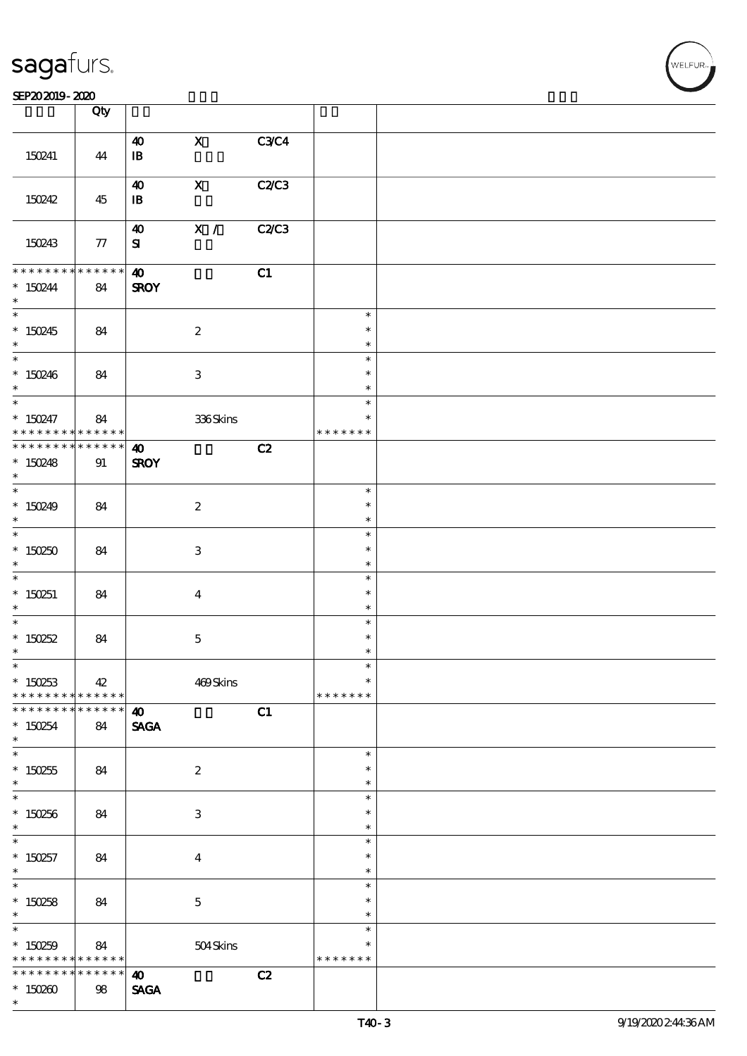### SEP202019-2020

|                                                             | Qty             |                                                         |                           |              |                         |  |
|-------------------------------------------------------------|-----------------|---------------------------------------------------------|---------------------------|--------------|-------------------------|--|
|                                                             |                 | $\boldsymbol{\omega}$                                   | $\mathbf{x}$              | C3C4         |                         |  |
| 150241                                                      | 44              | $\, {\bf I} \! {\bf B} \,$                              |                           |              |                         |  |
|                                                             |                 |                                                         |                           |              |                         |  |
|                                                             |                 | $\boldsymbol{40}$                                       | $\mathbf X$               | C2/C3        |                         |  |
| 150242                                                      | 45              | $\mathbf{B}$                                            |                           |              |                         |  |
|                                                             |                 | $\boldsymbol{\omega}$                                   | $\overline{\mathbf{x}}$ / | <b>C2/C3</b> |                         |  |
| 150243                                                      | 77              | ${\bf s}$                                               |                           |              |                         |  |
|                                                             |                 |                                                         |                           |              |                         |  |
| * * * * * * * *                                             | $* * * * * * *$ | $\boldsymbol{\omega}$                                   |                           | C1           |                         |  |
| $* 150244$                                                  | 84              | <b>SROY</b>                                             |                           |              |                         |  |
| $\ast$                                                      |                 |                                                         |                           |              |                         |  |
|                                                             |                 |                                                         |                           |              | $\ast$<br>$\ast$        |  |
| $*150245$<br>$\ast$                                         | 84              |                                                         | $\boldsymbol{2}$          |              | $\ast$                  |  |
| $\overline{\phantom{0}}$                                    |                 |                                                         |                           |              | $\ast$                  |  |
| $*150246$                                                   | 84              |                                                         | $\ensuremath{\mathbf{3}}$ |              | $\ast$                  |  |
| $\ast$                                                      |                 |                                                         |                           |              | $\ast$                  |  |
| $\ast$                                                      |                 |                                                         |                           |              | $\ast$                  |  |
| $* 150247$<br>* * * * * * * *                               | 84<br>******    |                                                         | 336Skins                  |              | $\ast$<br>* * * * * * * |  |
| * * * * * * * * * * * * * * *                               |                 | $\boldsymbol{\omega}$                                   |                           | C2           |                         |  |
| $*150248$                                                   | 91              | <b>SROY</b>                                             |                           |              |                         |  |
| $\ast$                                                      |                 |                                                         |                           |              |                         |  |
| $*$                                                         |                 |                                                         |                           |              | $\ast$                  |  |
| * $150249$                                                  | 84              |                                                         | $\boldsymbol{2}$          |              | $\ast$                  |  |
| $\ast$<br>$\overline{\ast}$                                 |                 |                                                         |                           |              | $\ast$                  |  |
| $*150250$                                                   |                 |                                                         |                           |              | $\ast$<br>$\ast$        |  |
| $\ast$                                                      | 84              |                                                         | $\mathbf{3}$              |              | $\ast$                  |  |
|                                                             |                 |                                                         |                           |              | $\ast$                  |  |
| $* 150251$                                                  | 84              |                                                         | $\bf{4}$                  |              | $\ast$                  |  |
| $\ast$                                                      |                 |                                                         |                           |              | $\ast$                  |  |
| $*$                                                         |                 |                                                         |                           |              | $\ast$                  |  |
| $*150252$<br>$\ast$                                         | 84              |                                                         | $\mathbf{5}$              |              | $\ast$<br>$\ast$        |  |
| $\ast$                                                      |                 |                                                         |                           |              |                         |  |
| $*150253$                                                   | 42              |                                                         | 469Skins                  |              | $\ast$                  |  |
| * * * * * * * * <mark>* * * * * *</mark>                    |                 |                                                         |                           |              | * * * * * * *           |  |
| * * * * * * * * <mark>* * * * * * *</mark>                  |                 | $\boldsymbol{\omega}$                                   |                           | C1           |                         |  |
| $*150254$                                                   | 84              | <b>SAGA</b>                                             |                           |              |                         |  |
| $\ast$<br>$\ast$                                            |                 |                                                         |                           |              |                         |  |
| $*150255$                                                   | 84              |                                                         | $\boldsymbol{2}$          |              | $\ast$<br>$\ast$        |  |
| $*$                                                         |                 |                                                         |                           |              | $\ast$                  |  |
| $\overline{\ast}$                                           |                 |                                                         |                           |              | $\ast$                  |  |
| * $150256$                                                  | 84              |                                                         | 3                         |              | $\ast$                  |  |
| $\ast$                                                      |                 |                                                         |                           |              | $\ast$                  |  |
|                                                             |                 |                                                         |                           |              | $\ast$                  |  |
| $* 150257$<br>$\ast$                                        | 84              |                                                         | $\boldsymbol{4}$          |              | $\ast$<br>$\ast$        |  |
| $\overline{\phantom{0}}$                                    |                 |                                                         |                           |              | $\ast$                  |  |
| $* 150258$                                                  | 84              |                                                         | $\mathbf{5}$              |              | $\ast$                  |  |
| $\ast$                                                      |                 |                                                         |                           |              | $\ast$                  |  |
| $\overline{\ast}$                                           |                 |                                                         |                           |              | $\ast$                  |  |
| $*150259$                                                   | 84              |                                                         | 504Skins                  |              | $\ast$                  |  |
| * * * * * * * * <mark>* * * * * *</mark><br>* * * * * * * * | $******$        |                                                         |                           |              | * * * * * * *           |  |
| $*150200$                                                   | $98$            | $\boldsymbol{\omega}$<br>$\operatorname{\mathsf{SAGA}}$ |                           | C2           |                         |  |
| $\ast$                                                      |                 |                                                         |                           |              |                         |  |
|                                                             |                 |                                                         |                           |              |                         |  |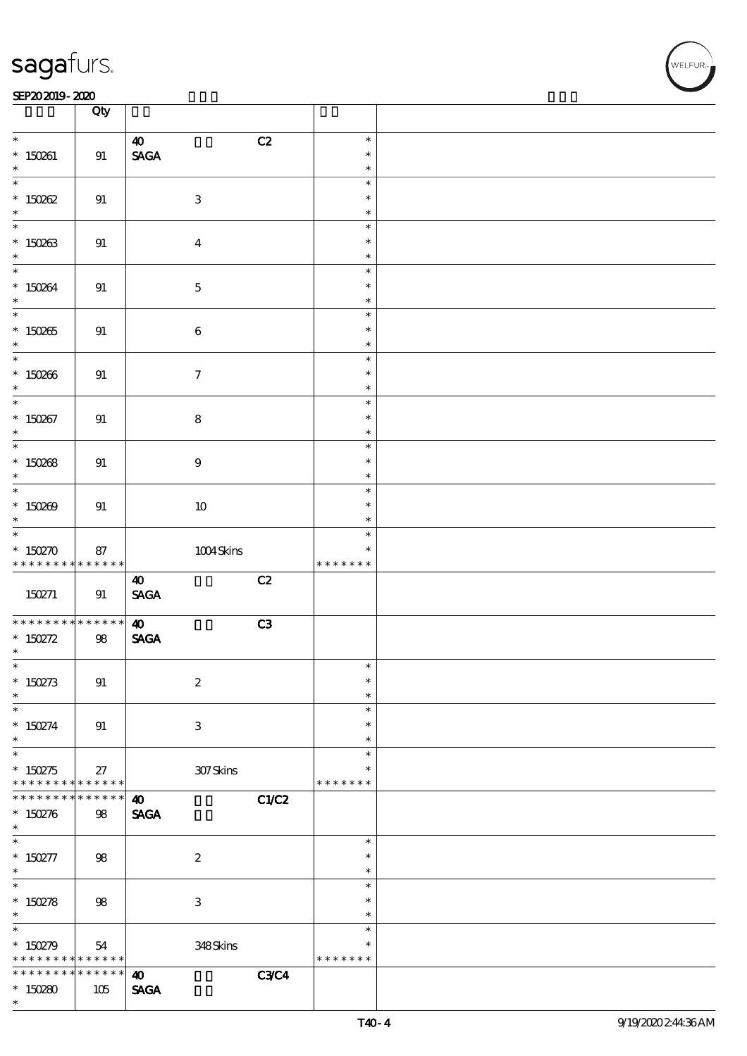#### SEP202019-2020 EXP = 2020 EXP = 2020 EXP = 2020 EXP = 2020 EXP = 2020 EXP = 2020 EXP = 2020 EXP = 2020 EXP = 2

|                                 | Qty                               |                                                         |             |                    |  |
|---------------------------------|-----------------------------------|---------------------------------------------------------|-------------|--------------------|--|
| $\ast$<br>$* 150261$            |                                   | $\boldsymbol{\omega}$<br><b>SAGA</b>                    | C2          | $\ast$<br>$\ast$   |  |
| $\ast$                          | 91                                |                                                         |             | $\ast$             |  |
| $\overline{\ast}$<br>$*150002$  | 91                                | $\ensuremath{\mathbf{3}}$                               |             | $\ast$<br>$\ast$   |  |
| $\ast$                          |                                   |                                                         |             | $\ast$<br>$\ast$   |  |
| $* 150263$<br>$\ast$            | 91                                | $\boldsymbol{4}$                                        |             | $\ast$<br>$\ast$   |  |
|                                 |                                   |                                                         |             | $\ast$<br>$\ast$   |  |
| $* 150864$<br>$\ast$            | 91                                | $\mathbf 5$                                             |             | $\ast$             |  |
| $*150265$                       | 91                                | $\bf 6$                                                 |             | $\ast$<br>$\ast$   |  |
| $\ast$                          |                                   |                                                         |             | $\ast$<br>$\ast$   |  |
| $*150266$<br>$\ast$             | 91                                | $\boldsymbol{\tau}$                                     |             | $\ast$<br>$\ast$   |  |
| $\overline{\ast}$<br>$* 150267$ | 91                                | $\bf8$                                                  |             | $\ast$<br>$\ast$   |  |
| $\ast$                          |                                   |                                                         |             | $\ast$<br>$\ast$   |  |
| $*150088$                       | 91                                | $\boldsymbol{9}$                                        |             | $\ast$             |  |
| $\ast$                          |                                   |                                                         |             | $\ast$<br>$\ast$   |  |
| $*150209$<br>$\ast$             | 91                                | $10\,$                                                  |             | $\ast$<br>$\ast$   |  |
| $*$ 150270                      | 87                                | $1004\mbox{Skirs}$                                      |             | $\ast$<br>$\ast$   |  |
| * * * * * * * *                 | $\ast\ast\ast\ast\ast\ast$        |                                                         |             | * * * * * * *      |  |
| 150271                          | 91                                | $\boldsymbol{\omega}$<br>$\operatorname{\mathsf{SAGA}}$ | C2          |                    |  |
| * * * * * * * *                 | $* * * * * * *$                   | $\boldsymbol{\omega}$                                   | C3          |                    |  |
| * $150272$<br>$\ast$            | 98                                | $\operatorname{\mathbf{SAGA}}$                          |             |                    |  |
| $\ast$<br>* $150273$            | 91                                | $\boldsymbol{2}$                                        |             | $\ast$<br>$\ast$   |  |
| $\ast$<br>$\ast$                |                                   |                                                         |             | $\ast$<br>$\ast$   |  |
| $* 150274$<br>$\ast$            | 91                                | $\ensuremath{\mathsf{3}}$                               |             | $\ast$<br>$\ast$   |  |
| $\overline{\phantom{0}}$        |                                   |                                                         |             | $\ast$             |  |
| $*150275$<br>* * * * * * * *    | 27<br>$******$                    | 307Skins                                                |             | *<br>* * * * * * * |  |
| * * * * * * *<br>* $150276$     | * * * * * *<br>98                 | $\boldsymbol{\omega}$<br><b>SAGA</b>                    | C1/C2       |                    |  |
| $*$<br>$\ast$                   |                                   |                                                         |             | $\ast$             |  |
| $* 150277$<br>$*$               | 98                                | $\boldsymbol{2}$                                        |             | $\ast$<br>$\ast$   |  |
|                                 |                                   |                                                         |             | $\ast$             |  |
| * $150278$<br>$\ast$            | 98                                | $\ensuremath{\mathsf{3}}$                               |             | $\ast$<br>$\ast$   |  |
| * $150279$                      | 54                                | 348Skins                                                |             | $\ast$<br>$\ast$   |  |
| * * * * * * * *                 | $\ast\ast\ast\ast\ast\ast$        |                                                         |             | * * * * * * *      |  |
| * * * * * * * *<br>$*150280$    | $\ast\ast\ast\ast\ast\ast$<br>105 | $\boldsymbol{\omega}$<br><b>SAGA</b>                    | <b>C3C4</b> |                    |  |
| $\ast$                          |                                   |                                                         |             |                    |  |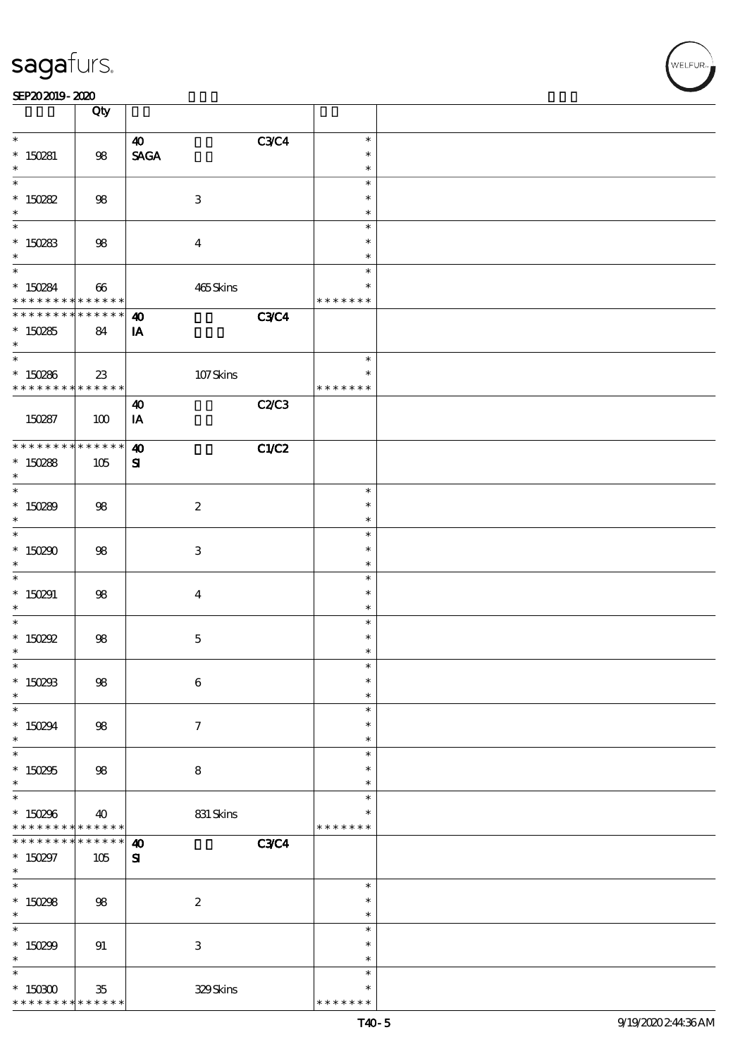|                                              | Qty                   |                                            |                         |  |
|----------------------------------------------|-----------------------|--------------------------------------------|-------------------------|--|
| $\ast$                                       |                       | <b>C3C4</b><br>$\boldsymbol{\omega}$       | $\ast$                  |  |
| $* 150281$<br>$\ast$                         | 98                    | <b>SAGA</b>                                | $\ast$<br>$\ast$        |  |
| $\overline{\ast}$                            |                       |                                            | $\ast$                  |  |
| $* 150282$                                   | 98                    | $\ensuremath{\mathbf{3}}$                  | $\ast$                  |  |
| $\ast$                                       |                       |                                            | $\ast$                  |  |
|                                              |                       |                                            | $\ast$                  |  |
| $*150283$<br>$\ast$                          | 98                    | $\overline{\mathbf{4}}$                    | $\ast$<br>$\ast$        |  |
| $\overline{\mathbf{r}}$                      |                       |                                            | $\ast$                  |  |
| * 150284<br>* * * * * * * *                  | 66<br>******          | 465Skins                                   | $\ast$<br>* * * * * * * |  |
| * * * * * * * * * * * * * * *                |                       |                                            |                         |  |
| $*150285$                                    | 84                    | <b>C3C4</b><br>$\boldsymbol{\omega}$<br>IA |                         |  |
| $\ast$                                       |                       |                                            |                         |  |
| $\overline{\phantom{0}}$                     |                       |                                            | $\ast$                  |  |
| $* 150286$<br>* * * * * * * * <mark>*</mark> | $23\,$<br>* * * * * * | $107$ Skins                                | $\ast$<br>* * * * * * * |  |
|                                              |                       | C2/C3<br>$\boldsymbol{\omega}$             |                         |  |
| 150287                                       | 100                   | IA                                         |                         |  |
| * * * * * * * * <mark>* * * * * *</mark>     |                       |                                            |                         |  |
|                                              |                       | C1/C2<br>$\boldsymbol{\omega}$             |                         |  |
| $*150288$<br>$\ast$                          | 105                   | ${\bf s}$                                  |                         |  |
| $\overline{\ast}$                            |                       |                                            | $\ast$                  |  |
| * $150289$                                   | 98                    | $\boldsymbol{2}$                           | $\ast$                  |  |
| $\ast$                                       |                       |                                            | $\ast$                  |  |
| $\overline{\ast}$                            |                       |                                            | $\ast$                  |  |
| * $150290$                                   | 98                    | 3                                          | $\ast$                  |  |
| $\ast$                                       |                       |                                            | $\ast$                  |  |
| $\ast$                                       |                       |                                            | $\ast$<br>$\ast$        |  |
| $*150291$<br>$\ast$                          | $98$                  | $\boldsymbol{4}$                           | $\ast$                  |  |
| $\ast$                                       |                       |                                            | $\ast$                  |  |
| $*$ 150292                                   | 98                    | $\mathbf 5$                                | $\ast$                  |  |
| $\ast$                                       |                       |                                            | $\ast$                  |  |
| $\ast$                                       |                       |                                            | $\ast$                  |  |
| $*$ 150293                                   | $98\,$                | $\bf 6$                                    | $\ast$                  |  |
| $\ast$<br>$\ast$                             |                       |                                            | $\ast$<br>$\ast$        |  |
| $*150294$                                    | 98                    | $\tau$                                     | $\ast$                  |  |
| $\ast$                                       |                       |                                            | $\ast$                  |  |
| $\overline{\ast}$                            |                       |                                            | $\ast$                  |  |
| $*150295$                                    | 98                    | 8                                          | $\ast$                  |  |
| $\ast$                                       |                       |                                            | $\ast$                  |  |
| $\overline{\ast}$                            |                       |                                            | $\ast$                  |  |
| $*150296$<br>* * * * * * * *                 | 40<br>$* * * * * * *$ | 831 Skins                                  | $\ast$<br>* * * * * * * |  |
| * * * * * * * *                              | $* * * * * * *$       | <b>C3C4</b><br>$\boldsymbol{\omega}$       |                         |  |
| $* 150297$                                   | 105                   | ${\bf s}$                                  |                         |  |
| $\ast$                                       |                       |                                            |                         |  |
| $\overline{\phantom{0}}$                     |                       |                                            | $\ast$                  |  |
| $* 150298$                                   | 98                    | $\boldsymbol{2}$                           | $\ast$                  |  |
| $\ast$<br>$\overline{\ast}$                  |                       |                                            | $\ast$                  |  |
|                                              |                       |                                            | $\ast$<br>$\ast$        |  |
| $*150299$<br>$\ast$                          | 91                    | $\,3$                                      | $\ast$                  |  |
| $\ast$                                       |                       |                                            | $\ast$                  |  |
| $*$ 150300                                   | $35\,$                | 329Skins                                   | $\ast$                  |  |
| * * * * * * * *                              | * * * * * *           |                                            | * * * * * * *           |  |

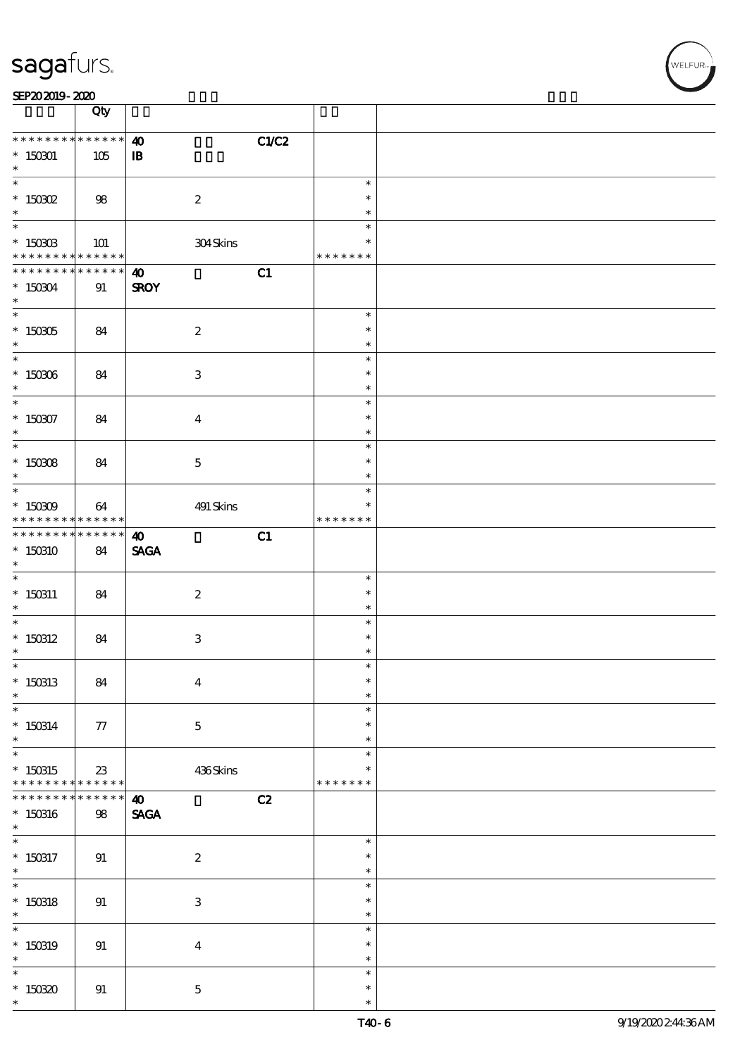| SEP202019-2020 |  |  |
|----------------|--|--|
|----------------|--|--|

|                                                        | Qty                                             |                                                |                                      |  |
|--------------------------------------------------------|-------------------------------------------------|------------------------------------------------|--------------------------------------|--|
| * * * * * * * *<br>$* 150001$<br>$\ast$                | $******$<br>105                                 | C1/C2<br>$\boldsymbol{\omega}$<br>${\bf I\!B}$ |                                      |  |
| $\overline{\ast}$<br>$^*$ 150302 $\,$<br>$\ast$        | 98                                              | $\boldsymbol{2}$                               | $\ast$<br>$\ast$<br>$\ast$           |  |
| $^*$ 150303<br>* * * * * * * *                         | 101<br>$\ast\ast\ast\ast\ast\ast$               | 304Skins                                       | $\ast$<br>$\ast$<br>* * * * * * *    |  |
| * * * * * * * *<br>$*150304$<br>$\ast$                 | * * * * * *<br>91                               | C1<br>$\boldsymbol{\omega}$<br><b>SROY</b>     |                                      |  |
| $^\ast$ 150305<br>$\ast$                               | 84                                              | $\boldsymbol{2}$                               | $\ast$<br>$\ast$<br>$\ast$           |  |
| $^*$ 150306 $\,$<br>$\ast$<br>$\overline{\phantom{0}}$ | 84                                              | $\ensuremath{\mathsf{3}}$                      | $\ast$<br>$\ast$<br>$\ast$<br>$\ast$ |  |
| $* 150007$<br>$\ast$<br>$\overline{\ast}$              | 84                                              | $\bf{4}$                                       | $\ast$<br>$\ast$<br>$\ast$           |  |
| $^*$ 150308 $\,$<br>$\ast$                             | 84                                              | $\mathbf{5}$                                   | $\ast$<br>$\ast$<br>$\ast$           |  |
| $* 150309$<br>* * * * * * * *<br>* * * * * * * *       | 64<br>$\ast\ast\ast\ast\ast\ast$<br>$******$    | 491 Skins                                      | $\ast$<br>* * * * * * *              |  |
| $*150310$<br>$\ast$                                    | 84                                              | C1<br>$\boldsymbol{\omega}$<br><b>SAGA</b>     | $\ast$                               |  |
| $* 150311$<br>$\ast$                                   | 84                                              | $\boldsymbol{2}$                               | $\ast$<br>$\ast$<br>$\ast$           |  |
| $*$ 150312<br>$\ast$<br>$\ast$                         | 84                                              | $\ensuremath{\mathsf{3}}$                      | $\ast$<br>$\ast$<br>$\ast$           |  |
| $*150313$<br>$\ast$<br>$\ast$                          | 84                                              | $\bf{4}$                                       | $\ast$<br>$\ast$<br>$\ast$           |  |
| $* 150314$<br>$\ast$<br>$\overline{\ast}$              | 77                                              | $\mathbf 5$                                    | $\ast$<br>$\ast$<br>$\ast$           |  |
| $*150315$<br>* * * * * * * *<br>* * * * * * *          | 23<br>$\ast\ast\ast\ast\ast\ast$<br>* * * * * * | 436Skins<br>C2<br>$\boldsymbol{\omega}$        | $\ast$<br>* * * * * * *              |  |
| $* 150316$<br>$\ast$<br>$\overline{\phantom{0}}$       | $98\,$                                          | <b>SAGA</b>                                    | $\ast$                               |  |
| $*$ 150317<br>$*$<br>$*$                               | 91                                              | $\boldsymbol{2}$                               | $\ast$<br>$\ast$<br>$\ast$           |  |
| $*$ 150318<br>$\ast$<br>$\ast$                         | 91                                              | $\ensuremath{\mathbf{3}}$                      | $\ast$<br>$\ast$<br>$\ast$           |  |
| $* 150319$<br>$\ast$<br>$\ast$                         | 91                                              | $\boldsymbol{4}$                               | $\ast$<br>$\ast$<br>$\ast$           |  |
| $*15030$<br>$\ast$                                     | 91                                              | $\mathbf{5}$                                   | $\ast$<br>$\ast$                     |  |

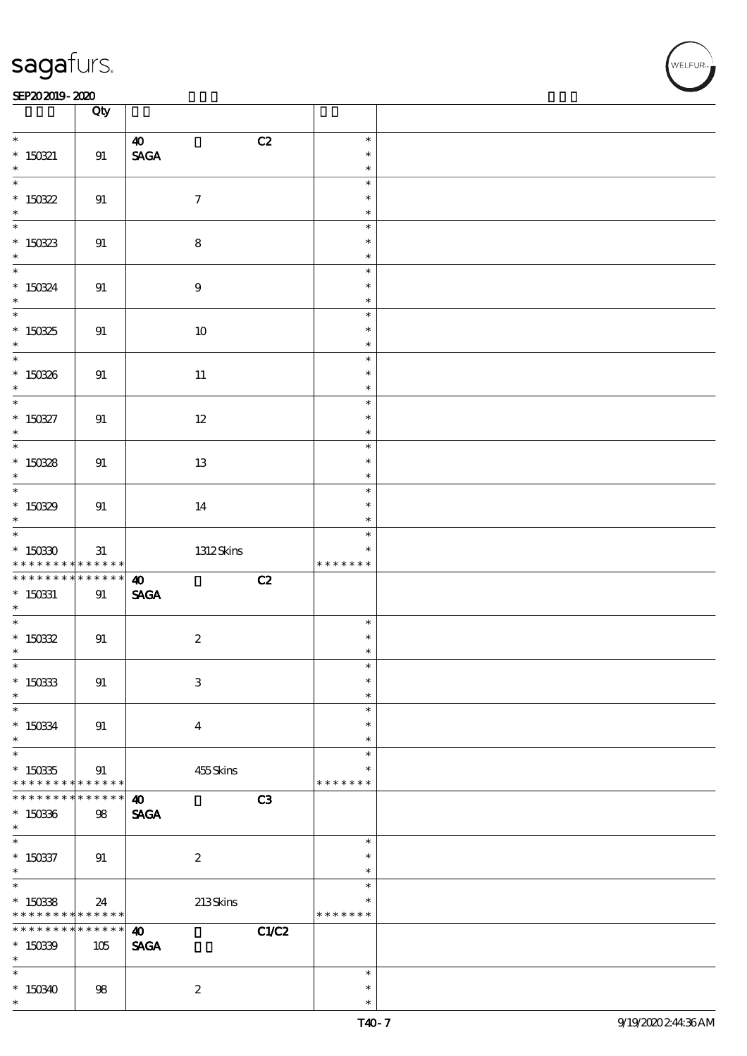### SEP202019-2020

|                                    | Qty               |                                |               |  |
|------------------------------------|-------------------|--------------------------------|---------------|--|
| $\overline{\phantom{0}}$           |                   | $\boldsymbol{\omega}$<br>C2    | $\ast$        |  |
| $* 150321$                         | 91                | $\operatorname{\mathsf{SAGA}}$ | $\ast$        |  |
| $\ast$                             |                   |                                | $\ast$        |  |
|                                    |                   |                                | $\ast$        |  |
| $*150322$                          | 91                | $\boldsymbol{7}$               | $\ast$        |  |
| $\ast$                             |                   |                                | $\ast$        |  |
|                                    |                   |                                | $\ast$        |  |
|                                    |                   |                                | $\ast$        |  |
| $*150823$<br>$\ast$                | 91                | $\bf 8$                        | $\ast$        |  |
| $\ast$                             |                   |                                | $\ast$        |  |
|                                    |                   |                                | $\ast$        |  |
| $* 15034$                          | 91                | $9\,$                          |               |  |
| $*$                                |                   |                                | $\ast$        |  |
|                                    |                   |                                | $\ast$        |  |
| * 150325                           | 91                | $10\,$                         | $\ast$        |  |
|                                    |                   |                                | $\ast$        |  |
|                                    |                   |                                | $\ast$        |  |
| $*150336$                          | 91                | $11\,$                         | $\ast$        |  |
| $\ast$<br>$\overline{\phantom{0}}$ |                   |                                | $\ast$        |  |
|                                    |                   |                                | $\ast$        |  |
| $* 150827$                         | 91                | 12                             | $\ast$        |  |
| $\ast$                             |                   |                                | $\ast$        |  |
|                                    |                   |                                | $\ast$        |  |
| * $15038$                          | 91                | 13                             | $\ast$        |  |
| $\ast$                             |                   |                                | $\ast$        |  |
| $\overline{\phantom{0}}$           |                   |                                | $\ast$        |  |
| $*15039$                           | 91                | 14                             | $\ast$        |  |
| $\ast$                             |                   |                                | $\ast$        |  |
| $\ddot{x}$                         |                   |                                | $\ast$        |  |
| $*15030$                           | 31                | 1312Skins                      | $\ast$        |  |
| * * * * * * * *                    | $******$          |                                | * * * * * * * |  |
| * * * * * * * *                    | $******$          | C2<br>$\boldsymbol{\omega}$    |               |  |
| $*$ 150331                         | 91                | <b>SAGA</b>                    |               |  |
| $\ast$                             |                   |                                |               |  |
|                                    |                   |                                | $\ast$        |  |
| $* 15032$                          | 91                | $\boldsymbol{2}$               | $\ast$        |  |
| $\ast$                             |                   |                                | $\ast$        |  |
| $\overline{\phantom{0}}$           |                   |                                | ∗             |  |
| $*150333$                          | 91                | $\,3$                          | $\ast$        |  |
| $\ast$                             |                   |                                | $\ast$        |  |
| $\ast$                             |                   |                                | $\ast$        |  |
| $* 15034$                          | 91                | $\bf{4}$                       | $\ast$        |  |
| $\ast$                             |                   |                                | $\ast$        |  |
| $\ast$                             |                   |                                | $\ast$        |  |
| $* 15035$                          | 91                | 455Skins                       | $\ast$        |  |
| * * * * * * * *                    | ******            |                                | * * * * * * * |  |
| * * * * * * * *                    | $* * * * * * *$   | $\boldsymbol{\omega}$<br>C3    |               |  |
| $*150336$                          | $98$              | <b>SAGA</b>                    |               |  |
| $\ast$                             |                   |                                |               |  |
| $\ast$                             |                   |                                | $\ast$        |  |
| $* 150337$                         |                   |                                | $\ast$        |  |
| $\ast$                             | 91                | $\boldsymbol{2}$               | $\ast$        |  |
| $\overline{\ast}$                  |                   |                                | $\ast$        |  |
|                                    |                   |                                | $\ast$        |  |
| $*150338$<br>* * * * * * * *       | 24<br>* * * * * * | $213$ Skins                    | * * * * * * * |  |
| * * * * * * * *                    | $******$          |                                |               |  |
|                                    |                   | $\boldsymbol{\omega}$          | C1/C2         |  |
| $*15039$                           | 105               | <b>SAGA</b>                    |               |  |
| $\ast$                             |                   |                                |               |  |
| $\ast$                             |                   |                                | $\ast$        |  |
| $*150340$                          | 98                | $\boldsymbol{z}$               | $\ast$        |  |
| $\ast$                             |                   |                                | $\ast$        |  |

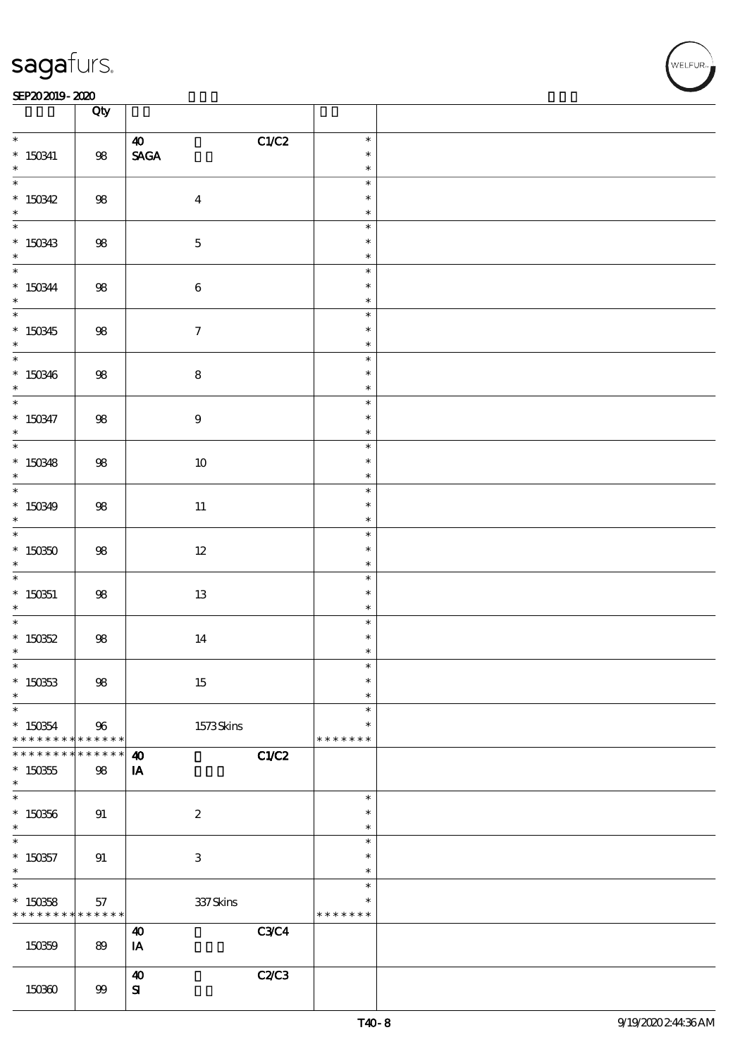#### SEP202019-2020 EXP = 2020 EXP = 2020 EXP = 2020 EXP = 2020 EXP = 2020 EXP = 2020 EXP = 2020 EXP = 2020 EXP = 2

|                             | Qty               |                                       |                  |  |
|-----------------------------|-------------------|---------------------------------------|------------------|--|
| $*$                         |                   | C1/C2<br>$\boldsymbol{\omega}$        | $\ast$           |  |
| $*$ 150341                  | ${\bf 98}$        | $\ensuremath{\mathsf{SAGA}}$          | $\ast$           |  |
| $\ast$                      |                   |                                       | $\ast$           |  |
|                             |                   |                                       | $\ast$<br>$\ast$ |  |
| * 150342                    | $98\,$            | $\boldsymbol{4}$                      | $\ast$           |  |
|                             |                   |                                       | $\ast$           |  |
|                             | $98\,$            | $\mathbf 5$                           | $\ast$           |  |
| $* 150343$                  |                   |                                       | $\ast$           |  |
|                             |                   |                                       | $\ast$           |  |
| * 150344                    | $98\,$            | $\,6\,$                               | $\ast$           |  |
|                             |                   |                                       | $\ast$<br>$\ast$ |  |
|                             | 98                | $\boldsymbol{\tau}$                   | $\ast$           |  |
| * 150345                    |                   |                                       | $\ast$           |  |
|                             |                   |                                       | $\ast$           |  |
| * 150346                    | $98\,$            | ${\bf 8}$                             | $\ast$           |  |
|                             |                   |                                       | $\ast$           |  |
|                             |                   |                                       | $\ast$           |  |
| * 150347                    | $98\,$            | $\boldsymbol{9}$                      | $\ast$<br>$\ast$ |  |
|                             |                   |                                       | $\ast$           |  |
| $* 150348$                  | 98                | $10\,$                                | $\ast$           |  |
| $\ast$                      |                   |                                       | $\ast$           |  |
| $*$                         |                   |                                       | $\ast$           |  |
| $*150349$                   | 98                | $11\,$                                | $\ast$           |  |
| $\ast$                      |                   |                                       | $\ast$           |  |
|                             |                   |                                       | $\ast$<br>$\ast$ |  |
| $*150350$<br>$*$            | $98\,$            | $12\,$                                | $\ast$           |  |
|                             |                   |                                       | $\ast$           |  |
| $*15051$                    | 98                | $13\,$                                | $\ast$           |  |
| $*$                         |                   |                                       | $\ast$           |  |
|                             |                   |                                       | $\ast$           |  |
| * $15052$                   | $98\,$            | 14                                    | $\ast$           |  |
| $*$<br>$\ast$               |                   |                                       | $\ast$<br>$\ast$ |  |
| $* 150353$                  | $98\,$            | 15                                    | $\ast$           |  |
| $\ast$                      |                   |                                       | $\ast$           |  |
| $\ast$                      |                   |                                       | $\ast$           |  |
| $*150354$                   | 96                | $1573$ Skins                          | $\ast$           |  |
| * * * * * * * *             | * * * * * *       |                                       | * * * * * * *    |  |
| * * * * * * *               | $* * * * * *$     | C1/C2<br>$\boldsymbol{\omega}$        |                  |  |
| $*150355$<br>$\ast$         | 98                | IA                                    |                  |  |
| $\overline{\phantom{0}}$    |                   |                                       | $\ast$           |  |
| $*150356$                   | 91                | $\boldsymbol{2}$                      | $\ast$           |  |
| $\ast$                      |                   |                                       | $\ast$           |  |
| $\ast$                      |                   |                                       | $\ast$           |  |
| $*150357$                   | 91                | $\ensuremath{\mathbf{3}}$             | $\ast$           |  |
| $\ast$<br>$\overline{\ast}$ |                   |                                       | $\ast$           |  |
| $*150358$                   |                   |                                       | $\ast$<br>$\ast$ |  |
| * * * * * * * *             | 57<br>* * * * * * | $337$ Skins                           | * * * * * * *    |  |
|                             |                   | <b>C3C4</b><br>$\boldsymbol{\omega}$  |                  |  |
| 150359                      | 89                | IA                                    |                  |  |
|                             |                   |                                       |                  |  |
|                             |                   | <b>C2/C3</b><br>$\boldsymbol{\omega}$ |                  |  |
| 150360                      | 99                | ${\bf s}$                             |                  |  |

**NELFUR**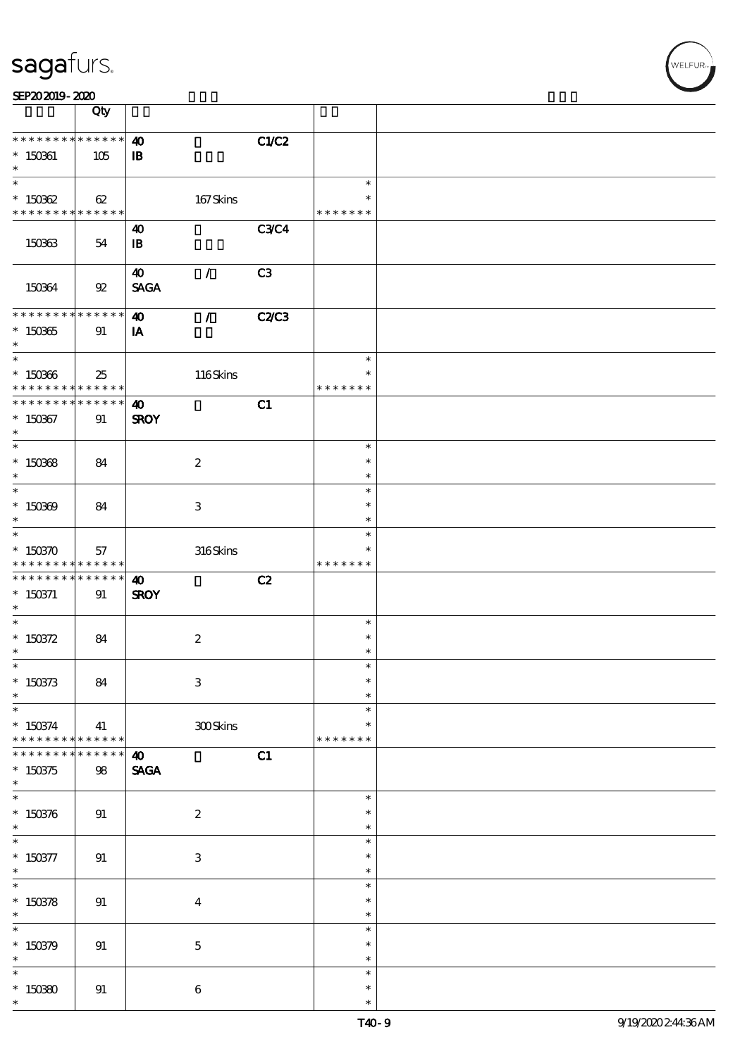| SEP202019-2020 |  |  |  |
|----------------|--|--|--|
|                |  |  |  |

|                                                           | Qty                              |                                                       |                |                                   |  |
|-----------------------------------------------------------|----------------------------------|-------------------------------------------------------|----------------|-----------------------------------|--|
| * * * * * * * *<br>$* 150061$<br>$\ast$                   | * * * * * *<br>105               | $\boldsymbol{\omega}$<br>${\bf I\!B}$                 | C1/C2          |                                   |  |
| $\ast$<br>$* 150362$<br>* * * * * * * * * * * * * * *     | 62                               | 167Skins                                              |                | $\ast$<br>$\ast$<br>* * * * * * * |  |
| 150363                                                    | 54                               | 40<br>$\mathbf{B}$                                    | <b>C3C4</b>    |                                   |  |
| 150364                                                    | 92                               | $\boldsymbol{\omega}$<br>$\mathcal{L}$<br><b>SAGA</b> | C <sub>3</sub> |                                   |  |
| * * * * * * * * * * * * * *<br>$^*$ 150365 $\,$<br>$\ast$ | 91                               | $\boldsymbol{\omega}$<br>$\mathcal{L}$<br>IA          | <b>C2/C3</b>   |                                   |  |
| $\overline{\ast}$<br>$^*$ 150366 $\,$<br>* * * * * * * *  | 25<br>$* * * * * * *$            | 116Skins                                              |                | $\ast$<br>$\ast$<br>* * * * * * * |  |
| * * * * * * * *<br>$* 150367$<br>$\ast$                   | $* * * * * * *$<br>91            | $\boldsymbol{\omega}$<br><b>SROY</b>                  | C1             |                                   |  |
| $\overline{\phantom{0}}$<br>$* 150368$<br>$\ast$          | 84                               | $\boldsymbol{2}$                                      |                | $\ast$<br>$\ast$<br>$\ast$        |  |
| $\overline{\phantom{0}}$<br>$* 150309$<br>$\ast$          | 84                               | 3                                                     |                | $\ast$<br>$\ast$<br>$\ast$        |  |
| $\ast$<br>$* 150370$<br>* * * * * * * *                   | 57<br>$\ast\ast\ast\ast\ast\ast$ | 316Skins                                              |                | $\ast$<br>$\ast$<br>* * * * * * * |  |
| * * * * * * * *<br>$*$ 150371<br>$\ast$                   | $* * * * * * *$<br>91            | $\boldsymbol{\omega}$<br><b>SROY</b>                  | C2             |                                   |  |
| $\ast$<br>* $150372$<br>$\ast$                            | 84                               | $\boldsymbol{2}$                                      |                | $\ast$<br>$\ast$<br>$\ast$        |  |
| $*$<br>$* 150373$<br>$\ast$                               | 84                               | $\ensuremath{\mathbf{3}}$                             |                | $\ast$<br>$\ast$<br>$\ast$        |  |
| $\ast$<br>$* 150374$<br>* * * * * * * *                   | 41<br>* * * * * *                | 300Skins                                              |                | $\ast$<br>$\ast$<br>* * * * * * * |  |
| * * * * * *<br>$\ast$<br>$* 150375$<br>$\ast$             | * * * * *<br>$98\,$              | $\boldsymbol{\omega}$<br><b>SAGA</b>                  | C1             |                                   |  |
| $\overline{\ast}$<br>$* 150376$<br>$\ast$                 | 91                               | $\boldsymbol{2}$                                      |                | $\ast$<br>$\ast$<br>$\ast$        |  |
| $\overline{\phantom{0}}$<br>$* 150377$<br>$\ast$          | 91                               | $\,3$                                                 |                | $\ast$<br>$\ast$<br>$\ast$        |  |
| $\overline{\ast}$<br>$* 150378$<br>$\ast$                 | 91                               | $\bf{4}$                                              |                | $\ast$<br>$\ast$<br>$\ast$        |  |
| $\ast$<br>$* 150379$<br>$\ast$                            | 91                               | $\mathbf 5$                                           |                | $\ast$<br>$\ast$<br>$\ast$        |  |
| $\ast$<br>$*15080$<br>$\ast$                              | 91                               | $\bf 6$                                               |                | $\ast$<br>$\ast$<br>$\ast$        |  |

r<br>WELFUR<br>.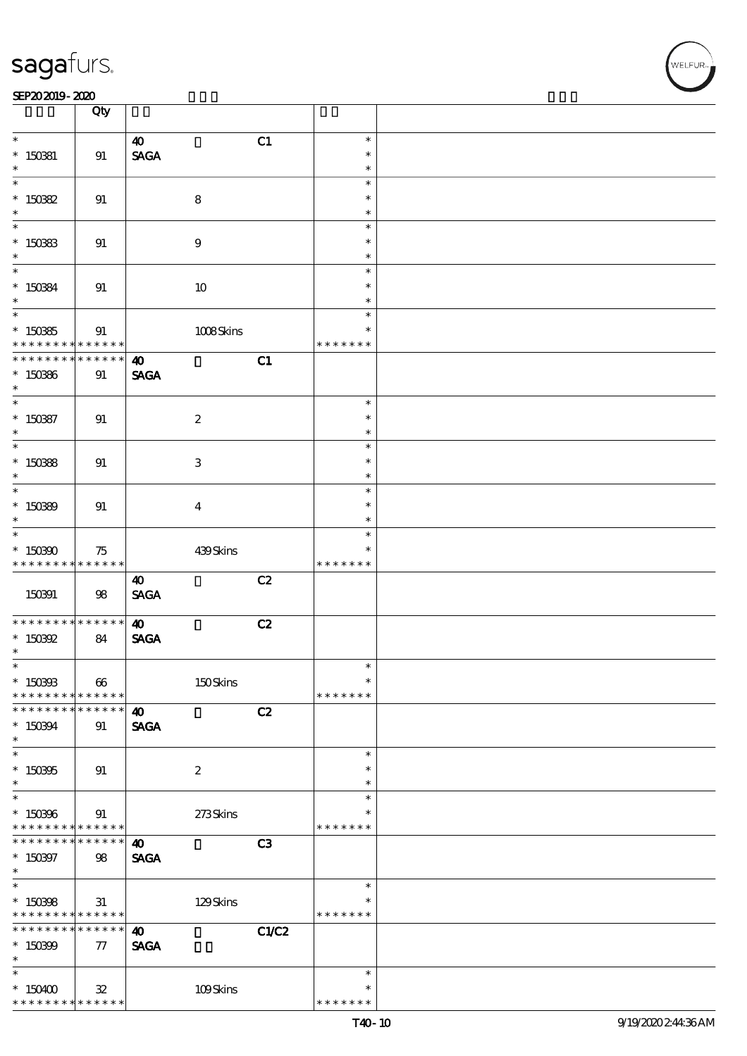### SEP202019-2020

|                                            | Qty             |                                |       |               |  |
|--------------------------------------------|-----------------|--------------------------------|-------|---------------|--|
|                                            |                 |                                |       | $\ast$        |  |
|                                            |                 | $\boldsymbol{\omega}$          | C1    |               |  |
| $*$ 150381                                 | 91              | $\operatorname{\mathsf{SAGA}}$ |       | $\ast$        |  |
| $\ast$                                     |                 |                                |       | $\ast$        |  |
|                                            |                 |                                |       | $\ast$        |  |
| $* 15082$                                  | 91              | $\bf 8$                        |       | $\ast$        |  |
| $\ast$                                     |                 |                                |       | $\ast$        |  |
| $*$                                        |                 |                                |       | $\ast$        |  |
| $*150333$                                  |                 |                                |       | $\ast$        |  |
|                                            | 91              | $\boldsymbol{9}$               |       | $\ast$        |  |
| $\ast$<br>$\ast$                           |                 |                                |       |               |  |
|                                            |                 |                                |       | $\ast$        |  |
| $* 150334$                                 | 91              | $10\,$                         |       | $\ast$        |  |
| $\ast$                                     |                 |                                |       | $\ast$        |  |
|                                            |                 |                                |       | $\ast$        |  |
| $*15035$                                   | 91              | 1008Skins                      |       | $\ast$        |  |
| * * * * * * * *                            | * * * * * *     |                                |       | * * * * * * * |  |
| * * * * * * *                              | * * * * * *     | $\boldsymbol{\omega}$          | C1    |               |  |
| $*150366$                                  | 91              | <b>SAGA</b>                    |       |               |  |
| $\ast$                                     |                 |                                |       |               |  |
| $\ast$                                     |                 |                                |       |               |  |
|                                            |                 |                                |       | $\ast$        |  |
| $* 150387$                                 | 91              | $\boldsymbol{2}$               |       | $\ast$        |  |
| $\ast$                                     |                 |                                |       | $\ast$        |  |
| $\overline{\phantom{0}}$                   |                 |                                |       | $\ast$        |  |
| $*150388$                                  | 91              | $\ensuremath{\mathbf{3}}$      |       | $\ast$        |  |
| $\ast$                                     |                 |                                |       | $\ast$        |  |
| $\overline{\phantom{0}}$                   |                 |                                |       | $\ast$        |  |
| $*15089$                                   | 91              | $\bf{4}$                       |       | $\ast$        |  |
| $\ast$                                     |                 |                                |       | $\ast$        |  |
| $\overline{\ast}$                          |                 |                                |       | $\ast$        |  |
|                                            |                 |                                |       |               |  |
| $*150300$                                  | 75              | 439Skins                       |       | $\ast$        |  |
| * * * * * * * *                            | * * * * * *     |                                |       | * * * * * * * |  |
|                                            |                 | 40                             | C2    |               |  |
| 150391                                     | 98              | $\operatorname{\mathsf{SAGA}}$ |       |               |  |
|                                            |                 |                                |       |               |  |
| * * * * * * * *                            | ******          | $\boldsymbol{\omega}$          | C2    |               |  |
| $*$ 150392                                 | 84              | <b>SAGA</b>                    |       |               |  |
| $\ast$                                     |                 |                                |       |               |  |
| $\ast$                                     |                 |                                |       |               |  |
| $* 150303$                                 | 66              | 150Skins                       |       | $\ast$        |  |
| * * * * * * * * <mark>* * * * * *</mark>   |                 |                                |       | * * * * * * * |  |
| * * * * * * * *                            | $* * * * * * *$ |                                |       |               |  |
|                                            |                 | $\boldsymbol{\omega}$          | C2    |               |  |
| $*150394$                                  | 91              | <b>SAGA</b>                    |       |               |  |
| $\ast$                                     |                 |                                |       |               |  |
| $\ast$                                     |                 |                                |       | $\ast$        |  |
| $*150305$                                  | 91              | $\boldsymbol{2}$               |       | $\ast$        |  |
| $\ast$                                     |                 |                                |       | $\ast$        |  |
| $\ast$                                     |                 |                                |       | $\ast$        |  |
| $*150306$                                  | 91              | 273Skins                       |       | $\ast$        |  |
| * * * * * * * * <mark>* * * * * * *</mark> |                 |                                |       | * * * * * * * |  |
| * * * * * * * * <mark>* * * * * *</mark>   |                 | 40                             | C3    |               |  |
|                                            |                 |                                |       |               |  |
| $*150397$                                  | 98              | <b>SAGA</b>                    |       |               |  |
| $\ast$                                     |                 |                                |       |               |  |
| $\ast$                                     |                 |                                |       | $\ast$        |  |
| $*150398$                                  | 31              | 129Skins                       |       | $\ast$        |  |
| * * * * * * * * <mark>* * * * * *</mark>   |                 |                                |       | * * * * * * * |  |
| * * * * * * * *                            | $* * * * * * *$ | $\boldsymbol{\omega}$          | C1/C2 |               |  |
| $*150399$                                  | 77              | <b>SAGA</b>                    |       |               |  |
| $\ast$                                     |                 |                                |       |               |  |
| $\ast$                                     |                 |                                |       | $\ast$        |  |
| $*$ 150400                                 | $32^{\circ}$    | 109Skins                       |       | $\ast$        |  |
| * * * * * * * * <mark>* * * * * *</mark>   |                 |                                |       | * * * * * * * |  |
|                                            |                 |                                |       |               |  |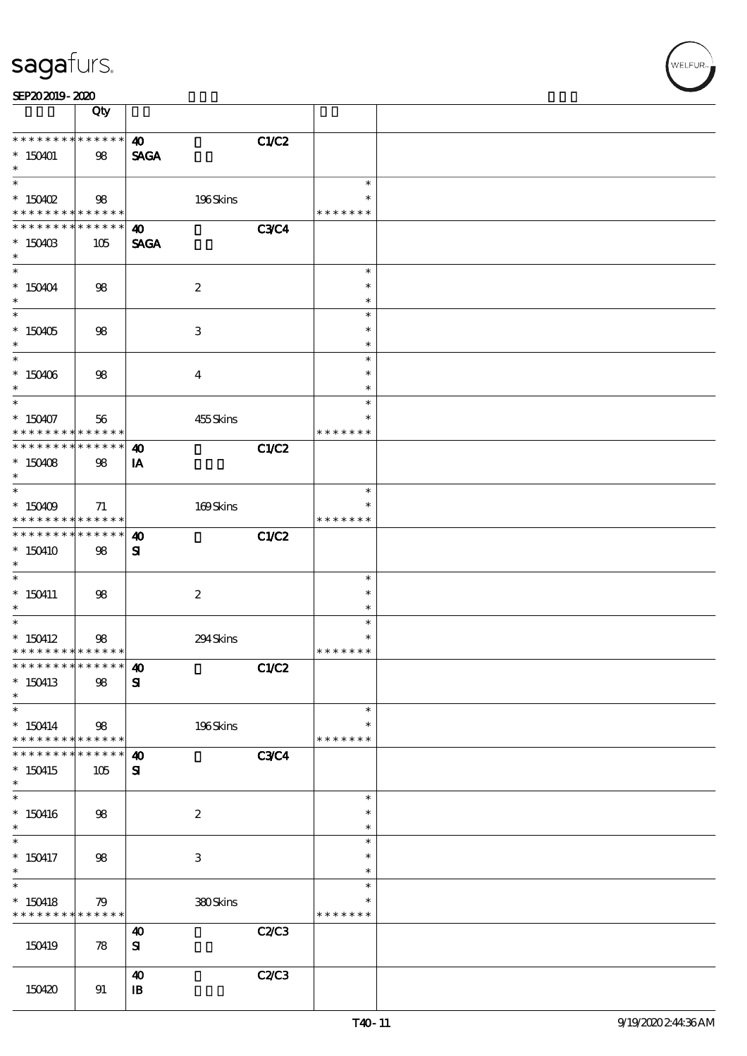| C1/C2 |  |  |  |
|-------|--|--|--|

#### SEP202019-2020  $\sqrt{Qty}$

| **************<br>$*150401$<br>$\ast$                                            | 98                 | $\boldsymbol{\omega}$<br><b>SAGA</b>  | C1/C2       |                                      |  |
|----------------------------------------------------------------------------------|--------------------|---------------------------------------|-------------|--------------------------------------|--|
| $\overline{\ast}$<br>$*$ 150402<br>* * * * * * * * * * * * * *                   | 98                 | 196Skins                              |             | $\ast$<br>$\ast$<br>* * * * * * *    |  |
| * * * * * * * *<br>$*150403$<br>$\ast$                                           | * * * * * *<br>105 | $\boldsymbol{\omega}$<br><b>SAGA</b>  | <b>C3C4</b> |                                      |  |
| $\overline{\ast}$<br>$* 150404$<br>$\ast$                                        | 98                 | $\boldsymbol{2}$                      |             | $\ast$<br>$\ast$<br>$\ast$           |  |
| $\overline{\phantom{0}}$<br>$^*$ 150405 $\,$<br>$\ast$                           | 98                 | 3                                     |             | $\ast$<br>$\ast$<br>$\ast$           |  |
| $\overline{\ast}$<br>$^*$ 150406 $\,$<br>$\ast$                                  | 98                 | $\overline{\mathbf{4}}$               |             | $\ast$<br>$\ast$<br>$\ast$           |  |
| $\ast$<br>$*150407$<br>* * * * * * * * * * * * * * *                             | 56                 | 455Skins                              |             | $\ast$<br>$\ast$<br>* * * * * * *    |  |
| ******** <mark>******</mark><br>$*150408$<br>$\ast$<br>$*$                       | 98                 | $\boldsymbol{\omega}$<br>IA           | C1/C2       |                                      |  |
| $*150409$<br>* * * * * * * * <mark>* * * * * * *</mark>                          | 71                 | 169Skins                              |             | $\ast$<br>*<br>* * * * * * *         |  |
| * * * * * * * * * * * * * * *<br>$*150410$<br>$\ast$<br>$\overline{\phantom{0}}$ | 98                 | $\boldsymbol{\omega}$<br>${\bf s}$    | C1/C2       |                                      |  |
| $*$ 150411<br>$*$                                                                | 98                 | $\boldsymbol{z}$                      |             | $\ast$<br>$\ast$<br>$\ast$           |  |
| $*$<br>$*$ 150412<br>* * * * * * * * * * * * * *                                 | 98                 | 294Skins                              |             | $\ast$<br>$\ast$<br>* * * * * * *    |  |
| * * * * * * * * * * * * * * *<br>$*$ 150413<br>$\ast$                            | 98                 | $\boldsymbol{\omega}$<br>${\bf s}$    | C1/C2       |                                      |  |
| $\ast$<br>$* 150414$<br>* * * * * * * *                                          | 98<br>******       | 196Skins                              |             | $\ast$<br>$\ast$<br>* * * * * * *    |  |
| * * * * * * *<br>$*150415$<br>$\ast$                                             | * * * * * *<br>105 | $\boldsymbol{\omega}$<br>${\bf s}$    | <b>C3C4</b> |                                      |  |
| $\ast$<br>$*$ 150416<br>$\ast$<br>$\overline{\phantom{a}^*}$                     | 98                 | $\boldsymbol{2}$                      |             | $\ast$<br>$\ast$<br>$\ast$           |  |
| $*$ 150417<br>$\ast$<br>$\overline{\phantom{1}}$                                 | 98                 | $\ensuremath{\mathbf{3}}$             |             | $\ast$<br>$\ast$<br>$\ast$<br>$\ast$ |  |
| $*$ 150418<br>* * * * * * * * * * * * * *                                        | 79                 | 380Skins                              | C2C3        | $\ast$<br>* * * * * * *              |  |
| 150419                                                                           | 78                 | $\boldsymbol{\omega}$<br>${\bf S}$    | C2/C3       |                                      |  |
| 150420                                                                           | 91                 | $\boldsymbol{\omega}$<br>$\mathbf{B}$ |             |                                      |  |

LFUR<sub>i</sub>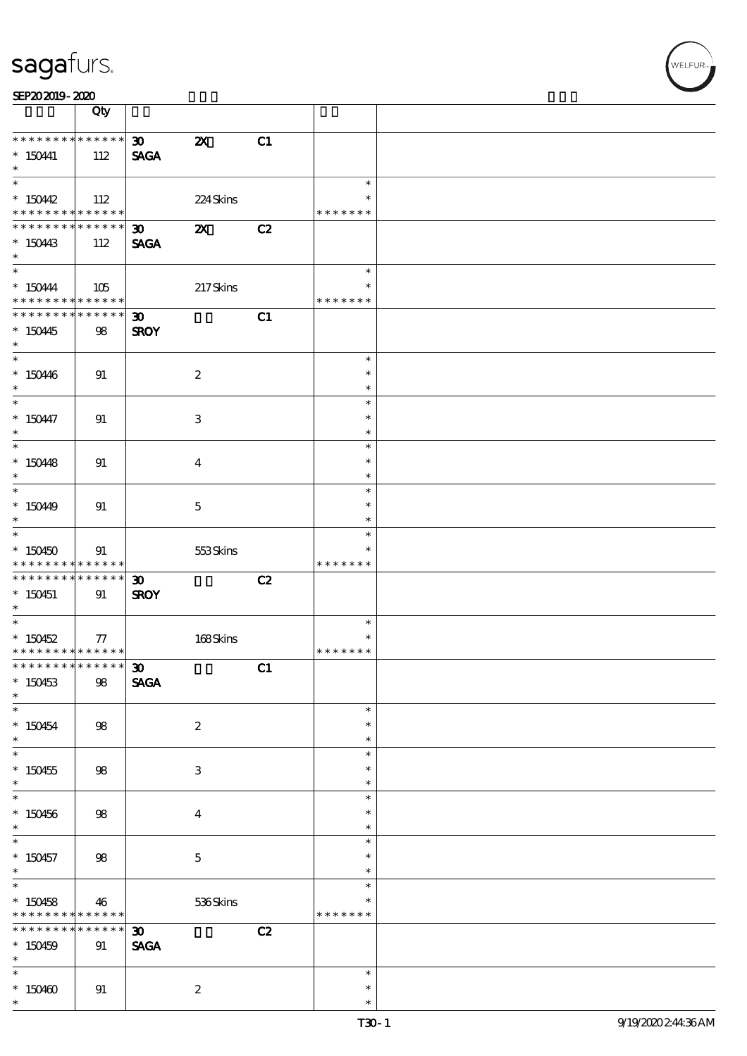| SEP202019-2020 |  |  |
|----------------|--|--|
|----------------|--|--|

|                                                                                     | Qty                               |                                            |                           |    |                                   |  |
|-------------------------------------------------------------------------------------|-----------------------------------|--------------------------------------------|---------------------------|----|-----------------------------------|--|
| * * * * * * * *<br>$* 150441$<br>$\ast$                                             | ******<br>112                     | 30 <sub>2</sub><br><b>SAGA</b>             | $\boldsymbol{\mathsf{z}}$ | C1 |                                   |  |
| $\overline{\phantom{0}}$<br>$*150442$<br>* * * * * * * * <mark>* * * * * * *</mark> | 112                               |                                            | 224 Skins                 |    | $\ast$<br>$\ast$<br>* * * * * * * |  |
| * * * * * * * *<br>$*15043$<br>$\ast$                                               | $\ast\ast\ast\ast\ast\ast$<br>112 | $\boldsymbol{\mathfrak{D}}$<br><b>SAGA</b> | $\boldsymbol{\mathsf{X}}$ | C2 |                                   |  |
| $*150444$<br>* * * * * * * * * * * * * *                                            | 105                               |                                            | 217Skins                  |    | $\ast$<br>$\ast$<br>* * * * * * * |  |
| * * * * * * * * * * * * * * *<br>$*150445$<br>$*$                                   | 98                                | $\boldsymbol{\mathfrak{D}}$<br><b>SROY</b> |                           | C1 |                                   |  |
| $*150406$<br>$*$                                                                    | 91                                |                                            | $\boldsymbol{z}$          |    | $\ast$<br>$\ast$<br>$\ast$        |  |
| $\overline{\ast}$<br>$* 150447$<br>$\ast$                                           | 91                                |                                            | 3                         |    | $\ast$<br>$\ast$<br>$\ast$        |  |
| $\overline{\phantom{0}}$<br>$* 150448$<br>$\ast$                                    | 91                                |                                            | $\bf{4}$                  |    | $\ast$<br>$\ast$<br>$\ast$        |  |
| $*15049$<br>$\ast$                                                                  | 91                                |                                            | $\mathbf{5}$              |    | $\ast$<br>$\ast$<br>$\ast$        |  |
| $\overline{\ast}$<br>$*150450$<br>* * * * * * * *                                   | 91<br>$* * * * * * *$             |                                            | 553Skins                  |    | $\ast$<br>* * * * * * *           |  |
| * * * * * * * *<br>$*$ 150451<br>$*$                                                | $* * * * * * *$<br>91             | $\boldsymbol{\mathfrak{D}}$<br><b>SROY</b> |                           | C2 |                                   |  |
| $*150452$<br>* * * * * * * * * * * * * *                                            | 77                                |                                            | 168Skins                  |    | $\ast$<br>$\ast$<br>* * * * * * * |  |
| ************** 30<br>$*150453$<br>$\ast$                                            | $98$                              | <b>SAGA</b>                                |                           | C1 |                                   |  |
| $\ast$<br>$* 150454$<br>$\ast$                                                      | $98$                              |                                            | $\boldsymbol{2}$          |    | $\ast$<br>$\ast$<br>$\ast$        |  |
| $\overline{\ast}$<br>$*150455$<br>$\ast$                                            | $98$                              |                                            | $\ensuremath{\mathsf{3}}$ |    | $\ast$<br>$\ast$<br>$\ast$        |  |
| $\ast$<br>$*150456$<br>$\ast$                                                       | 98                                |                                            | $\boldsymbol{4}$          |    | $\ast$<br>$\ast$<br>$\ast$        |  |
| $\overline{\phantom{0}}$<br>$*150457$<br>$*$<br>$\overline{\ast}$                   | 98                                |                                            | $\mathbf 5$               |    | $\ast$<br>$\ast$<br>$\ast$        |  |
| $*150458$<br>* * * * * * *<br>$\ast$                                                | 46<br>* * * * * *                 |                                            | 536Skins                  |    | $\ast$<br>∗<br>* * * * * * *      |  |
| * * * * * * *<br>$*150459$<br>$\ast$<br>$\ast$                                      | * * * * * *<br>91                 | $\boldsymbol{\mathfrak{D}}$<br><b>SAGA</b> |                           | C2 |                                   |  |
| $*150400$<br>$\ast$                                                                 | 91                                |                                            | $\boldsymbol{2}$          |    | $\ast$<br>$\ast$<br>$\ast$        |  |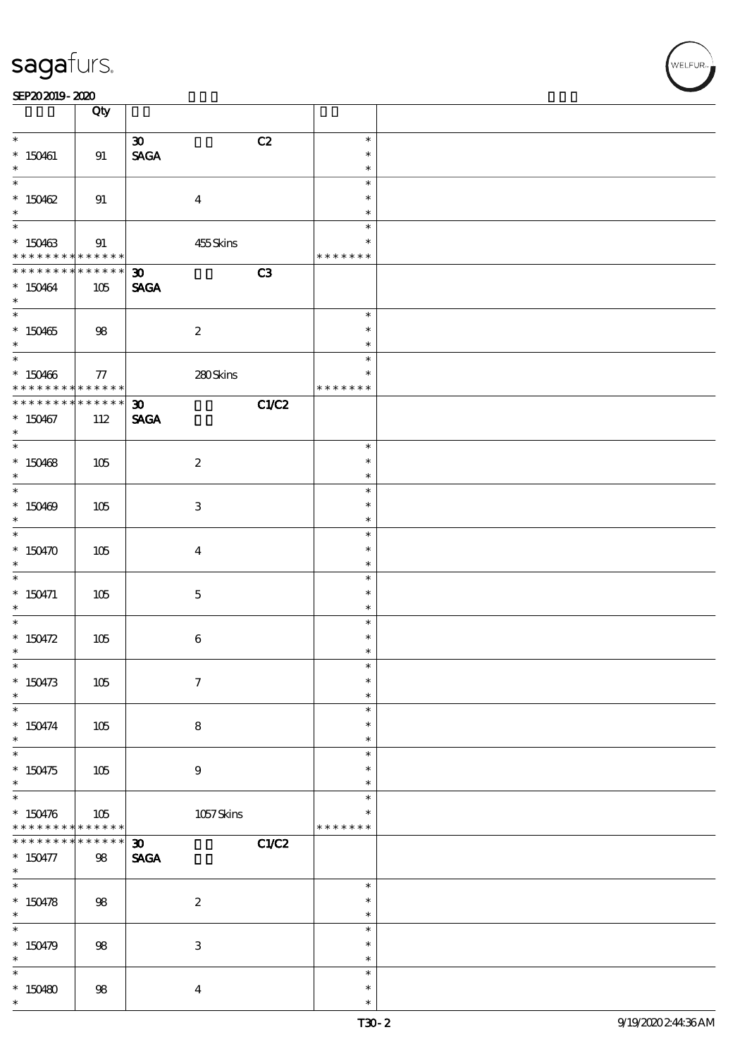| SEP202019-2020                   |                    |                                            |                         |  |
|----------------------------------|--------------------|--------------------------------------------|-------------------------|--|
|                                  | Qty                |                                            |                         |  |
| $\ast$                           |                    | $\boldsymbol{\mathfrak{D}}$                | C2<br>$\ast$            |  |
| $* 150461$                       | 91                 | $\operatorname{\mathsf{SAGA}}$             | $\ast$                  |  |
| $\ast$<br>$\overline{\ast}$      |                    |                                            | $\ast$                  |  |
| $*150462$                        | 91                 | $\boldsymbol{4}$                           | $\ast$<br>$\ast$        |  |
| $\ast$                           |                    |                                            | $\ast$                  |  |
| $\ast$                           |                    |                                            | $\ast$                  |  |
| $*150463$<br>* * * * * * * *     | 91<br>******       | 455Skins                                   | $\ast$<br>* * * * * * * |  |
| * * * * * * * *                  | * * * * * *        | $\boldsymbol{\mathfrak{D}}$                | C3                      |  |
| $*150464$                        | 105                | <b>SAGA</b>                                |                         |  |
| $\ast$                           |                    |                                            | $\ast$                  |  |
| $*150465$                        | 98                 | $\boldsymbol{2}$                           | $\ast$                  |  |
| $\ast$                           |                    |                                            | $\ast$                  |  |
| $*150466$                        | 77                 | 280Skins                                   | $\ast$<br>$\ast$        |  |
| * * * * * * * * <mark>*</mark>   | $* * * * * * *$    |                                            | * * * * * * *           |  |
| * * * * * * * *                  | $******$           | $\boldsymbol{\mathfrak{D}}$                | C1/C2                   |  |
| $*150467$<br>$\ast$              | 112                | <b>SAGA</b>                                |                         |  |
| $\overline{\ast}$                |                    |                                            | $\ast$                  |  |
| $*150468$                        | $105$              | $\boldsymbol{2}$                           | $\ast$                  |  |
| $\ast$                           |                    |                                            | $\ast$<br>$\ast$        |  |
| $*150469$                        | 105                | $\,3$                                      | $\ast$                  |  |
| $\ast$                           |                    |                                            | $\ast$                  |  |
|                                  |                    |                                            | $\ast$<br>$\ast$        |  |
| $*150470$<br>$\ast$              | 105                | $\bf{4}$                                   | $\ast$                  |  |
| $\overline{\phantom{0}}$         |                    |                                            | $\ast$                  |  |
| $*$ 150471<br>$\ast$             | 105                | $\mathbf{5}$                               | $\ast$<br>$\ast$        |  |
| $\ast$                           |                    |                                            | $\ast$                  |  |
| * $150472$                       | 105                | $\boldsymbol{6}$                           | $\ast$                  |  |
| $\ast$<br>$\ast$                 |                    |                                            | $\ast$<br>$\ast$        |  |
| $* 150473$                       | 105                | $\boldsymbol{7}$                           | $\ast$                  |  |
| $\ast$                           |                    |                                            | $\ast$                  |  |
| $\ast$                           |                    |                                            | $\ast$<br>$\ast$        |  |
| $* 150474$<br>$\ast$             | 105                | $\bf 8$                                    | $\ast$                  |  |
| $\overline{\phantom{0}}$         |                    |                                            | $\ast$                  |  |
| $*150475$<br>$\ast$              | 105                | 9                                          | $\ast$<br>$\ast$        |  |
| $\overline{\ast}$                |                    |                                            | $\ast$                  |  |
| $* 150476$                       | 105                | 1057Skins                                  | $\ast$                  |  |
| * * * * * * * *<br>* * * * * * * | ******<br>$******$ |                                            | * * * * * * *           |  |
| $* 150477$                       | 98                 | $\boldsymbol{\mathfrak{D}}$<br><b>SAGA</b> | C1/C2                   |  |
| $\ast$                           |                    |                                            |                         |  |
| $\ast$                           |                    |                                            | $\ast$<br>$\ast$        |  |
| $* 150478$<br>$*$                | 98                 | $\boldsymbol{2}$                           | $\ast$                  |  |
|                                  |                    |                                            | $\ast$                  |  |
| $* 150479$                       | 98                 | $\ensuremath{\mathbf{3}}$                  | $\ast$<br>$\ast$        |  |
| $\ast$<br>$\ast$                 |                    |                                            | $\ast$                  |  |
| $*150480$                        | $98$               | $\boldsymbol{4}$                           | $\ast$                  |  |
| $\ast$                           |                    |                                            | $\ast$                  |  |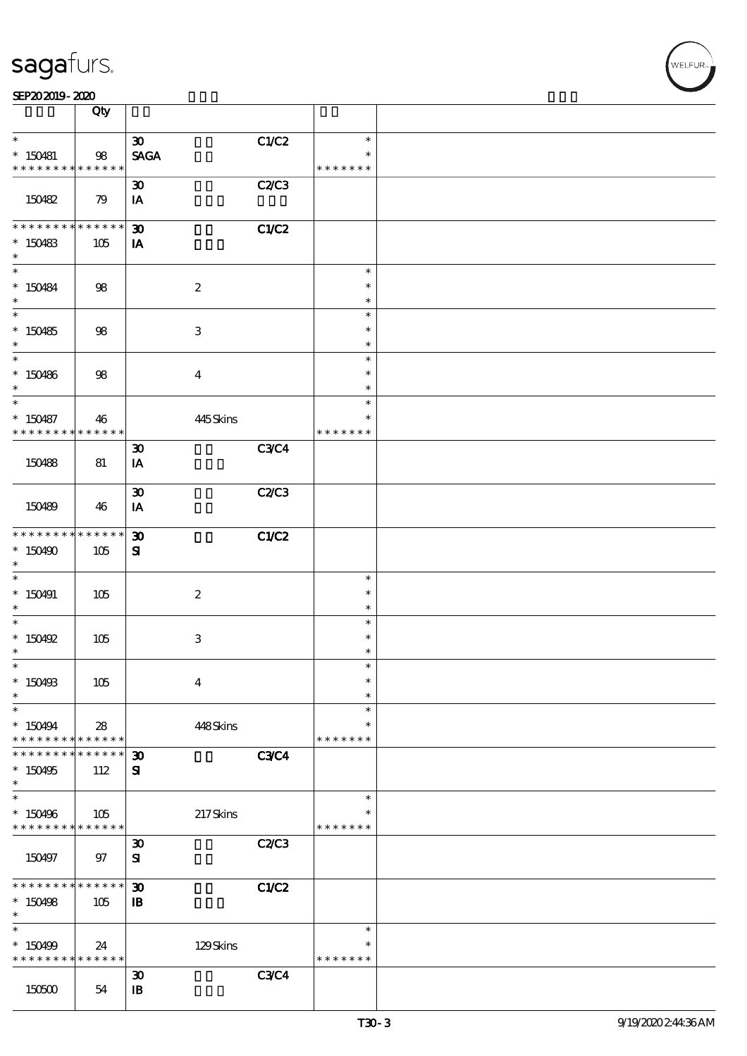|                                                       | Qty               |                             |              |                         |  |
|-------------------------------------------------------|-------------------|-----------------------------|--------------|-------------------------|--|
| $\ast$                                                |                   | $\boldsymbol{\mathfrak{D}}$ | C1/C2        | $\ast$                  |  |
| $*150481$<br>* * * * * * * *                          | 98<br>* * * * * * | <b>SAGA</b>                 |              | $\ast$<br>* * * * * * * |  |
|                                                       |                   | $\boldsymbol{\mathfrak{D}}$ | <b>C2/C3</b> |                         |  |
| 150482                                                | 79                | IA                          |              |                         |  |
| * * * * * * * *                                       | * * * * * *       | $\boldsymbol{\mathfrak{D}}$ | C1/C2        |                         |  |
| $*150483$<br>$\ast$                                   | 105               | IA                          |              |                         |  |
| $\ast$                                                |                   |                             |              | $\ast$                  |  |
| $* 150484$<br>$\ast$                                  | 98                | $\boldsymbol{2}$            |              | $\ast$<br>$\ast$        |  |
|                                                       |                   |                             |              | $\ast$                  |  |
| $*150485$<br>$\ast$                                   | 98                | $\sqrt{3}$                  |              | $\ast$<br>$\ast$        |  |
| $*$                                                   |                   |                             |              | $\ast$                  |  |
| $*150486$<br>$\ast$                                   | 98                | $\overline{\mathbf{4}}$     |              | $\ast$<br>$\ast$        |  |
| $\ast$                                                |                   |                             |              | $\ast$                  |  |
| $* 150487$<br>* * * * * * * *                         | 46<br>******      | 445Skins                    |              | $\ast$<br>* * * * * * * |  |
|                                                       |                   | $\boldsymbol{\mathfrak{D}}$ | <b>C3C4</b>  |                         |  |
| 150488                                                | 81                | IA                          |              |                         |  |
|                                                       |                   | $\boldsymbol{\mathfrak{D}}$ | C2C3         |                         |  |
| 150489                                                | 46                | IA                          |              |                         |  |
| * * * * * * * *                                       | ******            | $\boldsymbol{\mathfrak{D}}$ | C1/C2        |                         |  |
| $*150490$<br>$\ast$                                   | 105               | ${\bf s}$                   |              |                         |  |
| $\ast$                                                |                   |                             |              | $\ast$                  |  |
| $* 150491$                                            | 105               | $\boldsymbol{2}$            |              | $\ast$                  |  |
| $\ast$<br>$\ast$                                      |                   |                             |              | $\ast$<br>$\ast$        |  |
| $*$ 150492                                            | 105               | $\ensuremath{\mathbf{3}}$   |              | $\ast$                  |  |
| $\ast$                                                |                   |                             |              | $\ast$                  |  |
| $\ast$<br>$*$ 150498                                  | 105               | $\boldsymbol{4}$            |              | $\ast$<br>$\ast$        |  |
| $\ast$                                                |                   |                             |              | $\ast$                  |  |
| $\ast$                                                |                   |                             |              | $\ast$                  |  |
| $*150494$<br>* * * * * * * *                          | 28<br>* * * * * * | 448Skins                    |              | $\ast$<br>* * * * * * * |  |
| * * * * * * *                                         | $* * * * * *$     | $\boldsymbol{\mathfrak{D}}$ | <b>C3C4</b>  |                         |  |
| $*150495$<br>$\ast$                                   | 112               | ${\bf s}$                   |              |                         |  |
| $\ast$                                                |                   |                             |              | $\ast$                  |  |
| $*150496$<br>* * * * * * * * <mark>* * * * * *</mark> | 105               | $217\mathrm{S}$ kins        |              | $\ast$<br>* * * * * * * |  |
|                                                       |                   | $\boldsymbol{\mathfrak{D}}$ | C2C3         |                         |  |
| 150497                                                | 97                | ${\bf s}$                   |              |                         |  |
| * * * * * * * *                                       | * * * * * *       | $\boldsymbol{\mathfrak{D}}$ | C1/C2        |                         |  |
| $*150498$                                             | 105               | $\mathbf{B}$                |              |                         |  |
| $\ast$<br>$\ast$                                      |                   |                             |              | $\ast$                  |  |
| * 150499                                              | 24                | 129Skins                    |              | $\ast$                  |  |
| * * * * * * * *                                       | $* * * * * * *$   |                             |              | * * * * * * *           |  |
|                                                       |                   | $\boldsymbol{\mathfrak{D}}$ | C3C4         |                         |  |
| 150500                                                | 54                | $\mathbf{B}$                |              |                         |  |

 $\overline{\mathbf{r}}$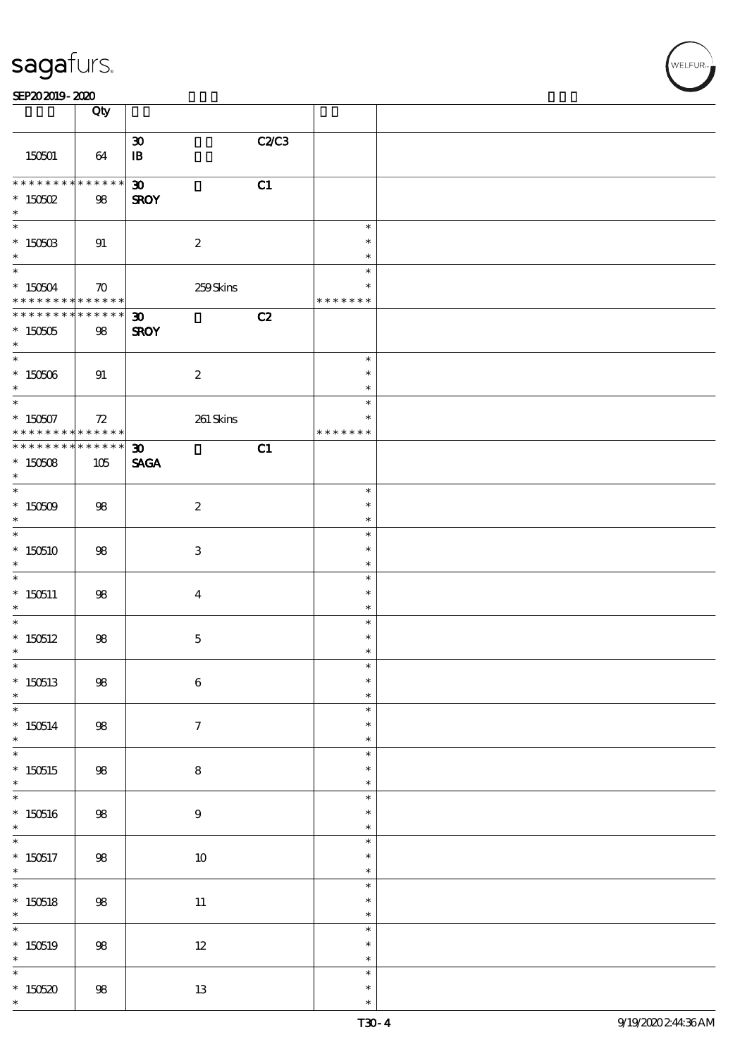| sagafurs. |
|-----------|
|           |

#### SEP202019-2020

|                                                          | Qty                |                             |       |                         |  |
|----------------------------------------------------------|--------------------|-----------------------------|-------|-------------------------|--|
|                                                          |                    | $\boldsymbol{\mathfrak{D}}$ | C2/C3 |                         |  |
| 150501                                                   | 64                 | $\, {\bf I} \! {\bf B} \,$  |       |                         |  |
| * * * * * * * *                                          | $* * * * * * *$    | $\boldsymbol{\mathfrak{D}}$ | C1    |                         |  |
| $*$ 150502<br>$*$                                        | 98                 | <b>SROY</b>                 |       |                         |  |
| $*$                                                      |                    |                             |       | $\ast$                  |  |
| $*$ 150503<br>$*$                                        | 91                 | $\boldsymbol{2}$            |       | $\ast$<br>$\ast$        |  |
| $\ast$                                                   |                    |                             |       | $\ast$                  |  |
| $* 150504$<br>* * * * * * * * <mark>* * * * * * *</mark> | $\boldsymbol{\pi}$ | 259Skins                    |       | $\ast$<br>* * * * * * * |  |
| * * * * * * * * <mark>* * * * * * *</mark>               |                    | $\boldsymbol{\mathfrak{D}}$ | C2    |                         |  |
| $* 150505$<br>$\ast$                                     | 98                 | <b>SROY</b>                 |       |                         |  |
|                                                          |                    |                             |       | $\ast$                  |  |
| $* 150506$<br>$\ast$                                     | 91                 | $\boldsymbol{2}$            |       | $\ast$<br>$\ast$        |  |
| $*$                                                      |                    |                             |       | $\ast$                  |  |
| * 150507 72<br>* * * * * * * * * * * * * * *             |                    | 261 Skins                   |       | $\ast$<br>* * * * * * * |  |
| * * * * * * * * * * * * * * *                            |                    | $\boldsymbol{\mathfrak{D}}$ | C1    |                         |  |
| $*150508$<br>$\ast$                                      | 105                | <b>SAGA</b>                 |       |                         |  |
| $*$                                                      |                    |                             |       | $\ast$                  |  |
| $* 150509$<br>$\ast$                                     | 98                 | $\boldsymbol{2}$            |       | $\ast$<br>$\ast$        |  |
|                                                          |                    |                             |       | $\ast$                  |  |
| $*150510$<br>$\ast$                                      | 98                 | 3                           |       | $\ast$<br>$\ast$        |  |
|                                                          |                    |                             |       | $\ast$                  |  |
| $*150511$<br>$\ast$                                      | 98                 | $\bf{4}$                    |       | $\ast$<br>$\ast$        |  |
| $*$                                                      |                    |                             |       | $\ast$                  |  |
| $*150512$<br>$\ast$                                      | 98                 | $\mathbf{5}$                |       | $\ast$<br>$\ast$        |  |
| $\ast$                                                   |                    |                             |       | ж                       |  |
| $*150513$<br>$\ast$                                      | ${\bf 98}$         | $\bf 6$                     |       | $\ast$<br>$\ast$        |  |
|                                                          |                    |                             |       | $\ast$                  |  |
| $*150514$<br>$*$                                         | $98\,$             | $\boldsymbol{7}$            |       | $\ast$<br>$\ast$        |  |
| $\ast$                                                   |                    |                             |       | $\ast$                  |  |
| $*150515$<br>$*$                                         | 98                 | ${\bf 8}$                   |       | $\ast$<br>$\ast$        |  |
| $\overline{\ast}$                                        |                    |                             |       | $\ast$                  |  |
| $*150516$<br>$\ast$                                      | ${\bf 98}$         | $\boldsymbol{9}$            |       | $\ast$<br>$\ast$        |  |
| $\overline{\ast}$                                        |                    |                             |       | $\ast$                  |  |
| $*150517$<br>$\ast$                                      | $98\,$             | $10\,$                      |       | $\ast$<br>$\ast$        |  |
| $*$                                                      |                    |                             |       | $\ast$<br>$\ast$        |  |
| $*150518$<br>$\ast$                                      | 98                 | $11\,$                      |       | $\ast$                  |  |
|                                                          |                    |                             |       | $\ast$<br>$\ast$        |  |
| $*150519$<br>$\ast$                                      | $98\,$             | $12\,$                      |       | $\ast$                  |  |
| $\overline{\phantom{0}}$                                 |                    |                             |       | $\ast$<br>$\ast$        |  |
| $*150520$<br>$\ast$                                      | $98\,$             | $1\!3$                      |       | $\ast$                  |  |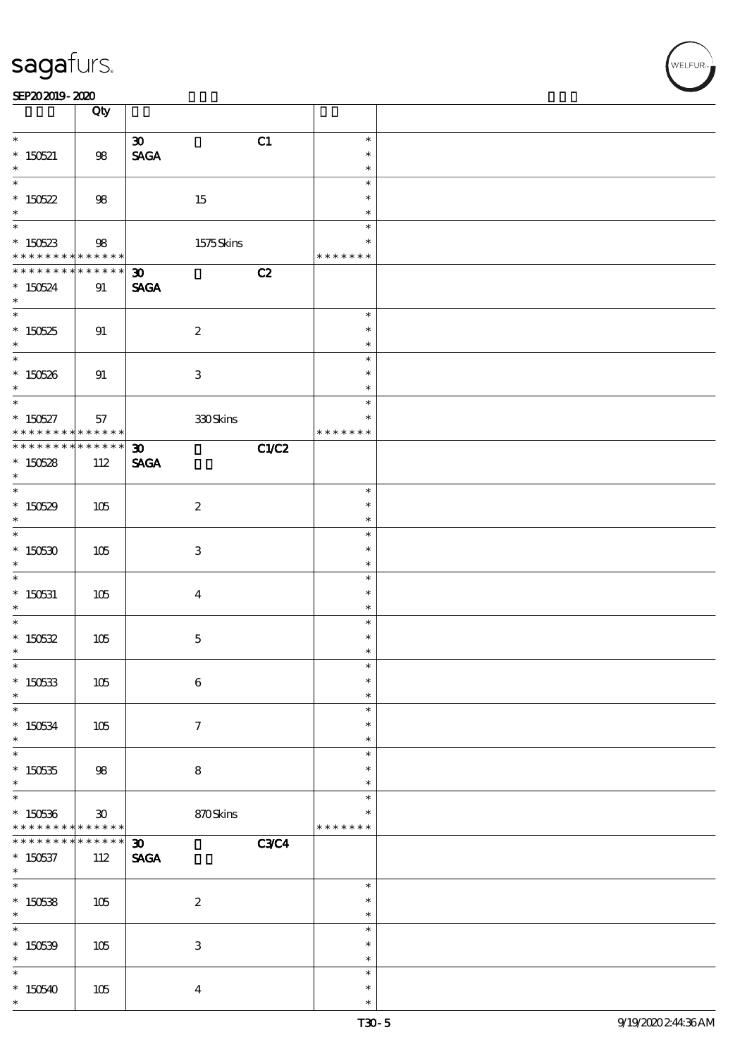|                                                                   | Qty                             |                                                           |                                   |  |
|-------------------------------------------------------------------|---------------------------------|-----------------------------------------------------------|-----------------------------------|--|
| $*$<br>$* 150521$<br>$\ast$                                       | 98                              | C1<br>$\boldsymbol{\mathfrak{D}}$<br><b>SAGA</b>          | $\ast$<br>$\ast$<br>$\ast$        |  |
| $*150522$<br>$\ast$                                               | $98$                            | 15                                                        | $\ast$<br>$\ast$<br>$\ast$        |  |
| * 150523<br>* * * * * * * *                                       | $98$<br>* * * * * *             | 1575Skins                                                 | $\ast$<br>$\ast$<br>* * * * * * * |  |
| * * * * * * * *<br>$*150524$<br>$\ast$                            | $******$<br>91                  | C2<br>$\boldsymbol{\mathfrak{D}}$<br><b>SAGA</b>          |                                   |  |
| $*150525$<br>$\ast$                                               | 91                              | $\boldsymbol{2}$                                          | $\ast$<br>$\ast$<br>$\ast$        |  |
| $*150526$<br>$\ast$                                               | 91                              | 3                                                         | $\ast$<br>$\ast$<br>$\ast$        |  |
| $\overline{\mathbf{r}}$<br>$* 150527$<br>* * * * * * * *          | 57<br>* * * * * * *             | 330Skins                                                  | $\ast$<br>$\ast$<br>* * * * * * * |  |
| * * * * * * * * * * * * * * <mark>*</mark><br>$*150528$<br>$\ast$ | 112                             | $\boldsymbol{\mathfrak{D}}$<br>C1/C2<br><b>SAGA</b>       |                                   |  |
| $\overline{\phantom{0}}$<br>$*150529$<br>$\ast$                   | 105                             | $\boldsymbol{2}$                                          | $\ast$<br>$\ast$<br>$\ast$        |  |
| $*150530$<br>$\ast$                                               | $105$                           | 3                                                         | $\ast$<br>$\ast$<br>$\ast$        |  |
| $*$ 150531<br>$\ast$                                              | 105                             | $\bf{4}$                                                  | $\ast$<br>$\ast$<br>$\ast$        |  |
| $* 150532$<br>$\ast$                                              | 105                             | $\mathbf 5$                                               | $\ast$<br>$\ast$<br>$\ast$        |  |
| $\overline{\phantom{0}}$<br>$*150533$<br>$\ast$                   | $105$                           | $\bf 6$                                                   | $\ast$<br>$\ast$<br>$\ast$        |  |
| $\ast$<br>$*150534$<br>$\ast$                                     | 105                             | $\tau$                                                    | $\ast$<br>$\ast$<br>$\ast$        |  |
| $\overline{\ast}$<br>$*150535$<br>$\ast$                          | 98                              | 8                                                         | $\ast$<br>$\ast$<br>$\ast$        |  |
| $\overline{\ast}$<br>$*150536$<br>* * * * * * * *                 | $30^{\circ}$<br>$* * * * * * *$ | 870Skins                                                  | $\ast$<br>*<br>* * * * * * *      |  |
| * * * * * * *<br>$*150537$<br>$*$                                 | * * * * * *  <br>112            | <b>C3C4</b><br>$\boldsymbol{\mathfrak{D}}$<br><b>SAGA</b> |                                   |  |
| $\overline{\phantom{0}}$<br>$*150538$<br>$\ast$                   | 105                             | $\boldsymbol{2}$                                          | $\ast$<br>$\ast$<br>$\ast$        |  |
| $\overline{\ast}$<br>$*150539$<br>$\ast$                          | 105                             | $\ensuremath{\mathbf{3}}$                                 | $\ast$<br>$\ast$<br>$\ast$        |  |
| $\ast$<br>$*150540$<br>$\ast$                                     | 105                             | $\boldsymbol{4}$                                          | $\ast$<br>$\ast$<br>$\ast$        |  |

 $\top$ 

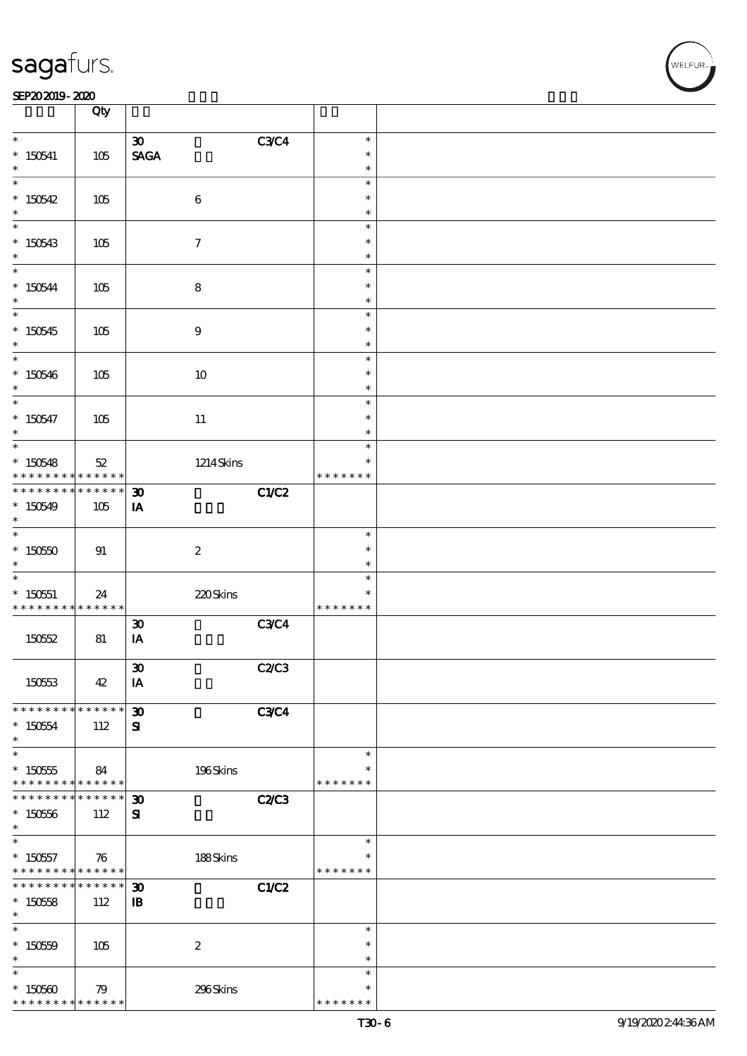#### SEP202019-2020 EXP = 2020 EXP = 2020 EXP = 2020 EXP = 2020 EXP = 2020 EXP = 2020 EXP = 2020 EXP = 2020 EXP = 2

|                                            | Qty                          |                                   |              |                  |  |
|--------------------------------------------|------------------------------|-----------------------------------|--------------|------------------|--|
| $\ast$                                     |                              | $\boldsymbol{\mathfrak{D}}$       | <b>C3C4</b>  | $\ast$           |  |
| $* 150541$                                 | 105                          | $\operatorname{\mathsf{SAGA}}$    |              | $\ast$           |  |
|                                            |                              |                                   |              | $\ast$           |  |
| $\overline{\ast}$                          |                              |                                   |              | $\ast$           |  |
| $*150542$                                  | 105                          | $\,6\,$                           |              | $\ast$           |  |
| $\ast$                                     |                              |                                   |              | $\ast$           |  |
|                                            |                              |                                   |              | $\ast$           |  |
| $*150543$<br>$\ast$                        | 105                          | $\boldsymbol{\tau}$               |              | $\ast$<br>$\ast$ |  |
|                                            |                              |                                   |              | $\ast$           |  |
| $*150544$                                  | 105                          | $\bf8$                            |              | $\ast$           |  |
| $\ast$                                     |                              |                                   |              | $\ast$           |  |
|                                            |                              |                                   |              | $\ast$           |  |
| $*150545$                                  | 105                          | $\boldsymbol{9}$                  |              | $\ast$           |  |
| $*$<br>$\overline{\phantom{0}}$            |                              |                                   |              | $\ast$           |  |
|                                            |                              |                                   |              | $\ast$<br>$\ast$ |  |
| $*150546$<br>$\ast$                        | 105                          | 10                                |              | $\ast$           |  |
|                                            |                              |                                   |              | $\ast$           |  |
| $* 150547$                                 | 105                          | $11\,$                            |              | $\ast$           |  |
| $\ast$                                     |                              |                                   |              | $\ast$           |  |
|                                            |                              |                                   |              | $\ast$           |  |
| $*150548$                                  | $52\,$                       | $1214$ Skins                      |              | $\ast$           |  |
| * * * * * * * *<br>* * * * * * * *         | * * * * * *  <br>* * * * * * |                                   |              | * * * * * * *    |  |
|                                            |                              | $\boldsymbol{\mathfrak{D}}$       | C1/C2        |                  |  |
| $*150549$<br>$\ast$                        | 105                          | IA                                |              |                  |  |
|                                            |                              |                                   |              | $\ast$           |  |
| $*15050$                                   | 91                           | $\boldsymbol{2}$                  |              | $\ast$           |  |
| $\ast$                                     |                              |                                   |              | $\ast$           |  |
|                                            |                              |                                   |              | $\ast$           |  |
| $* 150551$                                 | 24                           | 220Skins                          |              | $\ast$           |  |
| * * * * * * * *                            | $* * * * * * *$              |                                   |              | * * * * * * *    |  |
| 150552                                     | 81                           | $\boldsymbol{\mathfrak{D}}$<br>IA | <b>C3C4</b>  |                  |  |
|                                            |                              |                                   |              |                  |  |
|                                            |                              | $\pmb{\mathfrak{D}}$              | <b>C2/C3</b> |                  |  |
| 150553                                     | 42                           | IA                                |              |                  |  |
|                                            |                              |                                   |              |                  |  |
| * * * * * * * * <mark>* * * * * * *</mark> |                              | $\boldsymbol{\mathfrak{D}}$       | <b>C3C4</b>  |                  |  |
| $* 15054$<br>$\ast$                        | 112                          | ${\bf s}$                         |              |                  |  |
| $\overline{\ast}$                          |                              |                                   |              | $\ast$           |  |
| $* 150555$                                 | 84                           | 196Skins                          |              | ∗                |  |
| * * * * * * * *                            | * * * * * *                  |                                   |              | * * * * * * *    |  |
| * * * * * * *                              | * * * * * *                  | $\boldsymbol{\mathfrak{D}}$       | C2/C3        |                  |  |
| $* 15056$                                  | 112                          | ${\bf s}$                         |              |                  |  |
| $\ast$<br>$\ast$                           |                              |                                   |              |                  |  |
| $*15057$                                   |                              | 188Skins                          |              | $\ast$<br>$\ast$ |  |
| * * * * * * * * <mark>* * * * * *</mark>   | 76                           |                                   |              | * * * * * * *    |  |
| * * * * * * * *                            | ******                       | $\boldsymbol{\mathfrak{D}}$       | <b>C1/C2</b> |                  |  |
| $*15058$                                   | 112                          | $\mathbf{B}$                      |              |                  |  |
| $\ast$                                     |                              |                                   |              |                  |  |
| $\overline{\phantom{0}}$                   |                              |                                   |              | $\ast$           |  |
| $* 15059$                                  | 105                          | $\boldsymbol{2}$                  |              | $\ast$           |  |
| $\ast$<br>$\ast$                           |                              |                                   |              | $\ast$<br>$\ast$ |  |
| $*150500$                                  | 79                           | 296Skins                          |              | $\ast$           |  |
| * * * * * * * *                            | * * * * * *                  |                                   |              | * * * * * * *    |  |

**NELFUR**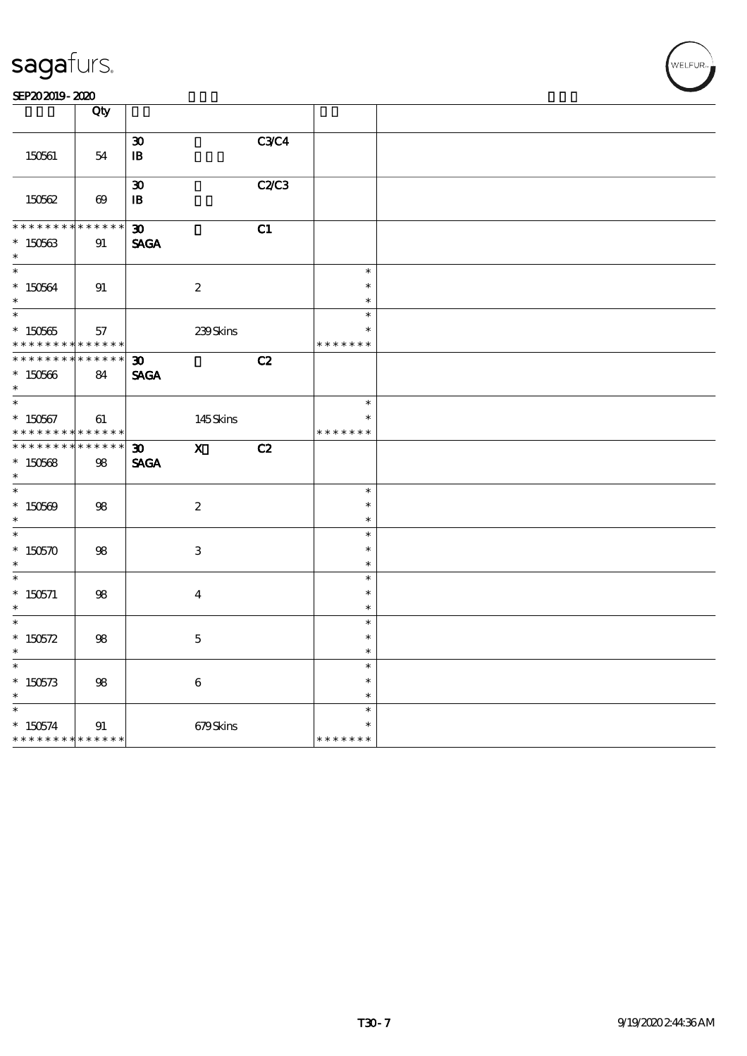SEP202019-2020

|                                                                    | Qty                   |                                                                           |                                   |  |
|--------------------------------------------------------------------|-----------------------|---------------------------------------------------------------------------|-----------------------------------|--|
| 150561                                                             | 54                    | <b>C3C4</b><br>$\boldsymbol{\mathfrak{D}}$<br>$\, {\bf I} \! {\bf B} \,$  |                                   |  |
| 150562                                                             | $\boldsymbol{\omega}$ | <b>C2/C3</b><br>$\boldsymbol{\mathfrak{D}}$<br>$\, {\bf I} \! {\bf B} \,$ |                                   |  |
| * * * * * * *<br>$^\ast$ 150563<br>$\ast$                          | * * * * * *<br>91     | $\boldsymbol{\mathfrak{D}}$<br>C1<br><b>SAGA</b>                          |                                   |  |
| $\overline{\phantom{0}}$<br>$^\ast$ 150564<br>$\ast$               | $91\,$                | $\boldsymbol{2}$                                                          | $\ast$<br>$\ast$<br>$\ast$        |  |
| $\ast$<br>$^*$ 150565 $\,$<br>* * * * * * * *                      | 57<br>* * * * * *     | 239Skins                                                                  | $\ast$<br>$\ast$<br>* * * * * * * |  |
| * * * * * * * *<br>$* 150566$<br>$\ast$                            | $******$<br>84        | C2<br>$\boldsymbol{\mathfrak{D}}$<br><b>SAGA</b>                          |                                   |  |
| $\overline{\ast}$<br>$* 150567$<br>* * * * * * * *                 | 61<br>* * * * * *     | 145Skins                                                                  | $\ast$<br>$\ast$<br>* * * * * * * |  |
| **************<br>$^\ast$ 150568<br>$\ast$                         | 98                    | $\mathbf{x}$<br>$\boldsymbol{\mathfrak{D}}$<br>C2<br><b>SAGA</b>          |                                   |  |
| $\overline{\phantom{0}}$<br>$* 150509$<br>$\ast$                   | ${\bf 98}$            | $\boldsymbol{2}$                                                          | $\ast$<br>$\ast$<br>$\ast$        |  |
| $\overline{\phantom{0}}$<br>$* 150570$<br>$\ast$                   | $98\,$                | $\ensuremath{\mathbf{3}}$                                                 | $\ast$<br>$\ast$<br>$\ast$        |  |
| $\ast$<br>$^*$ 150571<br>$\ast$                                    | $98\,$                | $\boldsymbol{4}$                                                          | $\ast$<br>$\ast$<br>$\ast$        |  |
| $\ast$<br>* $150572$<br>$\ast$                                     | ${\bf 98}$            | $\bf 5$                                                                   | $\ast$<br>$\ast$<br>$\ast$        |  |
| $\ast$<br>$^\ast$ 150573<br>$\ast$                                 | 98                    | $\,6\,$                                                                   | $\ast$<br>$\ast$<br>$\ast$        |  |
| $\ast$<br>$* 150574$<br>* * * * * * * * <mark>* * * * * * *</mark> | $91\,$                | 679Skins                                                                  | $\ast$<br>$\ast$<br>* * * * * * * |  |

WELFUR-<br>NELFUR-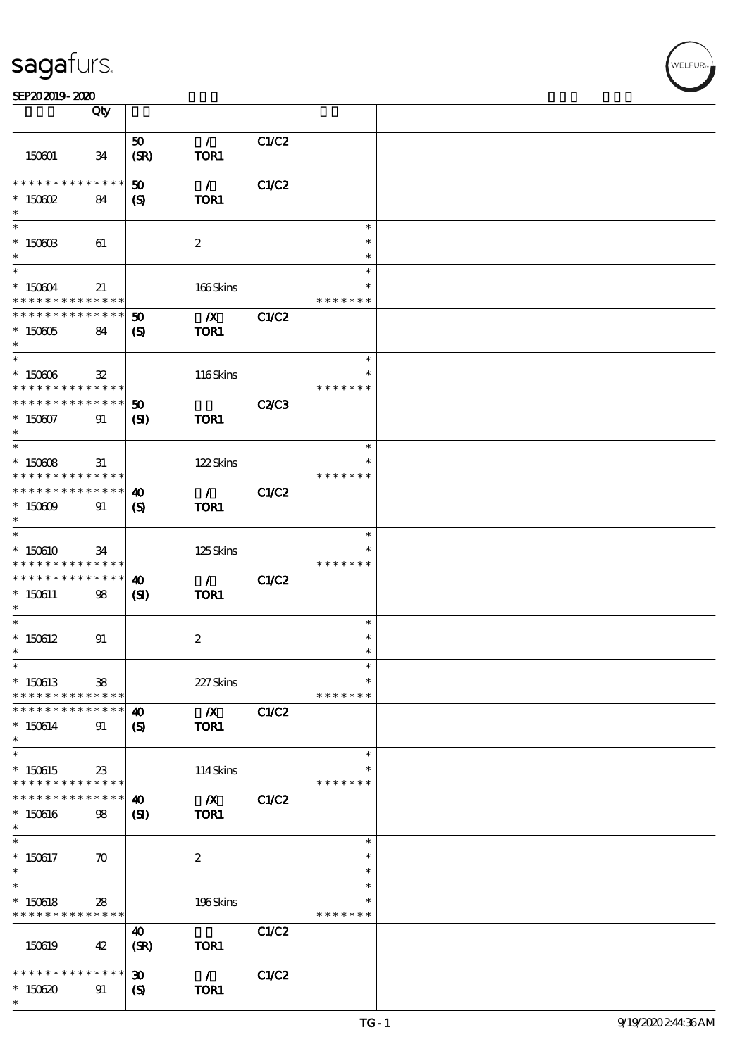|                                                                                      | Qty                |                                                            |                          |              |                                   |  |
|--------------------------------------------------------------------------------------|--------------------|------------------------------------------------------------|--------------------------|--------------|-----------------------------------|--|
| 150601                                                                               | 34                 | 50<br>(SR)                                                 | $\mathcal{L}$<br>TOR1    | C1/C2        |                                   |  |
| * * * * * * * * * * * * * * *<br>$*$ 150602<br>$\ast$                                | 84                 | $\boldsymbol{\mathfrak{D}}$<br>(S)                         | $\mathcal{L}$<br>TOR1    | C1/C2        |                                   |  |
| $\ast$<br>$*$ 150603<br>$\ast$                                                       | 61                 |                                                            | $\boldsymbol{2}$         |              | $\ast$<br>$\ast$<br>$\ast$        |  |
| $*$<br>$* 150604$<br>* * * * * * * * <mark>* * * * * * *</mark>                      | 21                 |                                                            | 166Skins                 |              | $\ast$<br>$\ast$<br>* * * * * * * |  |
| * * * * * * * * <mark>* * * * * * *</mark><br>$* 150005$<br>$\ast$                   | 84                 | 50<br>$\mathbf{S}$                                         | $\boldsymbol{X}$<br>TOR1 | C1/C2        |                                   |  |
| $\overline{\phantom{0}}$<br>$* 150006$<br>* * * * * * * * * * * * * * <mark>*</mark> | $\mathbf{32}$      |                                                            | 116Skins                 |              | $\ast$<br>*<br>* * * * * * *      |  |
| * * * * * * * * * * * * * * *<br>$* 150007$<br>$\ast$                                | 91                 | 50<br>(S)                                                  | <b>TOR1</b>              | <b>C2/C3</b> |                                   |  |
| $\overline{\ }$<br>$* 150008$<br>* * * * * * * * <mark>* * * * * *</mark>            | 31                 |                                                            | 122Skins                 |              | $\ast$<br>$\ast$<br>* * * * * * * |  |
| * * * * * * * * <mark>* * * * * *</mark><br>$* 150609$<br>$\ast$                     | 91                 | $\boldsymbol{\omega}$<br>(S)                               | $\mathcal{L}$<br>TOR1    | <b>C1/C2</b> |                                   |  |
| $\overline{\ast}$<br>$*150610$<br>* * * * * * * * <mark>* * * * * * *</mark>         | 34                 |                                                            | 125Skins                 |              | $\ast$<br>* * * * * * *           |  |
| * * * * * * * * <mark>* * * * * *</mark><br>$*150611$<br>$\ast$                      | 98                 | $\boldsymbol{\omega}$<br>$\mathbf{C}$                      | $\mathcal{L}$<br>TOR1    | C1/C2        |                                   |  |
| $\ast$<br>$*150612$<br>$^{\ast}$                                                     | 91                 |                                                            | $\boldsymbol{2}$         |              | $\ast$<br>$\ast$<br>$\ast$        |  |
| $\ast$<br>$*150613$<br>* * * * * * * *                                               | 38<br>******       |                                                            | 227Skins                 |              | $\ast$<br>$\ast$<br>* * * * * * * |  |
| * * * * * * * *<br>$*150614$<br>$\ast$                                               | * * * * * *<br>91  | 40<br>$\boldsymbol{\mathcal{S}}$                           | $\boldsymbol{X}$<br>TOR1 | C1/C2        |                                   |  |
| $\ast$<br>$*150615$<br>* * * * * * * * <mark>* * * * * *</mark>                      | 23                 |                                                            | 114Skins                 |              | $\ast$<br>* * * * * * *           |  |
| * * * * * * * *<br>$*150616$<br>$\ast$                                               | * * * * * *<br>98  | 40<br>$\mathbf{S}$                                         | $\mathbf{X}$<br>TOR1     | C1/C2        |                                   |  |
| $\ast$<br>$*150617$<br>$\ast$<br>$\ast$                                              | $\boldsymbol{\pi}$ |                                                            | $\boldsymbol{z}$         |              | $\ast$<br>$\ast$<br>$\ast$        |  |
| $*150618$<br>* * * * * * * * <mark>* * * * * *</mark>                                | 28                 |                                                            | 196Skins                 |              | $\ast$<br>* * * * * * *           |  |
| 150619                                                                               | 42                 | $\boldsymbol{\omega}$<br>(SR)                              | TOR1                     | C1/C2        |                                   |  |
| * * * * * * *<br>$*150620$<br>$\ast$                                                 | * * * * * *<br>91  | $\boldsymbol{\mathfrak{D}}$<br>$\boldsymbol{\mathsf{(S)}}$ | $\mathcal{L}$<br>TOR1    | C1/C2        |                                   |  |

 $\overline{\mathsf{T}}$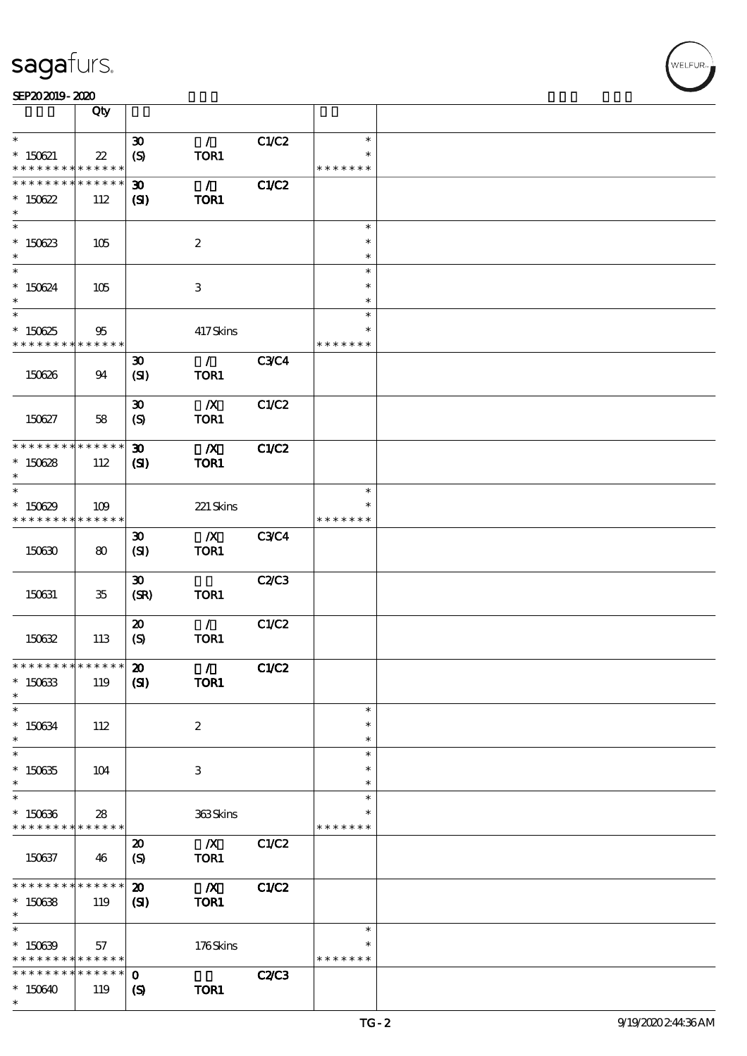|                               | Qty                        |                             |                         |              |               |  |
|-------------------------------|----------------------------|-----------------------------|-------------------------|--------------|---------------|--|
| $\ast$                        |                            | $\boldsymbol{\mathfrak{D}}$ | $\mathcal{L}$           | C1/C2        | $\ast$        |  |
| $* 150621$                    |                            |                             | TOR1                    |              |               |  |
| * * * * * * * *               | $22\,$<br>* * * * * *      | $\boldsymbol{S}$            |                         |              | * * * * * * * |  |
| * * * * * * * *               | * * * * * *                |                             | $\mathcal{L}$           | C1/C2        |               |  |
|                               |                            | $\boldsymbol{\mathfrak{D}}$ |                         |              |               |  |
| $*150622$<br>$\ast$           | 112                        | (S)                         | TOR1                    |              |               |  |
|                               |                            |                             |                         |              |               |  |
|                               |                            |                             |                         |              | $\ast$        |  |
| $*150623$                     | 105                        |                             | $\boldsymbol{2}$        |              | $\ast$        |  |
| $\ast$                        |                            |                             |                         |              | $\ast$        |  |
| $\overline{\phantom{0}}$      |                            |                             |                         |              | $\ast$        |  |
| $*150624$                     | 105                        |                             | 3                       |              | $\ast$        |  |
| $\ast$                        |                            |                             |                         |              | $\ast$        |  |
| $\overline{\phantom{0}}$      |                            |                             |                         |              | $\ast$        |  |
| $*150625$                     | 95                         |                             | 417Skins                |              | $\ast$        |  |
| * * * * * * * *               | * * * * * *                |                             |                         |              | * * * * * * * |  |
|                               |                            | $\boldsymbol{\mathfrak{D}}$ | $\mathcal{L}$           | <b>C3C4</b>  |               |  |
| 150626                        | 94                         | (SI)                        | TOR1                    |              |               |  |
|                               |                            |                             |                         |              |               |  |
|                               |                            | $\boldsymbol{\mathfrak{D}}$ | $\boldsymbol{X}$        | C1/C2        |               |  |
|                               |                            |                             |                         |              |               |  |
| 150627                        | 58                         | (S)                         | TOR1                    |              |               |  |
|                               |                            |                             |                         |              |               |  |
| * * * * * * * * * * * * * *   |                            | $\boldsymbol{\mathfrak{D}}$ | $\boldsymbol{X}$        | C1/C2        |               |  |
| $*150628$                     | 112                        | $\mathbf{C}$                | TOR1                    |              |               |  |
| $\ast$                        |                            |                             |                         |              |               |  |
| $\ast$                        |                            |                             |                         |              | $\ast$        |  |
| $*150629$                     | 109                        |                             | 221 Skins               |              |               |  |
| * * * * * * * *               | * * * * * *                |                             |                         |              | * * * * * * * |  |
|                               |                            | $\boldsymbol{\mathfrak{D}}$ | $\boldsymbol{X}$        | <b>C3C4</b>  |               |  |
| 150630                        | 80                         | (SI)                        | TOR1                    |              |               |  |
|                               |                            |                             |                         |              |               |  |
|                               |                            | $\boldsymbol{\mathfrak{D}}$ |                         | C2/C3        |               |  |
| 150631                        | 35                         | (SR)                        | TOR1                    |              |               |  |
|                               |                            |                             |                         |              |               |  |
|                               |                            | $\boldsymbol{\mathfrak{D}}$ | $\overline{1}$          | C1/C2        |               |  |
| 150632                        | 113                        | $\boldsymbol{S}$            | TOR1                    |              |               |  |
|                               |                            |                             |                         |              |               |  |
| * * * * * * * * * * * * * * * |                            | $\boldsymbol{\mathbf{z}}$   | $\mathcal{L}$           | <b>C1/C2</b> |               |  |
| $* 150633$                    | 119                        | (S)                         | TOR1                    |              |               |  |
| $\ast$                        |                            |                             |                         |              |               |  |
| $\ast$                        |                            |                             |                         |              | $\ast$        |  |
|                               |                            |                             |                         |              |               |  |
| $* 150634$                    | 112                        |                             | $\boldsymbol{2}$        |              | $\ast$        |  |
| $\ast$<br>$\overline{\ast}$   |                            |                             |                         |              | $\ast$        |  |
|                               |                            |                             |                         |              | $\ast$        |  |
| $* 150635$                    | 104                        |                             | 3                       |              | $\ast$        |  |
| $\ast$                        |                            |                             |                         |              | $\ast$        |  |
| $\overline{\ast}$             |                            |                             |                         |              | $\ast$        |  |
| $*150636$                     | 28                         |                             | 363Skins                |              | ∗             |  |
| * * * * * * * *               | * * * * * *                |                             |                         |              | * * * * * * * |  |
|                               |                            | $\boldsymbol{\mathfrak{D}}$ | $\boldsymbol{X}$        | C1/C2        |               |  |
| 150637                        | 46                         | $\boldsymbol{\mathrm{(S)}}$ | TOR1                    |              |               |  |
|                               |                            |                             |                         |              |               |  |
| * * * * * * * *               | * * * * * *                | $\boldsymbol{\mathfrak{D}}$ | $\overline{\mathbf{X}}$ | <b>C1/C2</b> |               |  |
| $*150638$                     | 119                        | (S)                         | TOR1                    |              |               |  |
| $*$                           |                            |                             |                         |              |               |  |
| $\overline{\ast}$             |                            |                             |                         |              | $\ast$        |  |
| $*150639$                     | 57                         |                             | 176Skins                |              | $\ast$        |  |
| * * * * * * * *               | $\ast\ast\ast\ast\ast\ast$ |                             |                         |              | * * * * * * * |  |
| * * * * * * * *               | $\ast\ast\ast\ast\ast\ast$ | $\mathbf{o}$                |                         | <b>C2/C3</b> |               |  |
| $*150640$                     | 119                        | $\boldsymbol{\mathcal{S}}$  | TOR1                    |              |               |  |
|                               |                            |                             |                         |              |               |  |
| $\ast$                        |                            |                             |                         |              |               |  |

т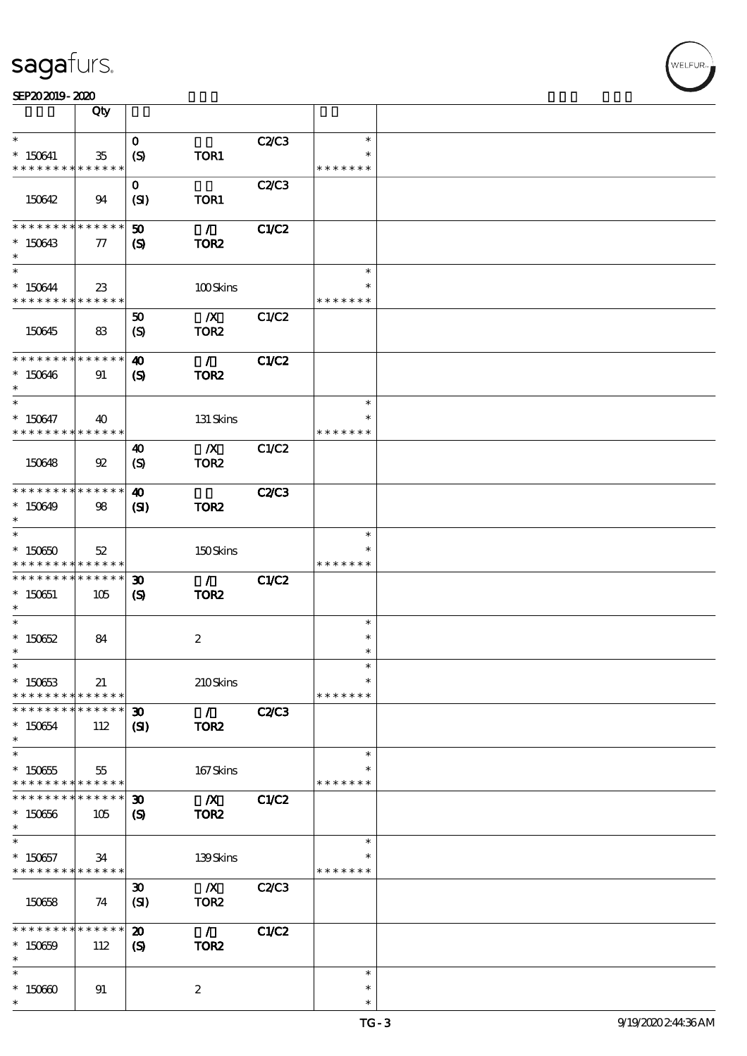|                                          | Qty                   |                             |                  |              |               |  |
|------------------------------------------|-----------------------|-----------------------------|------------------|--------------|---------------|--|
| $\ast$                                   |                       | $\mathbf 0$                 |                  | C2C3         | $\ast$        |  |
| $* 150641$<br>* * * * * * * *            | $35\,$<br>* * * * * * | $\boldsymbol{\mathrm{(S)}}$ | TOR1             |              | * * * * * * * |  |
|                                          |                       | $\mathbf{O}$                |                  | C2/C3        |               |  |
| 150642                                   | 94                    | (SI)                        | TOR1             |              |               |  |
| * * * * * * * *                          | ******                | $\boldsymbol{\mathfrak{D}}$ | $\mathcal{L}$    | C1/C2        |               |  |
| $*150643$<br>$\ast$                      | $\tau$                | $\boldsymbol{\mathcal{S}}$  | TOR <sub>2</sub> |              |               |  |
| $\ast$                                   |                       |                             |                  |              | $\ast$        |  |
| $*150644$                                | $23\,$                |                             | 100Skins         |              |               |  |
| * * * * * * * * * * * * * *              |                       |                             |                  |              | * * * * * * * |  |
|                                          |                       | 50                          | $\boldsymbol{X}$ | C1/C2        |               |  |
| 150645                                   | 83                    | $\boldsymbol{S}$            | TOR <sub>2</sub> |              |               |  |
|                                          |                       |                             |                  |              |               |  |
| * * * * * * * * <mark>* * * * * *</mark> |                       | $\boldsymbol{\omega}$       | $\mathcal{L}$    | <b>C1/C2</b> |               |  |
| $*150646$                                | 91                    | $\mathbf{S}$                | TOR <sub>2</sub> |              |               |  |
| $^{\ast}$                                |                       |                             |                  |              |               |  |
| $\ast$                                   |                       |                             |                  |              | $\ast$        |  |
| $* 150647$                               | 40                    |                             | 131 Skins        |              |               |  |
| * * * * * * * * <mark>* * * * * *</mark> |                       |                             |                  |              | * * * * * * * |  |
|                                          |                       | 40                          | $\mathbf{X}$     | C1/C2        |               |  |
| 150648                                   | $\mathfrak{B}$        | $\boldsymbol{S}$            | TOR <sub>2</sub> |              |               |  |
|                                          |                       |                             |                  |              |               |  |
| * * * * * * * * * * * * * * *            |                       | $\boldsymbol{\omega}$       |                  | <b>C2/C3</b> |               |  |
| $*150649$                                | 98                    | $\mathbf{S}$                | TOR <sub>2</sub> |              |               |  |
| $\ast$                                   |                       |                             |                  |              |               |  |
| $\ast$                                   |                       |                             |                  |              | $\ast$        |  |
| $*150650$                                | 52                    |                             | 150Skins         |              |               |  |
| * * * * * * * * * * * * * *              |                       |                             |                  |              | * * * * * * * |  |
| * * * * * * * * <mark>* * * * * *</mark> |                       | $\boldsymbol{\mathfrak{D}}$ | $\mathcal{L}$    | C1/C2        |               |  |
| $* 150651$                               | 105                   | $\boldsymbol{\mathcal{S}}$  | TOR <sub>2</sub> |              |               |  |
| $\ast$                                   |                       |                             |                  |              |               |  |
| $\ast$                                   |                       |                             |                  |              | $\ast$        |  |
| $*15062$                                 | 84                    |                             | $\boldsymbol{2}$ |              | $\ast$        |  |
| $\ast$                                   |                       |                             |                  |              | $\ast$        |  |
| $\ast$                                   |                       |                             |                  |              | $\ast$        |  |
| $*15063$                                 | 21                    |                             | 210Skins         |              | $\ast$        |  |
| * * * * * * * *                          | * * * * * *           |                             |                  |              | * * * * * * * |  |
| * * * * * * * *                          | * * * * * *           | $\boldsymbol{\mathfrak{D}}$ | $\mathcal{L}$    | <b>C2/C3</b> |               |  |
| $* 150654$                               | 112                   | $\mathbf{C}$                | TOR <sub>2</sub> |              |               |  |
| $\ast$                                   |                       |                             |                  |              |               |  |
| $\ast$                                   |                       |                             |                  |              | $\ast$        |  |
| $*150655$                                | 55                    |                             | 167Skins         |              |               |  |
| * * * * * * * * * * * * * *              |                       |                             |                  |              | * * * * * * * |  |
| * * * * * * *                            | * * * * * *           | $\boldsymbol{\mathfrak{D}}$ | $\boldsymbol{X}$ | C1/C2        |               |  |
| $*150666$                                | 105                   | $\boldsymbol{\mathcal{S}}$  | TOR <sub>2</sub> |              |               |  |
| $\ast$                                   |                       |                             |                  |              |               |  |
| $\ast$                                   |                       |                             |                  |              | $\ast$        |  |
| $*150657$                                | 34                    |                             | 139Skins         |              |               |  |
| * * * * * * * * * * * * * *              |                       |                             |                  |              | * * * * * * * |  |
|                                          |                       | $\boldsymbol{\mathfrak{D}}$ | $\boldsymbol{X}$ | C2C3         |               |  |
| 150658                                   | 74                    | (SI)                        | TOR <sub>2</sub> |              |               |  |
|                                          |                       |                             |                  |              |               |  |
| * * * * * * * *                          | * * * * * *           | $\boldsymbol{\mathfrak{D}}$ | $\mathcal{L}$    | C1/C2        |               |  |
| $*15069$                                 | 112                   | $\mathbf{S}$                | TOR <sub>2</sub> |              |               |  |
| $\ast$                                   |                       |                             |                  |              |               |  |
| $\ast$                                   |                       |                             |                  |              | $\ast$        |  |
| $*15060$                                 | 91                    |                             | $\boldsymbol{z}$ |              | $\ast$        |  |
| $\ast$                                   |                       |                             |                  |              | $\ast$        |  |

т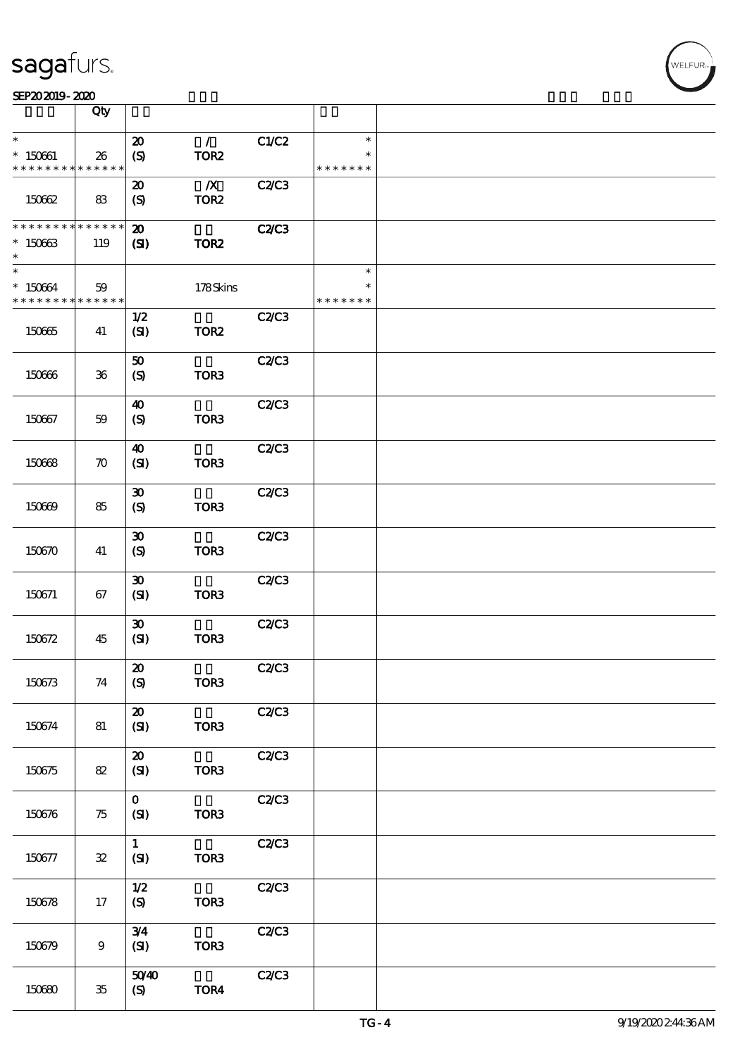|                                       | Qty                |                                                 |                                      |              |                                   |  |
|---------------------------------------|--------------------|-------------------------------------------------|--------------------------------------|--------------|-----------------------------------|--|
| $\ast$                                |                    | $\boldsymbol{\mathbf{z}}$                       | $\mathcal{L}$                        | C1/C2        | $\ast$                            |  |
| $* 150661$<br>* * * * * * * *         | 26<br>* * * * * *  | (S)                                             | TOR <sub>2</sub>                     |              | $\ast$<br>* * * * * * *           |  |
| 150662                                | 83                 | $\boldsymbol{\mathfrak{D}}$<br>(S)              | $\boldsymbol{X}$<br>TOR <sub>2</sub> | C2C3         |                                   |  |
| * * * * * * * *<br>$*15063$<br>$\ast$ | * * * * * *<br>119 | $\boldsymbol{\mathbf{z}}$<br>$\mathbf{C}$       | TOR <sub>2</sub>                     | <b>C2/C3</b> |                                   |  |
| $\ast$<br>* 150664<br>* * * * * * * * | 59<br>$******$     |                                                 | 178Skins                             |              | $\ast$<br>$\ast$<br>* * * * * * * |  |
| 150665                                | 41                 | 1/2<br>(SI)                                     | TOR <sub>2</sub>                     | <b>C2/C3</b> |                                   |  |
| 150666                                | $36\,$             | 50<br>$\boldsymbol{S}$                          | TOR <sub>3</sub>                     | C2C3         |                                   |  |
| 150667                                | 59                 | $\boldsymbol{\omega}$<br>(S)                    | TOR3                                 | C2C3         |                                   |  |
| 150668                                | $\boldsymbol{\pi}$ | 40<br>(SI)                                      | TOR3                                 | C2C3         |                                   |  |
| 150669                                | 85                 | $\boldsymbol{\mathfrak{D}}$<br>$\boldsymbol{S}$ | TOR3                                 | C2/C3        |                                   |  |
| 150670                                | 41                 | $\boldsymbol{\mathfrak{D}}$<br>(S)              | TOR <sub>3</sub>                     | C2C3         |                                   |  |
| 150671                                | 67                 | $\boldsymbol{\mathfrak{D}}$<br>(SI)             | TOR <sub>3</sub>                     | C2C3         |                                   |  |
| 150672                                | 45                 | $\pmb{\mathfrak{D}}$<br>(SI)                    | TOR <sub>3</sub>                     | C2/C3        |                                   |  |
| 150673                                | 74                 | $\pmb{\mathcal{Z}}$<br>(S)                      | TOR3                                 | C2C3         |                                   |  |
| 150674                                | 81                 | $\boldsymbol{\mathbf{z}}$<br>(SI)               | TOR3                                 | C2C3         |                                   |  |
| 150675                                | 82                 | ${\bf Z}$<br>(SI)                               | TOR <sub>3</sub>                     | C2C3         |                                   |  |
| 150676                                | 75                 | $\mathbf{O}$<br>(SI)                            | TOR <sub>3</sub>                     | C2C3         |                                   |  |
| 150677                                | ${\bf 32}$         | $\mathbf{1}$<br>(SI)                            | TOR3                                 | C2C3         |                                   |  |
| 150678                                | 17                 | 1/2<br>(S)                                      | TOR3                                 | C2C3         |                                   |  |
| 150679                                | $\boldsymbol{9}$   | 3/4<br>(SI)                                     | TOR <sub>3</sub>                     | C2C3         |                                   |  |
| 150680                                | $35\,$             | 5040<br>(S)                                     | TOR4                                 | C2C3         |                                   |  |

 $\overline{\mathsf{T}}$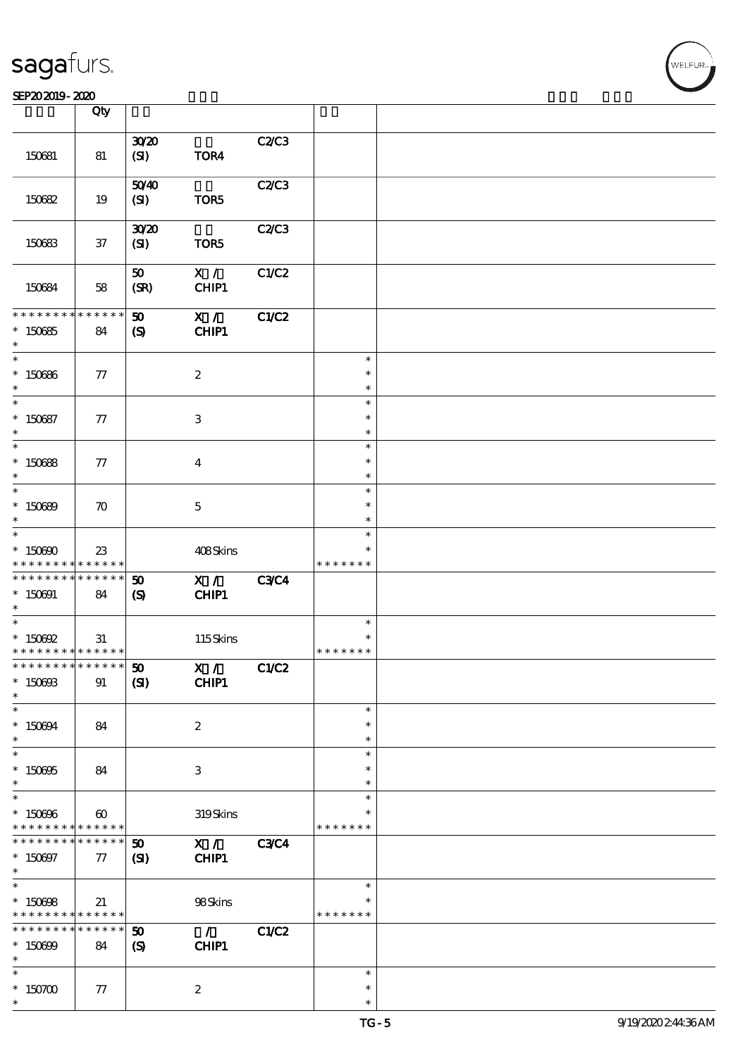|                                                                  | Qty                                      |                                             |                                               |             |                            |  |
|------------------------------------------------------------------|------------------------------------------|---------------------------------------------|-----------------------------------------------|-------------|----------------------------|--|
|                                                                  |                                          |                                             |                                               |             |                            |  |
| 150681                                                           | 81                                       | 3020<br>$\mathbf{C}$                        | TOR4                                          | C2/C3       |                            |  |
| 150682                                                           | 19                                       | 5040<br>(SI)                                | TOR5                                          | C2/C3       |                            |  |
| 150683                                                           | $37\,$                                   | 3020<br>(SI)                                | TOR5                                          | C2/C3       |                            |  |
| 150684                                                           | 58                                       | 50<br>(SR)                                  | X /<br>CHIP1                                  | C1/C2       |                            |  |
| * * * * * * * *<br>$*15065$<br>$\ast$                            | ******<br>84                             | 50<br>$\boldsymbol{\mathcal{S}}$            | X /<br>CHIP1                                  | C1/C2       |                            |  |
| $\ast$<br>$*150666$<br>$\ast$                                    | 77                                       |                                             | $\boldsymbol{2}$                              |             | $\ast$<br>$\ast$<br>$\ast$ |  |
| $\overline{\phantom{0}}$<br>$*150687$<br>$\ast$                  | 77                                       |                                             | 3                                             |             | $\ast$<br>$\ast$<br>$\ast$ |  |
| $\overline{\ast}$<br>$*150688$<br>$\ast$                         | 77                                       |                                             | $\boldsymbol{4}$                              |             | $\ast$<br>$\ast$<br>$\ast$ |  |
| $\ast$<br>$*150699$<br>$\ast$                                    | $\boldsymbol{\pi}$                       |                                             | $\mathbf 5$                                   |             | $\ast$<br>$\ast$<br>$\ast$ |  |
| $\ast$<br>$*15000$<br>* * * * * * * *                            | 23<br>* * * * * *                        |                                             | 408Skins                                      |             | $\ast$<br>* * * * * * *    |  |
| * * * * * * * * <mark>* * * * * *</mark><br>$*150001$<br>$\ast$  | 84                                       | 50<br>$\mathbf{S}$                          | X /<br>CHIP1                                  | <b>C3C4</b> |                            |  |
| $\ast$<br>$*$ 150692<br>* * * * * * * * <mark>* * * * * *</mark> | 31                                       |                                             | 115Skins                                      |             | $\ast$<br>* * * * * * *    |  |
| ************** 50<br>$*$ 150603<br>$\ast$                        | 91                                       | (S)                                         | $\overline{\mathbf{x} / \mathbf{x}}$<br>CHIP1 | C1/C2       |                            |  |
| $\ast$<br>$*150694$<br>$\ast$                                    | 84                                       |                                             | $\boldsymbol{2}$                              |             | $\ast$<br>$\ast$<br>$\ast$ |  |
| $\ast$<br>$*150005$<br>$\ast$                                    | 84                                       |                                             | 3                                             |             | $\ast$<br>$\ast$<br>$\ast$ |  |
| $\ast$<br>$*150006$<br>* * * * * * * *                           | $\boldsymbol{\omega}$<br>$* * * * * * *$ |                                             | 319Skins                                      |             | $\ast$<br>* * * * * * *    |  |
| * * * * * * * *<br>$* 150007$<br>$\ast$                          | $* * * * * * *$<br>77                    | $\boldsymbol{\mathfrak{D}}$<br>$\mathbf{Z}$ | X / C3C4<br>CHIP1                             |             |                            |  |
| $\ast$<br>$*150008$<br>* * * * * * * * <mark>* * * * * *</mark>  | 21                                       |                                             | 98Skins                                       |             | $\ast$<br>* * * * * * *    |  |
| * * * * * * * *<br>$* 150699$<br>$\ast$                          | ******<br>84                             | 50<br>$\boldsymbol{\mathcal{S}}$            | $\mathcal{L}$<br>CHIP1                        | C1/C2       |                            |  |
| $\ast$<br>$*$ 150700<br>$\ast$                                   | $77\,$                                   |                                             | $\boldsymbol{2}$                              |             | $\ast$<br>$\ast$<br>$\ast$ |  |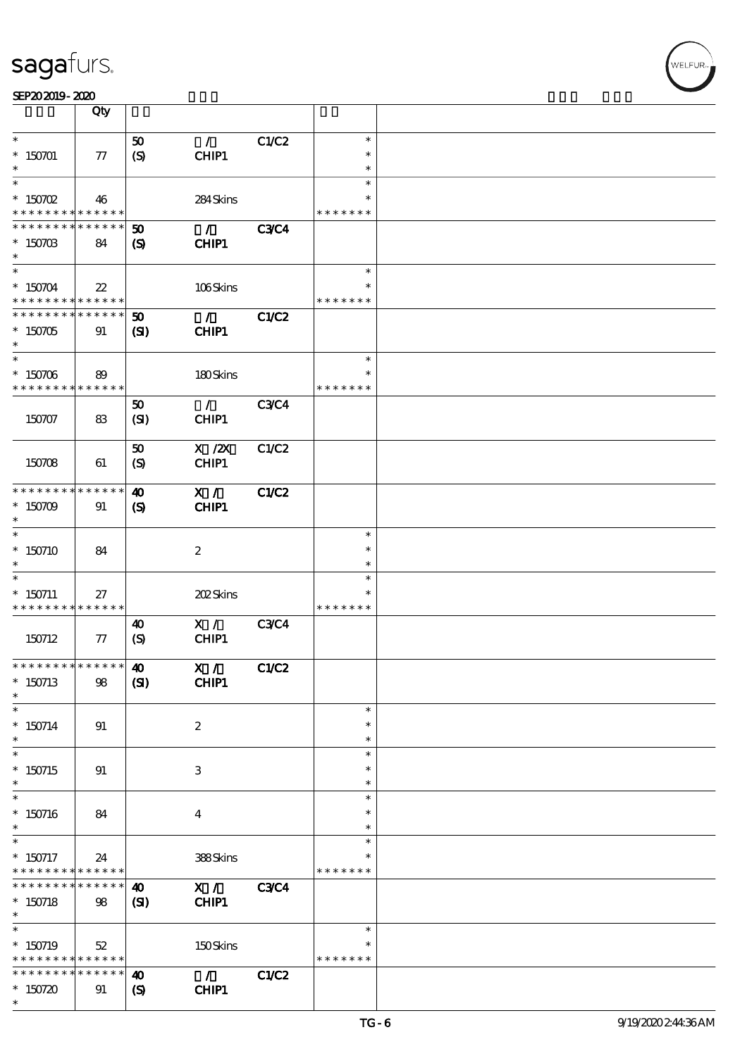|                               | Qty               |                             |                  |             |               |  |
|-------------------------------|-------------------|-----------------------------|------------------|-------------|---------------|--|
| $\ast$                        |                   |                             |                  |             | $\ast$        |  |
|                               |                   | 50                          | $\mathcal{L}$    | C1/C2       |               |  |
| $* 150701$                    | $77\,$            | $\boldsymbol{S}$            | CHIP1            |             | $\ast$        |  |
|                               |                   |                             |                  |             | $\ast$        |  |
| $\ast$                        |                   |                             |                  |             | $\ast$        |  |
| $*$ 150702                    | 46                |                             | 284Skins         |             | $\ast$        |  |
| * * * * * * * *               | * * * * * *       |                             |                  |             | * * * * * * * |  |
| * * * * * * *                 | * * * * * *       | $\boldsymbol{\mathfrak{D}}$ | $\mathcal{L}$    | <b>C3C4</b> |               |  |
|                               |                   |                             |                  |             |               |  |
| $* 15070B$<br>$\ast$          | 84                | $\boldsymbol{\mathcal{S}}$  | CHIP1            |             |               |  |
|                               |                   |                             |                  |             |               |  |
| $\overline{\ast}$             |                   |                             |                  |             | $\ast$        |  |
| $* 150704$                    | $22\,$            |                             | 106Skins         |             |               |  |
| * * * * * * * *               | * * * * * *       |                             |                  |             | * * * * * * * |  |
| * * * * * * * *               | * * * * * *       | 50                          | $\mathcal{L}$    | C1/C2       |               |  |
| $*150705$                     | 91                | $\mathbf{S}$                | CHIP1            |             |               |  |
| $\ast$                        |                   |                             |                  |             |               |  |
| $\ast$                        |                   |                             |                  |             | $\ast$        |  |
| $* 150706$                    |                   |                             |                  |             |               |  |
| * * * * * * * *               | 89<br>* * * * * * |                             | 180Skins         |             | * * * * * * * |  |
|                               |                   |                             |                  |             |               |  |
|                               |                   | 50                          | $\mathcal{L}$    | <b>C3C4</b> |               |  |
| 150707                        | 83                | (SI)                        | CHIP1            |             |               |  |
|                               |                   |                             |                  |             |               |  |
|                               |                   | 50                          | $X$ / $ZX$       | C1/C2       |               |  |
| 150708                        | 61                | $\boldsymbol{S}$            | CHIP1            |             |               |  |
|                               |                   |                             |                  |             |               |  |
| * * * * * * * *               | * * * * * *       | $\boldsymbol{\omega}$       | X /              | C1/C2       |               |  |
| $*150709$                     | 91                | $\boldsymbol{\mathcal{S}}$  | CHIP1            |             |               |  |
| $\ast$                        |                   |                             |                  |             |               |  |
| $\ast$                        |                   |                             |                  |             | $\ast$        |  |
|                               |                   |                             |                  |             | $\ast$        |  |
| $*150710$                     | 84                |                             | $\boldsymbol{2}$ |             |               |  |
| $\ast$                        |                   |                             |                  |             | $\ast$        |  |
| $\ast$                        |                   |                             |                  |             | $\ast$        |  |
| $* 150711$                    | 27                |                             | 202Skins         |             |               |  |
| * * * * * * * *               | * * * * * *       |                             |                  |             | * * * * * * * |  |
|                               |                   | $\boldsymbol{\omega}$       | X /              | <b>C3C4</b> |               |  |
| 150712                        | $\tau$            | (S)                         | CHIP1            |             |               |  |
|                               |                   |                             |                  |             |               |  |
| * * * * * * * * * * * * * * * |                   | $\boldsymbol{\omega}$       | X /              | C1/C2       |               |  |
| $*150713$                     | $98\,$            | (S)                         | CHIP1            |             |               |  |
| $\ast$                        |                   |                             |                  |             |               |  |
| $\ast$                        |                   |                             |                  |             | $\ast$        |  |
| $* 150714$                    | 91                |                             | $\boldsymbol{2}$ |             | $\ast$        |  |
| $\ast$                        |                   |                             |                  |             | $\ast$        |  |
|                               |                   |                             |                  |             | $\ast$        |  |
|                               |                   |                             |                  |             |               |  |
| $*150715$                     | 91                |                             | 3                |             | $\ast$        |  |
| $\ast$                        |                   |                             |                  |             | $\ast$        |  |
| $\ast$                        |                   |                             |                  |             | $\ast$        |  |
| $*150716$                     | 84                |                             | $\boldsymbol{4}$ |             | $\ast$        |  |
| $\ast$                        |                   |                             |                  |             | $\ast$        |  |
| $\ast$                        |                   |                             |                  |             | $\ast$        |  |
| $*$ 150717                    | 24                |                             | 388Skins         |             |               |  |
| * * * * * * * *               | $* * * * * * *$   |                             |                  |             | * * * * * * * |  |
| * * * * * * * *               | ******            | $\boldsymbol{\omega}$       | X /              | <b>C3C4</b> |               |  |
| $* 150718$                    | 98                | $\mathbf{S}$                | CHIP1            |             |               |  |
| $\ast$                        |                   |                             |                  |             |               |  |
| $\overline{\phantom{0}}$      |                   |                             |                  |             | $\ast$        |  |
|                               |                   |                             |                  |             |               |  |
| $*$ 150719                    | 52                |                             | 150Skins         |             | * * * * * * * |  |
| * * * * * * * *               | ******            |                             |                  |             |               |  |
| * * * * * * * *               | * * * * * *       | $\boldsymbol{\omega}$       | $\mathcal{L}$    | C1/C2       |               |  |
| $*150720$                     | 91                | $\boldsymbol{\mathsf{(S)}}$ | CHIP1            |             |               |  |
| $\ast$                        |                   |                             |                  |             |               |  |

,<br>WELFUR: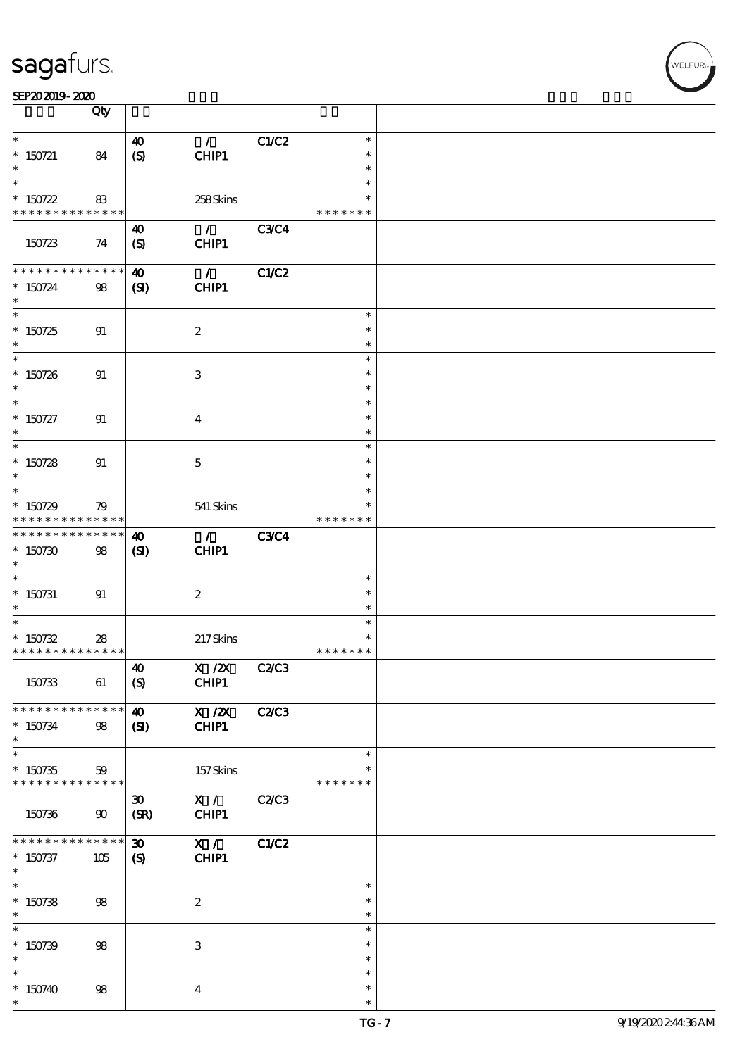| SEP202019-2020 |  |  |  |
|----------------|--|--|--|
|                |  |  |  |

|                               | Qty                        |                             |                                  |              |                  |  |
|-------------------------------|----------------------------|-----------------------------|----------------------------------|--------------|------------------|--|
| $\ast$                        |                            | $\boldsymbol{\omega}$       | $\mathcal{L}$                    | C1/C2        | $\ast$           |  |
| $*$ 150721                    | 84                         | (S)                         | CHIP1                            |              | $\ast$           |  |
| $\ast$                        |                            |                             |                                  |              | $\ast$           |  |
| $\ast$                        |                            |                             |                                  |              | $\ast$           |  |
| $* 150722$                    | 83                         |                             | 258Skins                         |              | $\ast$           |  |
| * * * * * * * * * * * * * * * |                            |                             |                                  |              | * * * * * * *    |  |
|                               |                            | 40                          | $\mathcal{L}$                    | <b>C3C4</b>  |                  |  |
| 150723                        | 74                         | (S)                         | CHIP1                            |              |                  |  |
| * * * * * * * *               | $* * * * * * *$            | $\boldsymbol{\omega}$       | $\mathcal{L}$                    | C1/C2        |                  |  |
| $* 150724$                    | 98                         | (S)                         | CHIP1                            |              |                  |  |
| $\ast$                        |                            |                             |                                  |              |                  |  |
|                               |                            |                             |                                  |              | $\ast$           |  |
| $*150725$                     | 91                         |                             | $\boldsymbol{2}$                 |              | $\ast$           |  |
| $\ast$                        |                            |                             |                                  |              | $\ast$           |  |
| $\overline{\ast}$             |                            |                             |                                  |              | $\ast$<br>$\ast$ |  |
| $* 150726$<br>$\ast$          | 91                         |                             | $\ensuremath{\mathsf{3}}$        |              | $\ast$           |  |
| $\overline{\ast}$             |                            |                             |                                  |              | $\ast$           |  |
| $* 150727$                    | 91                         |                             | $\bf{4}$                         |              | $\ast$           |  |
| $\ast$                        |                            |                             |                                  |              | $\ast$           |  |
| $\ast$                        |                            |                             |                                  |              | $\ast$           |  |
| $* 150728$                    | 91                         |                             | $\mathbf{5}$                     |              | $\ast$           |  |
| $\ast$<br>$\overline{\ast}$   |                            |                             |                                  |              | $\ast$           |  |
| $* 150729$                    | 79                         |                             |                                  |              | $\ast$           |  |
| * * * * * * * *               | * * * * * *                |                             | 541 Skins                        |              | * * * * * * *    |  |
| * * * * * * * *               | $\ast\ast\ast\ast\ast\ast$ | $\boldsymbol{\omega}$       | $\mathcal{L}$                    | <b>C3C4</b>  |                  |  |
| $*150730$                     | 98                         | (S)                         | CHIP1                            |              |                  |  |
| $\ast$                        |                            |                             |                                  |              |                  |  |
| $\ast$                        |                            |                             |                                  |              | $\ast$           |  |
| $*$ 150731<br>$\ast$          | 91                         |                             | $\boldsymbol{z}$                 |              | $\ast$<br>$\ast$ |  |
|                               |                            |                             |                                  |              | $\ast$           |  |
| $* 150732$                    | 28                         |                             | 217Skins                         |              |                  |  |
| * * * * * * * * * * * * * *   |                            |                             |                                  |              | * * * * * * *    |  |
|                               |                            | $\boldsymbol{\omega}$       | X / ZX C2/C3                     |              |                  |  |
| 150733                        | 61                         | (S)                         | CHIP1                            |              |                  |  |
| * * * * * * * *               |                            |                             |                                  |              |                  |  |
|                               | $\ast\ast\ast\ast\ast\ast$ | $\boldsymbol{\omega}$       | $\overline{X}$ / $\overline{Z}X$ | <b>C2/C3</b> |                  |  |
| $* 150734$<br>$\ast$          | 98                         | $\mathbf{C}$                | CHIP1                            |              |                  |  |
| $\ast$                        |                            |                             |                                  |              | $\ast$           |  |
| $* 150735$                    | 59                         |                             | 157Skins                         |              |                  |  |
| * * * * * * * *               | * * * * * *                |                             |                                  |              | * * * * * * *    |  |
|                               |                            | $\boldsymbol{\mathfrak{D}}$ | X /                              | C2/C3        |                  |  |
| 150736                        | $90^{\circ}$               | (SR)                        | CHIP1                            |              |                  |  |
| * * * * * * *                 | * * * * * *                | $\boldsymbol{\mathfrak{D}}$ | X /                              | C1/C2        |                  |  |
| $* 150737$                    | 105                        | $\boldsymbol{\mathcal{S}}$  | CHIP1                            |              |                  |  |
| $*$                           |                            |                             |                                  |              |                  |  |
| $\overline{\ast}$             |                            |                             |                                  |              | $\ast$           |  |
| $* 150738$                    | 98                         |                             | $\boldsymbol{2}$                 |              | $\ast$           |  |
| $\ast$<br>$\ast$              |                            |                             |                                  |              | $\ast$           |  |
|                               |                            |                             |                                  |              | $\ast$<br>$\ast$ |  |
| $* 150739$<br>$\ast$          | 98                         |                             | $\ensuremath{\mathsf{3}}$        |              | $\ast$           |  |
| $\ast$                        |                            |                             |                                  |              | $\ast$           |  |
| $*150740$                     | 98                         |                             | $\bf{4}$                         |              | $\ast$           |  |
| $\ast$                        |                            |                             |                                  |              | $\ast$           |  |

r<br>WELFUR<br>.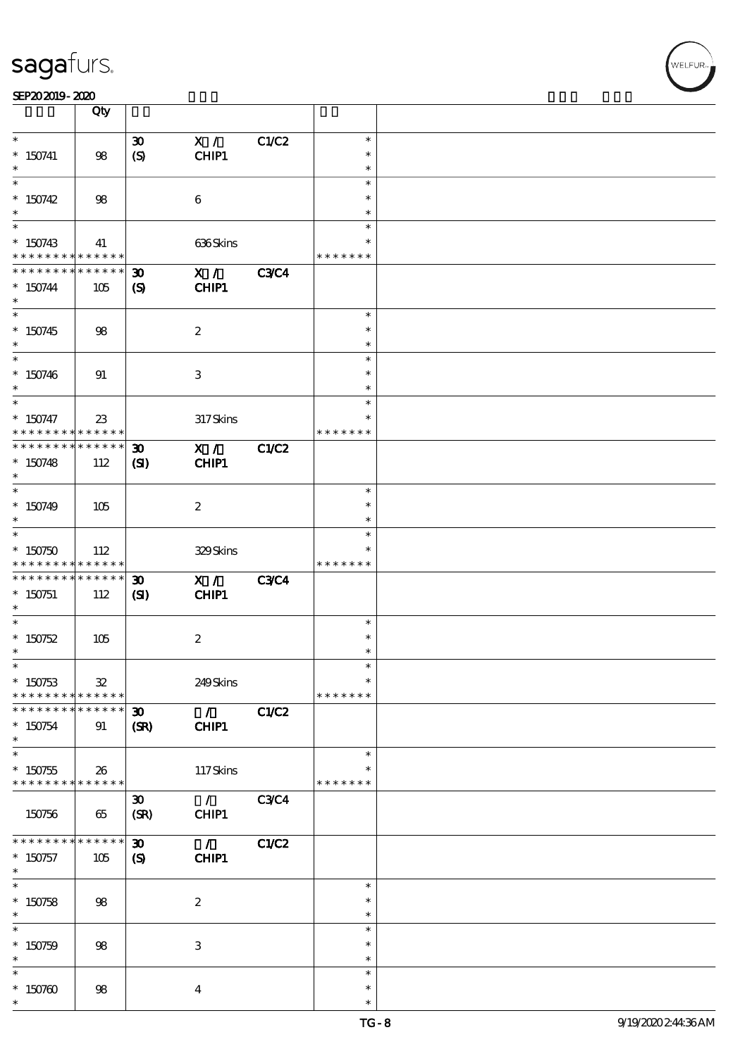|                                                           | Qty                               |                                                            |                                      |             |                                   |  |
|-----------------------------------------------------------|-----------------------------------|------------------------------------------------------------|--------------------------------------|-------------|-----------------------------------|--|
| $\ast$<br>$*$ 150741<br>$\ast$                            | 98                                | $\boldsymbol{\mathfrak{D}}$<br>$\boldsymbol{S}$            | X /<br>CHIP1                         | C1/C2       | $\ast$<br>$\ast$<br>$\ast$        |  |
| $\ast$<br>$*150742$<br>$\ast$                             | 98                                |                                                            | $\boldsymbol{6}$                     |             | $\ast$<br>$\ast$<br>$\ast$        |  |
| $\overline{\ast}$<br>$* 150743$<br>* * * * * * * *        | 41<br>$******$                    |                                                            | 636Skins                             |             | $\ast$<br>*<br>* * * * * * *      |  |
| * * * * * * * *<br>$* 150744$<br>$\ast$                   | * * * * * *<br>105                | $\boldsymbol{\mathfrak{D}}$<br>$\boldsymbol{\mathrm{(S)}}$ | X /<br>CHIP1                         | <b>C3C4</b> |                                   |  |
| $*150745$<br>$*$                                          | 98                                |                                                            | $\boldsymbol{z}$                     |             | $\ast$<br>$\ast$<br>$\ast$        |  |
| $\overline{\phantom{0}}$<br>$*150746$<br>$\ast$<br>$\ast$ | 91                                |                                                            | $\,3$                                |             | $\ast$<br>$\ast$<br>$\ast$        |  |
| $* 150747$<br>* * * * * * * *                             | $23\,$<br>$* * * * * * *$         |                                                            | 317Skins                             |             | $\ast$<br>$\ast$<br>* * * * * * * |  |
| * * * * * * * *<br>$*150748$<br>$\ast$<br>$*$             | $* * * * * * *$<br>112            | $\boldsymbol{\mathfrak{D}}$<br>(S)                         | X /<br>CHIP1                         | C1/C2       |                                   |  |
| $* 150749$<br>$\ast$<br>$\ast$                            | 105                               |                                                            | $\boldsymbol{z}$                     |             | $\ast$<br>$\ast$<br>$\ast$        |  |
| $*150750$<br>* * * * * * * *                              | 112<br>$\ast\ast\ast\ast\ast\ast$ |                                                            | 329Skins                             |             | $\ast$<br>*<br>* * * * * * *      |  |
| * * * * * * * *<br>$*$ 150751<br>$\ast$                   | * * * * * *<br>112                | $\boldsymbol{\mathfrak{D}}$<br>(S)                         | X /<br>CHIP1                         | <b>C3C4</b> |                                   |  |
| $\ast$<br>$* 150752$<br>$\ast$                            | 105                               |                                                            | $\boldsymbol{2}$                     |             | $\ast$<br>$\ast$<br>$\ast$        |  |
| $*$<br>$* 150753$<br>* * * * * * * *                      | ${\bf 32}$<br>* * * * * *         |                                                            | 249Skins                             |             | $\ast$<br>$\ast$<br>* * * * * * * |  |
| * * * * * * *<br>$* 150754$<br>$\ast$<br>$*$              | * * * * * *<br>91                 | $\boldsymbol{\mathfrak{D}}$<br>(SR)                        | $\mathcal{L}$<br>CHIP1               | C1/C2       |                                   |  |
| $*150755$<br>* * * * * * * *                              | 26<br>* * * * * *                 |                                                            | 117Skins                             |             | $\ast$<br>* * * * * * *           |  |
| 150756                                                    | 65                                | $\boldsymbol{\mathfrak{D}}$<br>(SR)                        | $\mathcal{L}$<br>CHIP1               | <b>C3C4</b> |                                   |  |
| * * * * * * * *<br>$* 150757$<br>$*$<br>$\overline{\ast}$ | * * * * * *<br>105                | $\boldsymbol{\mathfrak{D}}$<br>$\boldsymbol{\mathcal{S}}$  | $\mathcal{L}^{\mathcal{L}}$<br>CHIP1 | C1/C2       |                                   |  |
| $* 150758$<br>$\ast$<br>$\ast$                            | 98                                |                                                            | $\boldsymbol{2}$                     |             | $\ast$<br>$\ast$<br>$\ast$        |  |
| $* 150759$<br>$\ast$                                      | 98                                |                                                            | $\ensuremath{\mathbf{3}}$            |             | $\ast$<br>$\ast$<br>$\ast$        |  |
| $\ast$<br>$*150760$<br>$\ast$                             | 98                                |                                                            | $\bf{4}$                             |             | $\ast$<br>$\ast$<br>$\ast$        |  |

,<br>WELFUR: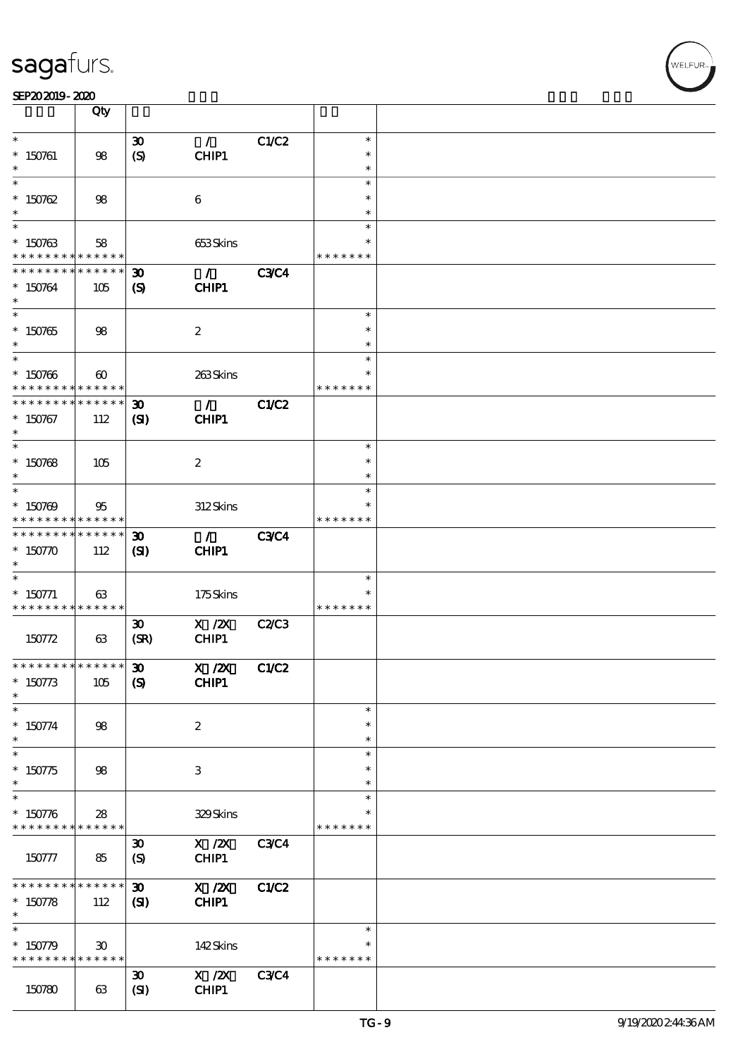| SEP202019-2020 |  |  |  |
|----------------|--|--|--|
|                |  |  |  |

|                                           | Qty                                        |                                                 |                                                     |             |                         |  |
|-------------------------------------------|--------------------------------------------|-------------------------------------------------|-----------------------------------------------------|-------------|-------------------------|--|
| $\ast$                                    |                                            | $\boldsymbol{\mathfrak{D}}$                     | $\mathcal{L}$                                       | C1/C2       | $\ast$                  |  |
| $*$ 150761                                | 98                                         | $\boldsymbol{S}$                                | CHIP1                                               |             | $\ast$                  |  |
| $\ast$                                    |                                            |                                                 |                                                     |             | $\ast$                  |  |
| $\ast$                                    |                                            |                                                 |                                                     |             | $\ast$                  |  |
| $* 150762$                                | 98                                         |                                                 | $\boldsymbol{6}$                                    |             | $\ast$                  |  |
| $\ast$                                    |                                            |                                                 |                                                     |             | $\ast$                  |  |
| $\ast$                                    |                                            |                                                 |                                                     |             | $\ast$                  |  |
| $* 150763$<br>* * * * * * * *             | 58<br>* * * * * *                          |                                                 | 653Skins                                            |             | * * * * * * *           |  |
| * * * * * * * *                           | * * * * * *                                | $\boldsymbol{\mathfrak{D}}$                     | $\mathcal{F}$                                       | <b>C3C4</b> |                         |  |
| $* 150764$                                | 105                                        | $\boldsymbol{\mathrm{(S)}}$                     | CHIP1                                               |             |                         |  |
| $\ast$                                    |                                            |                                                 |                                                     |             |                         |  |
| $\overline{\ast}$                         |                                            |                                                 |                                                     |             | $\ast$                  |  |
| $* 150765$                                | 98                                         |                                                 | $\boldsymbol{2}$                                    |             | $\ast$                  |  |
| $\ast$<br>$\ast$                          |                                            |                                                 |                                                     |             | $\ast$                  |  |
|                                           |                                            |                                                 |                                                     |             | $\ast$<br>$\ast$        |  |
| $* 150766$<br>* * * * * * * *             | $\boldsymbol{\omega}$<br>* * * * * *       |                                                 | 263Skins                                            |             | * * * * * * *           |  |
| * * * * * * *                             | * * * * * *                                | $\boldsymbol{\mathfrak{D}}$                     | $\mathcal{T}$                                       | C1/C2       |                         |  |
| $* 150767$                                | 112                                        | (SI)                                            | CHIP1                                               |             |                         |  |
| $\ast$                                    |                                            |                                                 |                                                     |             |                         |  |
| $\ast$                                    |                                            |                                                 |                                                     |             | $\ast$                  |  |
| $* 150768$                                | 105                                        |                                                 | $\boldsymbol{z}$                                    |             | $\ast$                  |  |
| $\ast$<br>$\ast$                          |                                            |                                                 |                                                     |             | $\ast$<br>$\ast$        |  |
| $* 150769$                                | 95                                         |                                                 | 312Skins                                            |             |                         |  |
| * * * * * * * *                           | * * * * * *                                |                                                 |                                                     |             | * * * * * * *           |  |
| * * * * * * * *                           | * * * * * *                                | $\boldsymbol{\mathfrak{D}}$                     | $\mathcal{T}$                                       | <b>C3C4</b> |                         |  |
| $* 150770$                                | 112                                        | (S)                                             | <b>CHIP1</b>                                        |             |                         |  |
| $\ast$                                    |                                            |                                                 |                                                     |             |                         |  |
| $\ast$                                    |                                            |                                                 |                                                     |             | $\ast$                  |  |
| $* 150771$<br>* * * * * * * * * * * * * * | 63                                         |                                                 | 175Skins                                            |             | $\ast$<br>* * * * * * * |  |
|                                           |                                            | $\boldsymbol{\mathfrak{D}}$                     | $\boldsymbol{\mathrm{X}}$ / <b>2X</b>               | C2/C3       |                         |  |
| 150772                                    | 63                                         | (SR)                                            | CHIP1                                               |             |                         |  |
|                                           |                                            |                                                 |                                                     |             |                         |  |
| * * * * * * * * * * * * * * *             |                                            | $\boldsymbol{\mathfrak{D}}$                     | $X$ / $ZX$                                          | C1/C2       |                         |  |
| $* 150773$                                | 105                                        | $\boldsymbol{S}$                                | <b>CHIP1</b>                                        |             |                         |  |
| $\ast$                                    |                                            |                                                 |                                                     |             |                         |  |
| $\ast$                                    |                                            |                                                 |                                                     |             | $\ast$<br>$\ast$        |  |
| $* 150774$<br>$\ast$                      | 98                                         |                                                 | $\boldsymbol{z}$                                    |             | $\ast$                  |  |
| $\ast$                                    |                                            |                                                 |                                                     |             | $\ast$                  |  |
| $* 150775$                                | 98                                         |                                                 | 3                                                   |             | ∗                       |  |
| $\ast$                                    |                                            |                                                 |                                                     |             | $\ast$                  |  |
| $\ast$                                    |                                            |                                                 |                                                     |             | $\ast$                  |  |
| $* 150776$                                | 28                                         |                                                 | 329Skins                                            |             |                         |  |
| * * * * * * * *                           | * * * * * *                                |                                                 |                                                     |             | * * * * * * *           |  |
| 150777                                    | 85                                         | $\boldsymbol{\mathfrak{D}}$<br>$\boldsymbol{S}$ | X / ZX<br>CHIP1                                     | <b>C3C4</b> |                         |  |
|                                           |                                            |                                                 |                                                     |             |                         |  |
| * * * * * * *                             | * * * * * *                                | $\boldsymbol{\mathfrak{D}}$                     | $X$ / $ZX$                                          | C1/C2       |                         |  |
| $* 150778$                                | 112                                        | (S)                                             | CHIP1                                               |             |                         |  |
| $\ast$                                    |                                            |                                                 |                                                     |             |                         |  |
| $\ast$                                    |                                            |                                                 |                                                     |             | $\ast$                  |  |
| $* 150779$<br>* * * * * * * *             | $30^{\circ}$<br>$\ast\ast\ast\ast\ast\ast$ |                                                 | 142Skins                                            |             | * * * * * * *           |  |
|                                           |                                            | $\boldsymbol{\mathfrak{D}}$                     | $\boldsymbol{X}$ / $\boldsymbol{Z}\!\boldsymbol{X}$ | <b>C3C4</b> |                         |  |
| 150780                                    | 63                                         | (SI)                                            | CHIP1                                               |             |                         |  |
|                                           |                                            |                                                 |                                                     |             |                         |  |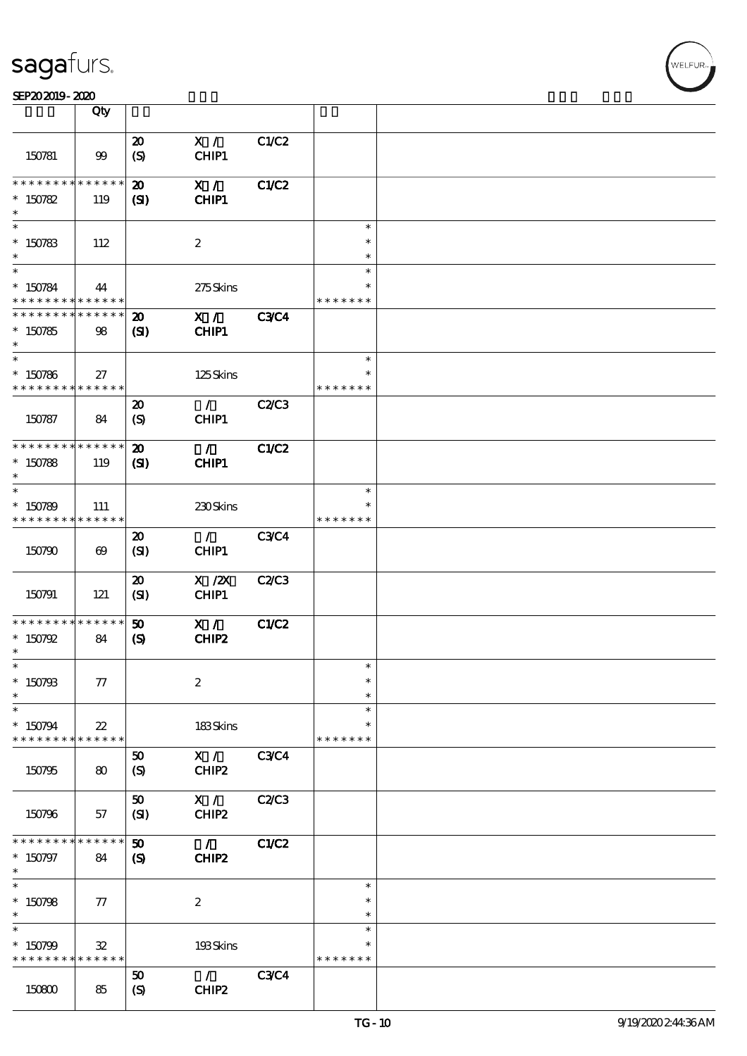|                                                                    | Qty                          |                                             |                           |              |                                   |  |
|--------------------------------------------------------------------|------------------------------|---------------------------------------------|---------------------------|--------------|-----------------------------------|--|
| 150781                                                             | $99$                         | $\boldsymbol{\mathbf{z}}$<br>(S)            | X /<br>CHIP1              | C1/C2        |                                   |  |
| * * * * * * * * * * * * * *<br>$* 150782$<br>$\ast$                | 119                          | $\boldsymbol{\mathfrak{D}}$<br>(S)          | X /<br>CHIP1              | C1/C2        |                                   |  |
| $\ast$<br>$* 150783$<br>$\ast$                                     | 112                          |                                             | $\boldsymbol{2}$          |              | $\ast$<br>$\ast$<br>$\ast$        |  |
| $\ast$<br>$* 150784$<br>* * * * * * * * * * * * * *                | 44                           |                                             | $275$ Skins               |              | $\ast$<br>$\ast$<br>* * * * * * * |  |
| * * * * * * * * * * * * * *<br>$*150785$<br>$\ast$                 | 98                           | $\boldsymbol{\mathfrak{D}}$<br>$\mathbf{S}$ | X /<br>CHIP1              | <b>C3C4</b>  |                                   |  |
| $\ast$<br>$^\ast$ 150786<br>* * * * * * * * * * * * * *            | 27                           |                                             | $125$ Skins               |              | $\ast$<br>*<br>* * * * * * *      |  |
| 150787                                                             | 84                           | $\boldsymbol{\mathfrak{D}}$<br>(S)          | $\mathcal{F}$<br>CHIP1    | C2/C3        |                                   |  |
| * * * * * * * * * * * * * *<br>$*150788$<br>$\ast$                 | 119                          | $\boldsymbol{\mathfrak{D}}$<br>$\mathbf{C}$ | $\mathcal{T}$<br>CHIP1    | C1/C2        |                                   |  |
| $\ast$<br>$* 150789$<br>* * * * * * * * * * * * * *                | 111                          |                                             | 230Skins                  |              | $\ast$<br>* * * * * * *           |  |
| 150790                                                             | $\boldsymbol{\omega}$        | $\boldsymbol{\mathfrak{D}}$<br>(SI)         | $\mathcal{L}$<br>CHIP1    | C3C4         |                                   |  |
| 150791                                                             | 121                          | $\boldsymbol{\mathfrak{D}}$<br>(SI)         | $X$ / $ZX$<br>CHIP1       | C2C3         |                                   |  |
| * * * * * * * * <mark>* * * * * * *</mark><br>$* 150792$<br>$\ast$ | 84                           | 50<br>$\boldsymbol{\mathcal{S}}$            | X /<br>CHIP2              | <b>C1/C2</b> |                                   |  |
| $\ast$<br>$* 150793$<br>$\ast$                                     | 77                           |                                             | $\boldsymbol{2}$          |              | $\ast$<br>$\ast$<br>$\ast$        |  |
| $\ast$<br>$*150794$<br>* * * * * * * *                             | $22\,$<br>* * * * * *        |                                             | 183Skins                  |              | $\ast$<br>$\ast$<br>* * * * * * * |  |
| 150795                                                             | 80                           | 50<br>$\boldsymbol{S}$                      | X /<br>CHIP2              | <b>C3C4</b>  |                                   |  |
| 150796<br>* * * * * * * *                                          | 57<br>* * * * * *            | 50<br>(SI)                                  | X /<br>CHIP2              | C2/C3        |                                   |  |
| $* 150797$<br>$\ast$<br>$\overline{\ast}$                          | 84                           | 50<br>$\boldsymbol{\mathcal{S}}$            | $\mathcal{L}$<br>CHIP2    | C1/C2        | $\ast$                            |  |
| $* 150798$<br>$\ast$<br>$\ast$                                     | 77                           |                                             | $\boldsymbol{z}$          |              | $\ast$<br>$\ast$<br>$\ast$        |  |
| $*150799$<br>* * * * * * * *                                       | $\mathbf{32}$<br>* * * * * * |                                             | 193Skins<br>$\mathcal{L}$ |              | * * * * * * *                     |  |
| 150800                                                             | 85                           | 50<br>$\boldsymbol{S}$                      | CHIP2                     | C3C4         |                                   |  |

,<br>WELFUR: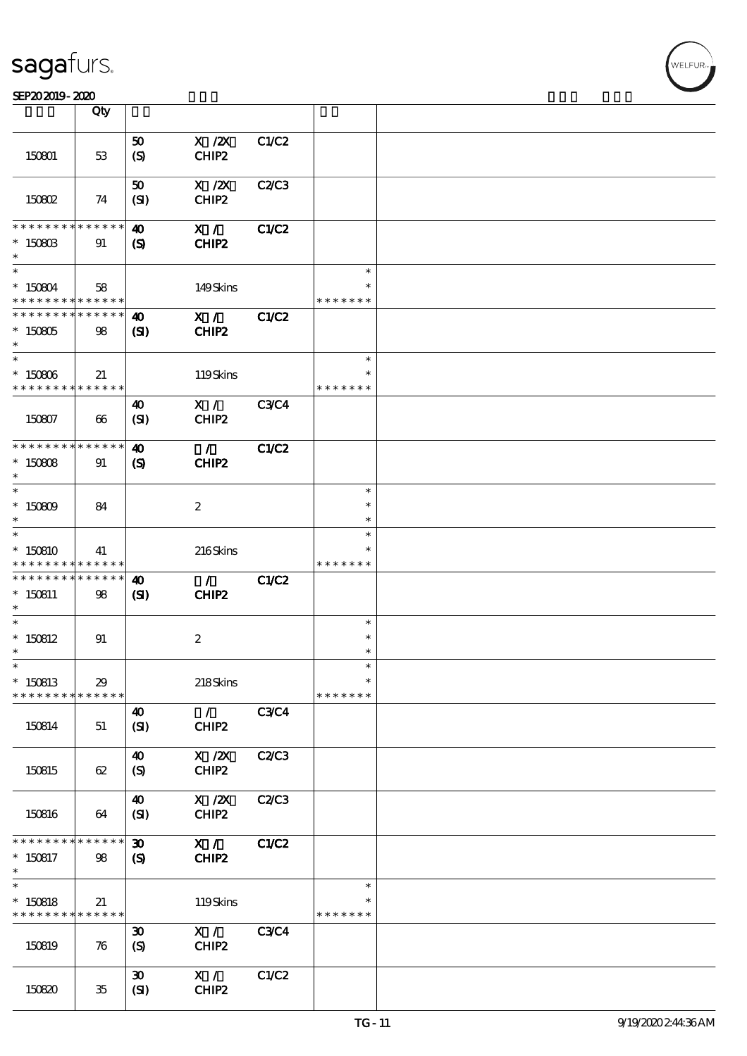|                                            | Qty                   |                             |                                        |              |               |  |
|--------------------------------------------|-----------------------|-----------------------------|----------------------------------------|--------------|---------------|--|
|                                            |                       | 50                          | $X$ / $ZX$                             | C1/C2        |               |  |
| 150801                                     | 53                    | $\boldsymbol{S}$            | CHIP2                                  |              |               |  |
|                                            |                       |                             |                                        |              |               |  |
|                                            |                       | 50                          | $X$ / $ZX$                             | C2/C3        |               |  |
| 150802                                     | 74                    | (SI)                        | CHIP2                                  |              |               |  |
|                                            |                       |                             |                                        |              |               |  |
| * * * * * * * *                            | * * * * * *           | $\boldsymbol{\omega}$       | X /                                    | <b>C1/C2</b> |               |  |
| $*$ 150803                                 | 91                    | $\mathbf{S}$                | CHIP2                                  |              |               |  |
| $\ast$                                     |                       |                             |                                        |              |               |  |
| $\overline{\phantom{0}}$                   |                       |                             |                                        |              | $\ast$        |  |
| $*150804$                                  | 58                    |                             | 149Skins                               |              |               |  |
| * * * * * * * * * * * * * *                |                       |                             |                                        |              | * * * * * * * |  |
| * * * * * * * * * * * * * *                |                       | $\boldsymbol{\omega}$       | X /                                    | <b>C1/C2</b> |               |  |
| $* 150805$                                 | 98                    | $\mathbf{S}$                | CHIP2                                  |              |               |  |
| $*$                                        |                       |                             |                                        |              | $\ast$        |  |
| $* 150806$                                 | 21                    |                             | 119Skins                               |              | $\ast$        |  |
| * * * * * * * *                            | * * * * * *           |                             |                                        |              | * * * * * * * |  |
|                                            |                       | $\boldsymbol{\omega}$       | X /                                    | <b>C3C4</b>  |               |  |
| 150807                                     | $\boldsymbol{\omega}$ | (SI)                        | CHIP2                                  |              |               |  |
|                                            |                       |                             |                                        |              |               |  |
| * * * * * * * * <mark>* * * * * * *</mark> |                       | $\boldsymbol{\omega}$       | $\mathcal{L}$                          | C1/C2        |               |  |
| $*150808$                                  | 91                    | $\boldsymbol{\mathcal{S}}$  | CHIP2                                  |              |               |  |
| $\ast$                                     |                       |                             |                                        |              |               |  |
| $\ast$                                     |                       |                             |                                        |              | $\ast$        |  |
| $* 150809$                                 | 84                    |                             | $\boldsymbol{2}$                       |              | $\ast$        |  |
| $\ast$                                     |                       |                             |                                        |              | $\ast$        |  |
| $\ast$                                     |                       |                             |                                        |              | $\ast$        |  |
| $*150810$                                  | 41                    |                             | 216Skins                               |              |               |  |
| * * * * * * * *                            | * * * * * *           |                             |                                        |              | * * * * * * * |  |
| * * * * * * * *                            | * * * * * *           | $\boldsymbol{\omega}$       | $\mathcal{L}$                          | C1/C2        |               |  |
| $* 150811$<br>$\ast$                       | 98                    | $\mathbf{C}$                | CHIP2                                  |              |               |  |
| $\ast$                                     |                       |                             |                                        |              | $\ast$        |  |
| $*150812$                                  | 91                    |                             | $\boldsymbol{2}$                       |              | $\ast$        |  |
| $\ast$                                     |                       |                             |                                        |              | $\ast$        |  |
| $\ast$                                     |                       |                             |                                        |              | $\ast$        |  |
| $*150813$                                  | $29\,$                |                             | 218Skins                               |              | $\ast$        |  |
| * * * * * * * *                            | * * * * * *           |                             |                                        |              | * * * * * * * |  |
|                                            |                       | $\boldsymbol{\omega}$       | $\mathcal{L}$                          | <b>C3C4</b>  |               |  |
| 150814                                     | 51                    | (SI)                        | CHIP2                                  |              |               |  |
|                                            |                       |                             |                                        |              |               |  |
|                                            |                       | $\boldsymbol{\omega}$       | $\boldsymbol{\mathrm{X}}$ / <b>Z</b> X | <b>C2/C3</b> |               |  |
| 150815                                     | 62                    | $\boldsymbol{S}$            | CHIP2                                  |              |               |  |
|                                            |                       | $\boldsymbol{\omega}$       | $\boldsymbol{\mathrm{X}}$ / <b>Z</b> X |              |               |  |
| 150816                                     | 64                    | (SI)                        | CHIP2                                  | <b>C2/C3</b> |               |  |
|                                            |                       |                             |                                        |              |               |  |
| * * * * * * * *                            | * * * * * *           | $\boldsymbol{\mathfrak{D}}$ | X /                                    | C1/C2        |               |  |
| $*150817$                                  | 98                    | $\boldsymbol{\mathcal{S}}$  | CHIP2                                  |              |               |  |
| $\ast$                                     |                       |                             |                                        |              |               |  |
| $\ast$                                     |                       |                             |                                        |              | $\ast$        |  |
| $*150818$                                  | 21                    |                             | 119Skins                               |              |               |  |
| * * * * * * * *                            | * * * * * *           |                             |                                        |              | * * * * * * * |  |
|                                            |                       | $\boldsymbol{\mathfrak{D}}$ | X /                                    | <b>C3C4</b>  |               |  |
| 150819                                     | 76                    | (S)                         | $CHIP2$                                |              |               |  |
|                                            |                       |                             |                                        |              |               |  |
|                                            |                       | $\boldsymbol{\mathfrak{D}}$ | X /                                    | C1/C2        |               |  |
| 150820                                     | 35                    | (SI)                        | CHIP2                                  |              |               |  |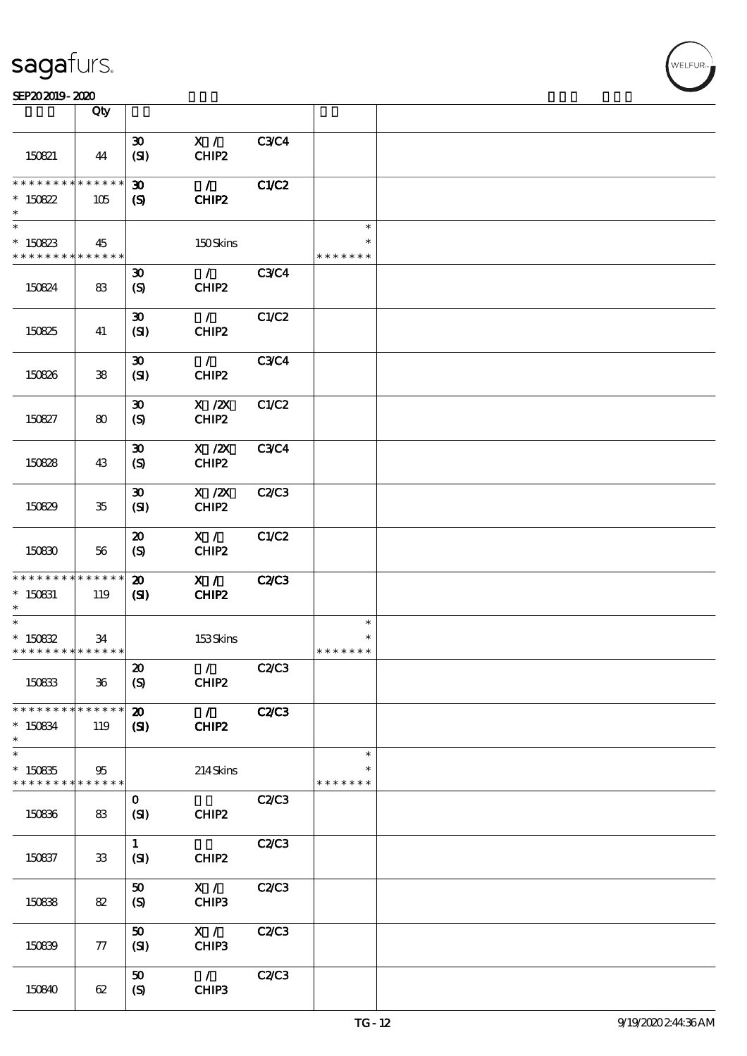|                                                     | Qty                |                                                            |                                          |              |                                   |  |
|-----------------------------------------------------|--------------------|------------------------------------------------------------|------------------------------------------|--------------|-----------------------------------|--|
| 150821                                              | 44                 | $\boldsymbol{\mathfrak{D}}$<br>(SI)                        | X /<br>CHIP2                             | <b>C3C4</b>  |                                   |  |
| * * * * * * * * * * * * * *<br>$*150822$<br>$\ast$  | 105                | $\boldsymbol{\mathfrak{D}}$<br>$\boldsymbol{\mathrm{(S)}}$ | $\mathcal{L}$<br>CHIP2                   | <b>C1/C2</b> |                                   |  |
| $\ast$<br>$*150823$<br>* * * * * * * * * * * * * *  | 45                 |                                                            | 150Skins                                 |              | $\ast$<br>$\ast$<br>* * * * * * * |  |
| 150824                                              | 83                 | $\boldsymbol{\mathfrak{D}}$<br>$\boldsymbol{\mathrm{(S)}}$ | $\mathcal{L}$<br>CHIP2                   | <b>C3C4</b>  |                                   |  |
| 150825                                              | 41                 | $\boldsymbol{\mathfrak{D}}$<br>(SI)                        | $\mathcal{F}$<br>CHIP2                   | C1/C2        |                                   |  |
| 150826                                              | ${\bf 38}$         | $\boldsymbol{\mathfrak{D}}$<br>(SI)                        | $\mathcal{L}$<br>CHIP <sub>2</sub>       | <b>C3C4</b>  |                                   |  |
| 150827                                              | 80                 | $\boldsymbol{\mathfrak{D}}$<br>(S)                         | $X$ / $ZX$<br>CHIP2                      | C1/C2        |                                   |  |
| 150828                                              | 43                 | $\boldsymbol{\mathfrak{D}}$<br>(S)                         | $X$ / $ZX$<br>CHIP2                      | <b>C3C4</b>  |                                   |  |
| 150829                                              | $35\,$             | $\boldsymbol{\mathfrak{D}}$<br>(SI)                        | $X$ / $ZX$<br>CHIP2                      | <b>C2/C3</b> |                                   |  |
| 150830                                              | 56                 | $\boldsymbol{\mathfrak{D}}$<br>(S)                         | X /<br>CHIP2                             | C1/C2        |                                   |  |
| * * * * * * * * * * * * * *<br>$*$ 150831<br>$\ast$ | 119                | $\boldsymbol{\mathbf{z}}$<br>$\mathbf{C}$                  | X /<br>CHIP2                             | <b>C2/C3</b> |                                   |  |
| $\ast$<br>$* 15082$<br>* * * * * * * * * * * * * *  | 34                 |                                                            | 153Skins                                 |              | $\ast$<br>* * * * * * *           |  |
| 150833                                              | $36\,$             | $\pmb{\mathcal{Z}}$<br>(S)                                 | $\mathcal{L}$ and $\mathcal{L}$<br>CHIP2 | <b>C2/C3</b> |                                   |  |
| * * * * * * * *<br>$* 150834$<br>$\ast$             | * * * * * *<br>119 | $\boldsymbol{\mathfrak{D}}$<br>$\mathbf{Z}$                | $\mathcal{L}$<br>CHIP2                   | <b>C2/C3</b> |                                   |  |
| $\ast$<br>$*150835$<br>* * * * * * * * * * * * * *  | 95                 |                                                            | 214Skins                                 |              | $\ast$<br>* * * * * * *           |  |
| 150836                                              | 83                 | $\mathbf{O}$<br>(SI)                                       | CHIP2                                    | C2/C3        |                                   |  |
| 150837                                              | ${\bf 33}$         | $\mathbf{1}$<br>(SI)                                       | CHIP <sub>2</sub>                        | C2C3         |                                   |  |
| 150838                                              | 82                 | 50<br>$\boldsymbol{\mathrm{(S)}}$                          | X /<br>CHIP3                             | C2C3         |                                   |  |
| 150839                                              | 77                 | 50<br>(SI)                                                 | $X / \sqrt{2}$<br>CHIP3                  | C2C3         |                                   |  |
| 150840                                              | 62                 | 50<br>(S)                                                  | $\mathcal{L}$<br>CHIP3                   | C2C3         |                                   |  |

.<br>WELFUR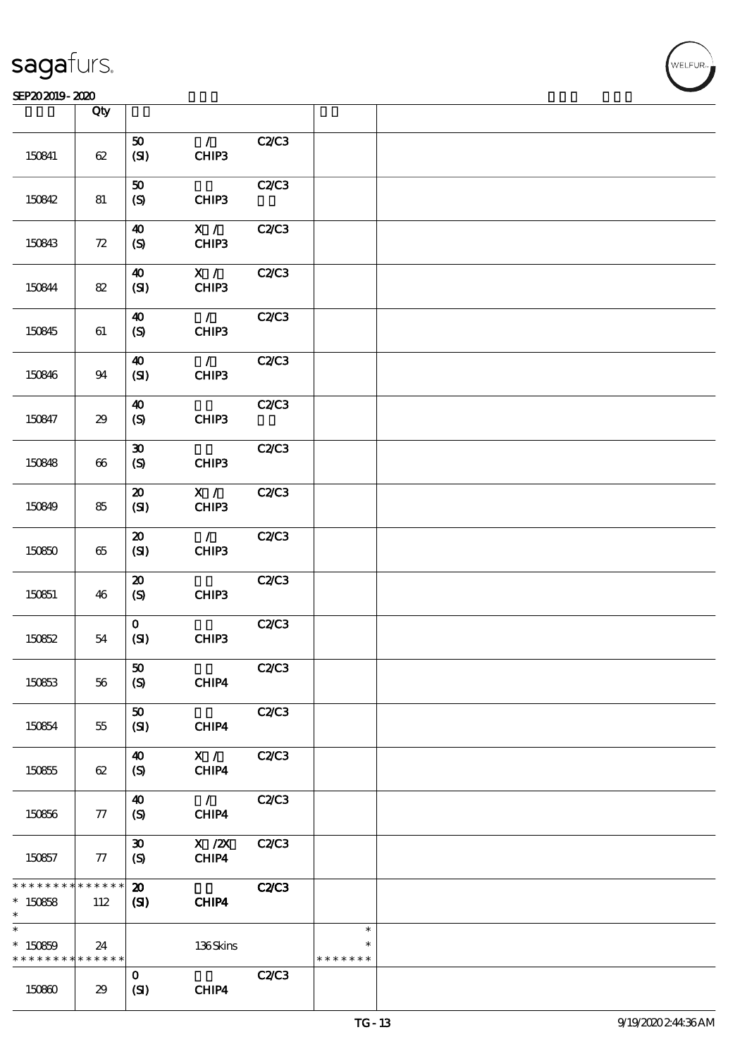### SEP202019-2020

|                                                                 | Qty           |                                                       |                         |              |                         |  |
|-----------------------------------------------------------------|---------------|-------------------------------------------------------|-------------------------|--------------|-------------------------|--|
| 150841                                                          | 62            | 50<br>(SI)                                            | $\mathcal{L}$<br>CHIP3  | C2C3         |                         |  |
| 150842                                                          | 81            | ${\bf 50}$<br>$\boldsymbol{S}$                        | CHIP3                   | C2C3         |                         |  |
| 150843                                                          | 72            | $\boldsymbol{\Lambda}$<br>$\boldsymbol{S}$            | X /<br>CHIP3            | C2C3         |                         |  |
| 150844                                                          | 82            | $\boldsymbol{\omega}$<br>(SI)                         | X /<br>CHIP3            | C2C3         |                         |  |
| 150845                                                          | 61            | $\boldsymbol{40}$<br>(S)                              | $\overline{1}$<br>CHIP3 | C2C3         |                         |  |
| 150846                                                          | 94            | $\boldsymbol{\Lambda}$<br>(SI)                        | $\mathcal{L}$<br>CHIP3  | C2C3         |                         |  |
| 150847                                                          | 29            | $\boldsymbol{\Lambda}$<br>$\boldsymbol{\mathrm{(S)}}$ | CHIP3                   | C2/C3        |                         |  |
| 150848                                                          | 66            | $\pmb{\mathfrak{D}}$<br>$\boldsymbol{S}$              | CHIP3                   | C2C3         |                         |  |
| 150849                                                          | 85            | $\boldsymbol{\mathbf{z}}$<br>(SI)                     | X /<br>CHIP3            | C2C3         |                         |  |
| 150850                                                          | $65\,$        | $\boldsymbol{\mathbf{z}}$<br>(SI)                     | $\mathcal{F}$<br>CHIP3  | C2/C3        |                         |  |
| 150851                                                          | 46            | $\boldsymbol{\mathfrak{D}}$<br>(S)                    | CHIP3                   | C2C3         |                         |  |
| 150852                                                          | 54            | $\mathbf{O}$<br>(SI)                                  | CHIP3                   | C2C3         |                         |  |
| 150853                                                          | 56            | ${\bf 50}$<br>$\boldsymbol{S}$                        | CHIP4                   | C2C3         |                         |  |
| 150854                                                          | 55            | ${\bf 50}$<br>(SI)                                    | CHIP4                   | C2C3         |                         |  |
| 150855                                                          | 62            | $\boldsymbol{\omega}$<br>$\boldsymbol{S}$             | X /<br>CHIP4            | <b>C2/C3</b> |                         |  |
| 150856                                                          | 77            | $\boldsymbol{\omega}$<br>(S)                          | $\mathcal{L}$<br>CHIP4  | C2C3         |                         |  |
| 150857                                                          | 77            | $\boldsymbol{\mathfrak{D}}$<br>$\boldsymbol{S}$       | $X$ / $ZX$<br>CHIP4     | C2C3         |                         |  |
| * * * * * * * *<br>$*150858$<br>$\ast$                          | ******<br>112 | $\boldsymbol{\mathfrak{D}}$<br>(S)                    | CHIP4                   | C2C3         |                         |  |
| $\ast$<br>$*150859$<br>* * * * * * * * <mark>* * * * * *</mark> | 24            |                                                       | 136Skins                |              | $\ast$<br>* * * * * * * |  |
| 150860                                                          | 29            | $\mathbf{O}$<br>(SI)                                  | CHIP4                   | C2C3         |                         |  |

T